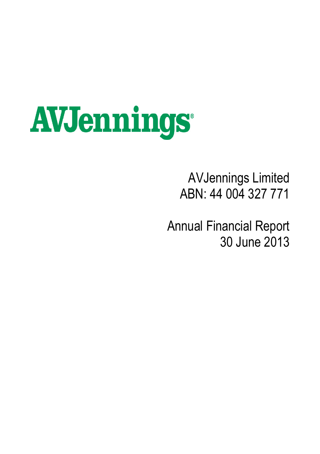# **AVJennings**

# AVJennings Limited ABN: 44 004 327 771

Annual Financial Report 30 June 2013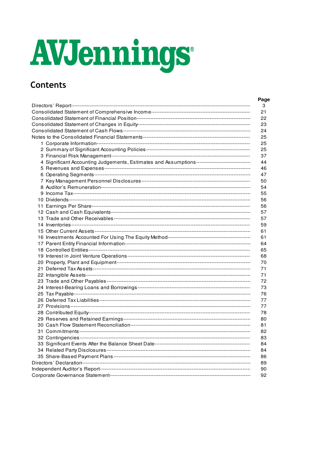# AVJennings

# **Contents**

|                                                                                              | Page |
|----------------------------------------------------------------------------------------------|------|
|                                                                                              | 3    |
|                                                                                              | 21   |
|                                                                                              | 22   |
|                                                                                              | 23   |
|                                                                                              | 24   |
|                                                                                              | 25   |
|                                                                                              | 25   |
|                                                                                              | 25   |
|                                                                                              | 37   |
| 4 Significant Accounting Judgements, Estimates and Assumptions------------------------------ | 44   |
|                                                                                              | 46   |
|                                                                                              | 47   |
|                                                                                              | 50   |
|                                                                                              | 54   |
|                                                                                              | 55   |
|                                                                                              | 56   |
|                                                                                              | 56   |
|                                                                                              | 57   |
|                                                                                              | 57   |
|                                                                                              | 59   |
|                                                                                              | 61   |
|                                                                                              | 61   |
|                                                                                              | 64   |
|                                                                                              | 65   |
|                                                                                              | 68   |
|                                                                                              | 70   |
|                                                                                              | 71   |
|                                                                                              | 71   |
|                                                                                              | 72   |
|                                                                                              | 73   |
|                                                                                              | 76   |
|                                                                                              | 77   |
|                                                                                              | 77   |
|                                                                                              |      |
|                                                                                              | 78   |
|                                                                                              | 80   |
|                                                                                              | 81   |
|                                                                                              | 82   |
|                                                                                              | 83   |
|                                                                                              | 84   |
|                                                                                              | 84   |
|                                                                                              | 86   |
|                                                                                              | 89   |
|                                                                                              | 90   |
|                                                                                              | 92   |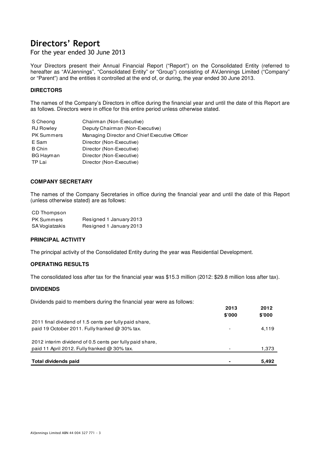For the year ended 30 June 2013

Your Directors present their Annual Financial Report ("Report") on the Consolidated Entity (referred to hereafter as "AVJennings", "Consolidated Entity" or "Group") consisting of AVJennings Limited ("Company" or "Parent") and the entities it controlled at the end of, or during, the year ended 30 June 2013.

# **DIRECTORS**

The names of the Company's Directors in office during the financial year and until the date of this Report are as follows. Directors were in office for this entire period unless otherwise stated.

| S Cheong          | Chairman (Non-Executive)                      |
|-------------------|-----------------------------------------------|
| <b>RJ Rowley</b>  | Deputy Chairman (Non-Executive)               |
| <b>PK Summers</b> | Managing Director and Chief Executive Officer |
| E Sam             | Director (Non-Executive)                      |
| <b>B</b> Chin     | Director (Non-Executive)                      |
| BG Hayman         | Director (Non-Executive)                      |
| TP Lai            | Director (Non-Executive)                      |

# **COMPANY SECRETARY**

The names of the Company Secretaries in office during the financial year and until the date of this Report (unless otherwise stated) are as follows:

| CD Thompson       |                         |
|-------------------|-------------------------|
| <b>PK Summers</b> | Resigned 1 January 2013 |
| SA Vogiatzakis    | Resigned 1 January 2013 |

# **PRINCIPAL ACTIVITY**

The principal activity of the Consolidated Entity during the year was Residential Development.

# **OPERATING RESULTS**

The consolidated loss after tax for the financial year was \$15.3 million (2012: \$29.8 million loss after tax).

### **DIVIDENDS**

Dividends paid to members during the financial year were as follows:

|                                                          | 2013                     | 2012   |
|----------------------------------------------------------|--------------------------|--------|
|                                                          | \$'000                   | \$'000 |
| 2011 final dividend of 1.5 cents per fully paid share.   |                          |        |
| paid 19 October 2011. Fully franked $\omega$ 30% tax.    | $\overline{\phantom{a}}$ | 4,119  |
| 2012 interim dividend of 0.5 cents per fully paid share, |                          |        |
| paid 11 April 2012. Fully franked $@$ 30% tax.           | $\overline{\phantom{a}}$ | 1,373  |
|                                                          |                          |        |
| Total dividends paid                                     | ٠                        | 5,492  |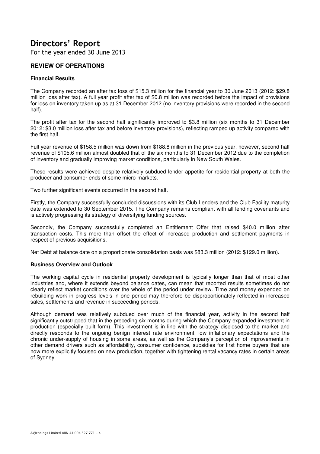For the year ended 30 June 2013

# **REVIEW OF OPERATIONS**

# **Financial Results**

The Company recorded an after tax loss of \$15.3 million for the financial year to 30 June 2013 (2012: \$29.8 million loss after tax). A full year profit after tax of \$0.8 million was recorded before the impact of provisions for loss on inventory taken up as at 31 December 2012 (no inventory provisions were recorded in the second half).

The profit after tax for the second half significantly improved to \$3.8 million (six months to 31 December 2012: \$3.0 million loss after tax and before inventory provisions), reflecting ramped up activity compared with the first half.

Full year revenue of \$158.5 million was down from \$188.8 million in the previous year, however, second half revenue of \$105.6 million almost doubled that of the six months to 31 December 2012 due to the completion of inventory and gradually improving market conditions, particularly in New South Wales.

These results were achieved despite relatively subdued lender appetite for residential property at both the producer and consumer ends of some micro-markets.

Two further significant events occurred in the second half.

Firstly, the Company successfully concluded discussions with its Club Lenders and the Club Facility maturity date was extended to 30 September 2015. The Company remains compliant with all lending covenants and is actively progressing its strategy of diversifying funding sources.

Secondly, the Company successfully completed an Entitlement Offer that raised \$40.0 million after transaction costs. This more than offset the effect of increased production and settlement payments in respect of previous acquisitions.

Net Debt at balance date on a proportionate consolidation basis was \$83.3 million (2012: \$129.0 million).

# **Business Overview and Outlook**

The working capital cycle in residential property development is typically longer than that of most other industries and, where it extends beyond balance dates, can mean that reported results sometimes do not clearly reflect market conditions over the whole of the period under review. Time and money expended on rebuilding work in progress levels in one period may therefore be disproportionately reflected in increased sales, settlements and revenue in succeeding periods.

Although demand was relatively subdued over much of the financial year, activity in the second half significantly outstripped that in the preceding six months during which the Company expanded investment in production (especially built form). This investment is in line with the strategy disclosed to the market and directly responds to the ongoing benign interest rate environment, low inflationary expectations and the chronic under-supply of housing in some areas, as well as the Company's perception of improvements in other demand drivers such as affordability, consumer confidence, subsidies for first home buyers that are now more explicitly focused on new production, together with tightening rental vacancy rates in certain areas of Sydney.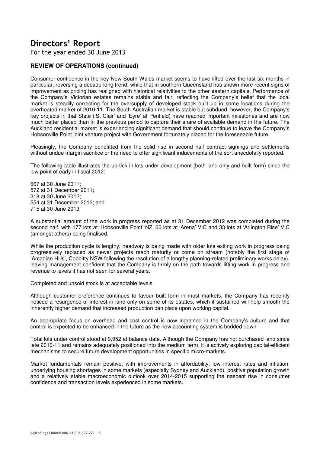For the year ended 30 June 2013

# **REVIEW OF OPERATIONS (continued)**

Consumer confidence in the key New South Wales market seems to have lifted over the last six months in particular, reversing a decade-long trend, while that in southern Queensland has shown more recent signs of improvement as pricing has realigned with historical relativities to the other eastern capitals. Performance of the Company's Victorian estates remains stable and fair, reflecting the Company's belief that the local market is steadily correcting for the oversupply of developed stock built up in some locations during the overheated market of 2010-11. The South Australian market is stable but subdued, however, the Company's key projects in that State ('St Clair' and 'Eyre' at Penfield) have reached important milestones and are now much better placed than in the previous period to capture their share of available demand in the future. The Auckland residential market is experiencing significant demand that should continue to leave the Company's Hobsonville Point joint venture project with Government fortunately placed for the foreseeable future.

Pleasingly, the Company benefitted from the solid rise in second half contract signings and settlements without undue margin sacrifice or the need to offer significant inducements of the sort anecdotally reported.

The following table illustrates the up-tick in lots under development (both land only and built form) since the low point of early in fiscal 2012:

667 at 30 June 2011; 572 at 31 December 2011; 318 at 30 June 2012; 554 at 31 December 2012; and 715 at 30 June 2013

A substantial amount of the work in progress reported as at 31 December 2012 was completed during the second half, with 177 lots at 'Hobsonville Point' NZ, 60 lots at 'Arena' VIC and 33 lots at 'Arlington Rise' VIC (amongst others) being finalised.

While the production cycle is lengthy, headway is being made with older lots exiting work in progress being progressively replaced as newer projects reach maturity or come on stream (notably the first stage of 'Arcadian Hills', Cobbitty NSW following the resolution of a lengthy planning-related preliminary works delay), leaving management confident that the Company is firmly on the path towards lifting work in progress and revenue to levels it has not seen for several years.

Completed and unsold stock is at acceptable levels.

Although customer preference continues to favour built form in most markets, the Company has recently noticed a resurgence of interest in land only on some of its estates, which if sustained will help smooth the inherently higher demand that increased production can place upon working capital.

An appropriate focus on overhead and cost control is now ingrained in the Company's culture and that control is expected to be enhanced in the future as the new accounting system is bedded down.

Total lots under control stood at 9,952 at balance date. Although the Company has not purchased land since late 2010-11 and remains adequately positioned into the medium term, it is actively exploring capital-efficient mechanisms to secure future development opportunities in specific micro-markets.

Market fundamentals remain positive, with improvements in affordability, low interest rates and inflation, underlying housing shortages in some markets (especially Sydney and Auckland), positive population growth and a relatively stable macroeconomic outlook over 2014-2015 supporting the nascent rise in consumer confidence and transaction levels experienced in some markets.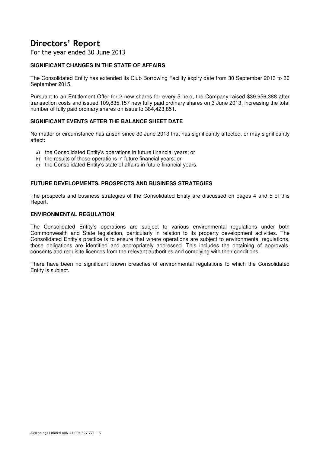For the year ended 30 June 2013

# **SIGNIFICANT CHANGES IN THE STATE OF AFFAIRS**

The Consolidated Entity has extended its Club Borrowing Facility expiry date from 30 September 2013 to 30 September 2015.

Pursuant to an Entitlement Offer for 2 new shares for every 5 held, the Company raised \$39,956,388 after transaction costs and issued 109,835,157 new fully paid ordinary shares on 3 June 2013, increasing the total number of fully paid ordinary shares on issue to 384,423,851.

# **SIGNIFICANT EVENTS AFTER THE BALANCE SHEET DATE**

No matter or circumstance has arisen since 30 June 2013 that has significantly affected, or may significantly affect:

- a) the Consolidated Entity's operations in future financial years; or
- b) the results of those operations in future financial years; or
- c) the Consolidated Entity's state of affairs in future financial years.

# **FUTURE DEVELOPMENTS, PROSPECTS AND BUSINESS STRATEGIES**

The prospects and business strategies of the Consolidated Entity are discussed on pages 4 and 5 of this Report.

# **ENVIRONMENTAL REGULATION**

The Consolidated Entity's operations are subject to various environmental regulations under both Commonwealth and State legislation, particularly in relation to its property development activities. The Consolidated Entity's practice is to ensure that where operations are subject to environmental regulations, those obligations are identified and appropriately addressed. This includes the obtaining of approvals, consents and requisite licences from the relevant authorities and complying with their conditions.

There have been no significant known breaches of environmental regulations to which the Consolidated Entity is subject.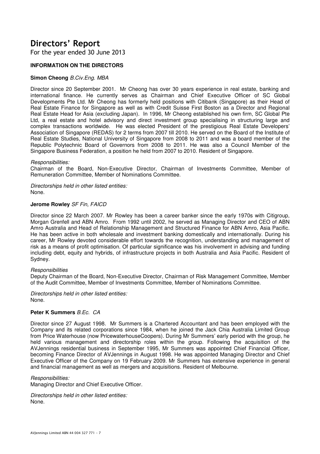For the year ended 30 June 2013

# **INFORMATION ON THE DIRECTORS**

# **Simon Cheong** B.Civ.Eng. MBA

Director since 20 September 2001. Mr Cheong has over 30 years experience in real estate, banking and international finance. He currently serves as Chairman and Chief Executive Officer of SC Global Developments Pte Ltd. Mr Cheong has formerly held positions with Citibank (Singapore) as their Head of Real Estate Finance for Singapore as well as with Credit Suisse First Boston as a Director and Regional Real Estate Head for Asia (excluding Japan). In 1996, Mr Cheong established his own firm, SC Global Pte Ltd, a real estate and hotel advisory and direct investment group specialising in structuring large and complex transactions worldwide. He was elected President of the prestigious Real Estate Developers' Association of Singapore (REDAS) for 2 terms from 2007 till 2010. He served on the Board of the Institute of Real Estate Studies, National University of Singapore from 2008 to 2011 and was a board member of the Republic Polytechnic Board of Governors from 2008 to 2011. He was also a Council Member of the Singapore Business Federation, a position he held from 2007 to 2010. Resident of Singapore.

### Responsibilities:

Chairman of the Board, Non-Executive Director, Chairman of Investments Committee, Member of Remuneration Committee, Member of Nominations Committee.

Directorships held in other listed entities: None.

### **Jerome Rowley** SF Fin, FAICD

Director since 22 March 2007. Mr Rowley has been a career banker since the early 1970s with Citigroup, Morgan Grenfell and ABN Amro. From 1992 until 2002, he served as Managing Director and CEO of ABN Amro Australia and Head of Relationship Management and Structured Finance for ABN Amro, Asia Pacific. He has been active in both wholesale and investment banking domestically and internationally. During his career, Mr Rowley devoted considerable effort towards the recognition, understanding and management of risk as a means of profit optimisation. Of particular significance was his involvement in advising and funding including debt, equity and hybrids, of infrastructure projects in both Australia and Asia Pacific. Resident of Sydney.

### **Responsibilities**

Deputy Chairman of the Board, Non-Executive Director, Chairman of Risk Management Committee, Member of the Audit Committee, Member of Investments Committee, Member of Nominations Committee.

Directorships held in other listed entities: None.

# **Peter K Summers** B Fc. CA

Director since 27 August 1998. Mr Summers is a Chartered Accountant and has been employed with the Company and its related corporations since 1984, when he joined the Jack Chia Australia Limited Group from Price Waterhouse (now PricewaterhouseCoopers). During Mr Summers' early period with the group, he held various management and directorship roles within the group. Following the acquisition of the AVJennings residential business in September 1995, Mr Summers was appointed Chief Financial Officer, becoming Finance Director of AVJennings in August 1998. He was appointed Managing Director and Chief Executive Officer of the Company on 19 February 2009. Mr Summers has extensive experience in general and financial management as well as mergers and acquisitions. Resident of Melbourne.

### Responsibilities:

Managing Director and Chief Executive Officer.

Directorships held in other listed entities: None.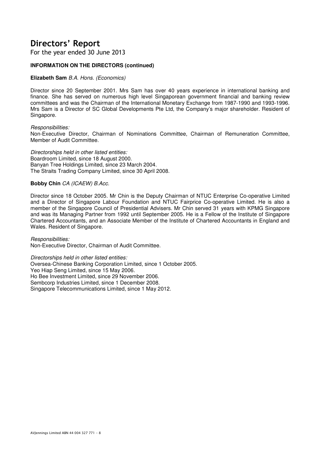For the year ended 30 June 2013

# **INFORMATION ON THE DIRECTORS (continued)**

# **Elizabeth Sam** B.A. Hons. (Economics)

Director since 20 September 2001. Mrs Sam has over 40 years experience in international banking and finance. She has served on numerous high level Singaporean government financial and banking review committees and was the Chairman of the International Monetary Exchange from 1987-1990 and 1993-1996. Mrs Sam is a Director of SC Global Developments Pte Ltd, the Company's major shareholder. Resident of Singapore.

Responsibilities:

Non-Executive Director, Chairman of Nominations Committee, Chairman of Remuneration Committee, Member of Audit Committee.

Directorships held in other listed entities: Boardroom Limited, since 18 August 2000. Banyan Tree Holdings Limited, since 23 March 2004. The Straits Trading Company Limited, since 30 April 2008.

### **Bobby Chin** CA (ICAEW) B.Acc.

Director since 18 October 2005. Mr Chin is the Deputy Chairman of NTUC Enterprise Co-operative Limited and a Director of Singapore Labour Foundation and NTUC Fairprice Co-operative Limited. He is also a member of the Singapore Council of Presidential Advisers. Mr Chin served 31 years with KPMG Singapore and was its Managing Partner from 1992 until September 2005. He is a Fellow of the Institute of Singapore Chartered Accountants, and an Associate Member of the Institute of Chartered Accountants in England and Wales. Resident of Singapore.

Responsibilities: Non-Executive Director, Chairman of Audit Committee.

Directorships held in other listed entities: Oversea-Chinese Banking Corporation Limited, since 1 October 2005. Yeo Hiap Seng Limited, since 15 May 2006. Ho Bee Investment Limited, since 29 November 2006. Sembcorp Industries Limited, since 1 December 2008. Singapore Telecommunications Limited, since 1 May 2012.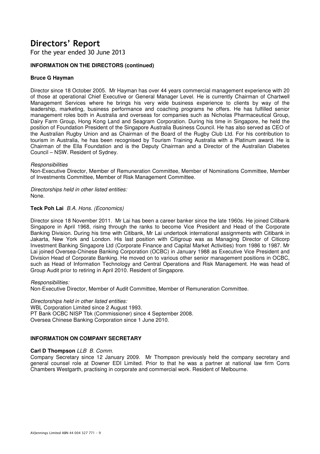For the year ended 30 June 2013

# **INFORMATION ON THE DIRECTORS (continued)**

# **Bruce G Hayman**

Director since 18 October 2005. Mr Hayman has over 44 years commercial management experience with 20 of those at operational Chief Executive or General Manager Level. He is currently Chairman of Chartwell Management Services where he brings his very wide business experience to clients by way of the leadership, marketing, business performance and coaching programs he offers. He has fulfilled senior management roles both in Australia and overseas for companies such as Nicholas Pharmaceutical Group, Dairy Farm Group, Hong Kong Land and Seagram Corporation. During his time in Singapore, he held the position of Foundation President of the Singapore Australia Business Council. He has also served as CEO of the Australian Rugby Union and as Chairman of the Board of the Rugby Club Ltd. For his contribution to tourism in Australia, he has been recognised by Tourism Training Australia with a Platinum award. He is Chairman of the Ella Foundation and is the Deputy Chairman and a Director of the Australian Diabetes Council – NSW. Resident of Sydney.

### **Responsibilities**

Non-Executive Director, Member of Remuneration Committee, Member of Nominations Committee, Member of Investments Committee, Member of Risk Management Committee.

Directorships held in other listed entities: None.

### **Teck Poh Lai** B.A. Hons. (Economics)

Director since 18 November 2011. Mr Lai has been a career banker since the late 1960s. He joined Citibank Singapore in April 1968, rising through the ranks to become Vice President and Head of the Corporate Banking Division. During his time with Citibank, Mr Lai undertook international assignments with Citibank in Jakarta, New York and London. His last position with Citigroup was as Managing Director of Citicorp Investment Banking Singapore Ltd (Corporate Finance and Capital Market Activities) from 1986 to 1987. Mr Lai joined Oversea-Chinese Banking Corporation (OCBC) in January 1988 as Executive Vice President and Division Head of Corporate Banking. He moved on to various other senior management positions in OCBC, such as Head of Information Technology and Central Operations and Risk Management. He was head of Group Audit prior to retiring in April 2010. Resident of Singapore.

### Responsibilities:

Non-Executive Director, Member of Audit Committee, Member of Remuneration Committee.

### Directorships held in other listed entities:

WBL Corporation Limited since 2 August 1993. PT Bank OCBC NISP Tbk (Commissioner) since 4 September 2008. Oversea Chinese Banking Corporation since 1 June 2010.

# **INFORMATION ON COMPANY SECRETARY**

### **Carl D Thompson** LLB B. Comm.

Company Secretary since 12 January 2009. Mr Thompson previously held the company secretary and general counsel role at Downer EDI Limited. Prior to that he was a partner at national law firm Corrs Chambers Westgarth, practising in corporate and commercial work. Resident of Melbourne.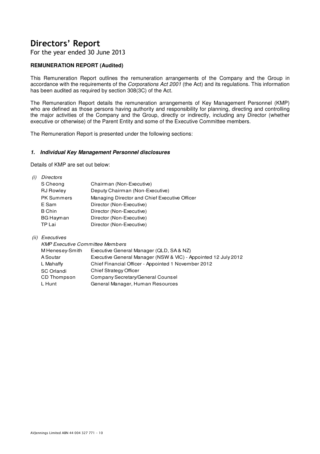For the year ended 30 June 2013

# **REMUNERATION REPORT (Audited)**

This Remuneration Report outlines the remuneration arrangements of the Company and the Group in accordance with the requirements of the Corporations Act 2001 (the Act) and its regulations. This information has been audited as required by section 308(3C) of the Act.

The Remuneration Report details the remuneration arrangements of Key Management Personnel (KMP) who are defined as those persons having authority and responsibility for planning, directing and controlling the major activities of the Company and the Group, directly or indirectly, including any Director (whether executive or otherwise) of the Parent Entity and some of the Executive Committee members.

The Remuneration Report is presented under the following sections:

### **1. Individual Key Management Personnel disclosures**

Details of KMP are set out below:

| (i) | Directors         |                                               |
|-----|-------------------|-----------------------------------------------|
|     | S Cheong          | Chairman (Non-Executive)                      |
|     | <b>RJ Rowley</b>  | Deputy Chairman (Non-Executive)               |
|     | <b>PK Summers</b> | Managing Director and Chief Executive Officer |
|     | E Sam             | Director (Non-Executive)                      |
|     | B Chin            | Director (Non-Executive)                      |
|     | <b>BG Hayman</b>  | Director (Non-Executive)                      |
|     | TP Lai            | Director (Non-Executive)                      |

(ii) Executives

| <b>KMP Executive Committee Members</b> |                                                                |
|----------------------------------------|----------------------------------------------------------------|
| M Henesey-Smith                        | Executive General Manager (QLD, SA & NZ)                       |
| A Soutar                               | Executive General Manager (NSW & VIC) - Appointed 12 July 2012 |
| L Mahaffy                              | Chief Financial Officer - Appointed 1 November 2012            |
| SC Orlandi                             | Chief Strategy Officer                                         |
| CD Thompson                            | Company Secretary/General Counsel                              |
| L Hunt                                 | General Manager, Human Resources                               |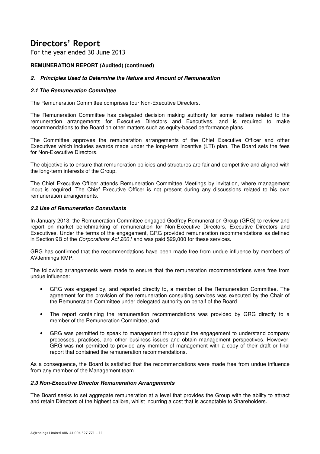For the year ended 30 June 2013

# **REMUNERATION REPORT (Audited) (continued)**

# **2. Principles Used to Determine the Nature and Amount of Remuneration**

# **2.1 The Remuneration Committee**

The Remuneration Committee comprises four Non-Executive Directors.

The Remuneration Committee has delegated decision making authority for some matters related to the remuneration arrangements for Executive Directors and Executives, and is required to make recommendations to the Board on other matters such as equity-based performance plans.

The Committee approves the remuneration arrangements of the Chief Executive Officer and other Executives which includes awards made under the long-term incentive (LTI) plan. The Board sets the fees for Non-Executive Directors.

The objective is to ensure that remuneration policies and structures are fair and competitive and aligned with the long-term interests of the Group.

The Chief Executive Officer attends Remuneration Committee Meetings by invitation, where management input is required. The Chief Executive Officer is not present during any discussions related to his own remuneration arrangements.

# **2.2 Use of Remuneration Consultants**

In January 2013, the Remuneration Committee engaged Godfrey Remuneration Group (GRG) to review and report on market benchmarking of remuneration for Non-Executive Directors, Executive Directors and Executives. Under the terms of the engagement, GRG provided remuneration recommendations as defined in Section 9B of the Corporations Act 2001 and was paid \$29,000 for these services.

GRG has confirmed that the recommendations have been made free from undue influence by members of AVJennings KMP.

The following arrangements were made to ensure that the remuneration recommendations were free from undue influence:

- GRG was engaged by, and reported directly to, a member of the Remuneration Committee. The agreement for the provision of the remuneration consulting services was executed by the Chair of the Remuneration Committee under delegated authority on behalf of the Board.
- The report containing the remuneration recommendations was provided by GRG directly to a member of the Remuneration Committee; and
- GRG was permitted to speak to management throughout the engagement to understand company processes, practises, and other business issues and obtain management perspectives. However, GRG was not permitted to provide any member of management with a copy of their draft or final report that contained the remuneration recommendations.

As a consequence, the Board is satisfied that the recommendations were made free from undue influence from any member of the Management team.

### **2.3 Non-Executive Director Remuneration Arrangements**

The Board seeks to set aggregate remuneration at a level that provides the Group with the ability to attract and retain Directors of the highest calibre, whilst incurring a cost that is acceptable to Shareholders.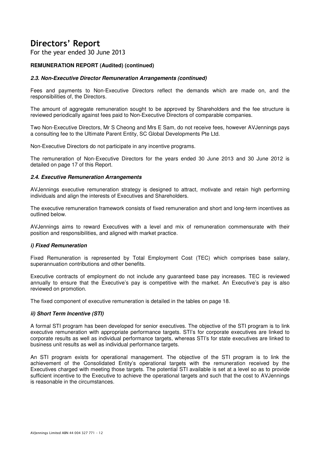For the year ended 30 June 2013

# **REMUNERATION REPORT (Audited) (continued)**

# **2.3. Non-Executive Director Remuneration Arrangements (continued)**

Fees and payments to Non-Executive Directors reflect the demands which are made on, and the responsibilities of, the Directors.

The amount of aggregate remuneration sought to be approved by Shareholders and the fee structure is reviewed periodically against fees paid to Non-Executive Directors of comparable companies.

Two Non-Executive Directors, Mr S Cheong and Mrs E Sam, do not receive fees, however AVJennings pays a consulting fee to the Ultimate Parent Entity, SC Global Developments Pte Ltd.

Non-Executive Directors do not participate in any incentive programs.

The remuneration of Non-Executive Directors for the years ended 30 June 2013 and 30 June 2012 is detailed on page 17 of this Report.

# **2.4. Executive Remuneration Arrangements**

AVJennings executive remuneration strategy is designed to attract, motivate and retain high performing individuals and align the interests of Executives and Shareholders.

The executive remuneration framework consists of fixed remuneration and short and long-term incentives as outlined below.

AVJennings aims to reward Executives with a level and mix of remuneration commensurate with their position and responsibilities, and aligned with market practice.

### **i) Fixed Remuneration**

Fixed Remuneration is represented by Total Employment Cost (TEC) which comprises base salary, superannuation contributions and other benefits.

Executive contracts of employment do not include any guaranteed base pay increases. TEC is reviewed annually to ensure that the Executive's pay is competitive with the market. An Executive's pay is also reviewed on promotion.

The fixed component of executive remuneration is detailed in the tables on page 18.

### **ii) Short Term Incentive (STI)**

A formal STI program has been developed for senior executives. The objective of the STI program is to link executive remuneration with appropriate performance targets. STI's for corporate executives are linked to corporate results as well as individual performance targets, whereas STI's for state executives are linked to business unit results as well as individual performance targets.

An STI program exists for operational management. The objective of the STI program is to link the achievement of the Consolidated Entity's operational targets with the remuneration received by the Executives charged with meeting those targets. The potential STI available is set at a level so as to provide sufficient incentive to the Executive to achieve the operational targets and such that the cost to AVJennings is reasonable in the circumstances.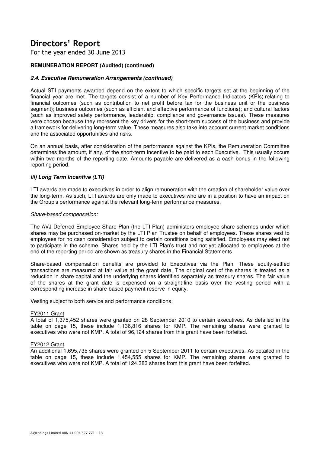For the year ended 30 June 2013

# **REMUNERATION REPORT (Audited) (continued)**

# **2.4. Executive Remuneration Arrangements (continued)**

Actual STI payments awarded depend on the extent to which specific targets set at the beginning of the financial year are met. The targets consist of a number of Key Performance Indicators (KPIs) relating to financial outcomes (such as contribution to net profit before tax for the business unit or the business segment); business outcomes (such as efficient and effective performance of functions); and cultural factors (such as improved safety performance, leadership, compliance and governance issues). These measures were chosen because they represent the key drivers for the short-term success of the business and provide a framework for delivering long-term value. These measures also take into account current market conditions and the associated opportunities and risks.

On an annual basis, after consideration of the performance against the KPIs, the Remuneration Committee determines the amount, if any, of the short-term incentive to be paid to each Executive. This usually occurs within two months of the reporting date. Amounts payable are delivered as a cash bonus in the following reporting period.

# **iii) Long Term Incentive (LTI)**

LTI awards are made to executives in order to align remuneration with the creation of shareholder value over the long-term. As such, LTI awards are only made to executives who are in a position to have an impact on the Group's performance against the relevant long-term performance measures.

### Share-based compensation:

The AVJ Deferred Employee Share Plan (the LTI Plan) administers employee share schemes under which shares may be purchased on-market by the LTI Plan Trustee on behalf of employees. These shares vest to employees for no cash consideration subject to certain conditions being satisfied. Employees may elect not to participate in the scheme. Shares held by the LTI Plan's trust and not yet allocated to employees at the end of the reporting period are shown as treasury shares in the Financial Statements.

Share-based compensation benefits are provided to Executives via the Plan. These equity-settled transactions are measured at fair value at the grant date. The original cost of the shares is treated as a reduction in share capital and the underlying shares identified separately as treasury shares. The fair value of the shares at the grant date is expensed on a straight-line basis over the vesting period with a corresponding increase in share-based payment reserve in equity.

Vesting subject to both service and performance conditions:

### FY2011 Grant

A total of 1,375,452 shares were granted on 28 September 2010 to certain executives. As detailed in the table on page 15, these include 1,136,816 shares for KMP. The remaining shares were granted to executives who were not KMP. A total of 96,124 shares from this grant have been forfeited.

### FY2012 Grant

An additional 1,695,735 shares were granted on 5 September 2011 to certain executives. As detailed in the table on page 15, these include 1,454,555 shares for KMP. The remaining shares were granted to executives who were not KMP. A total of 124,383 shares from this grant have been forfeited.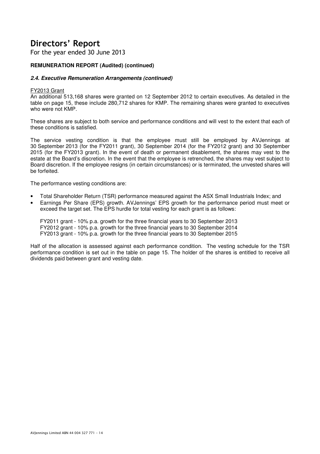For the year ended 30 June 2013

# **REMUNERATION REPORT (Audited) (continued)**

# **2.4. Executive Remuneration Arrangements (continued)**

# FY2013 Grant

An additional 513,168 shares were granted on 12 September 2012 to certain executives. As detailed in the table on page 15, these include 280,712 shares for KMP. The remaining shares were granted to executives who were not KMP.

These shares are subject to both service and performance conditions and will vest to the extent that each of these conditions is satisfied.

The service vesting condition is that the employee must still be employed by AVJennings at 30 September 2013 (for the FY2011 grant), 30 September 2014 (for the FY2012 grant) and 30 September 2015 (for the FY2013 grant). In the event of death or permanent disablement, the shares may vest to the estate at the Board's discretion. In the event that the employee is retrenched, the shares may vest subject to Board discretion. If the employee resigns (in certain circumstances) or is terminated, the unvested shares will be forfeited.

The performance vesting conditions are:

- Total Shareholder Return (TSR) performance measured against the ASX Small Industrials Index; and
- Earnings Per Share (EPS) growth. AVJennings' EPS growth for the performance period must meet or exceed the target set. The EPS hurdle for total vesting for each grant is as follows:

FY2011 grant - 10% p.a. growth for the three financial years to 30 September 2013 FY2012 grant - 10% p.a. growth for the three financial years to 30 September 2014 FY2013 grant - 10% p.a. growth for the three financial years to 30 September 2015

Half of the allocation is assessed against each performance condition. The vesting schedule for the TSR performance condition is set out in the table on page 15. The holder of the shares is entitled to receive all dividends paid between grant and vesting date.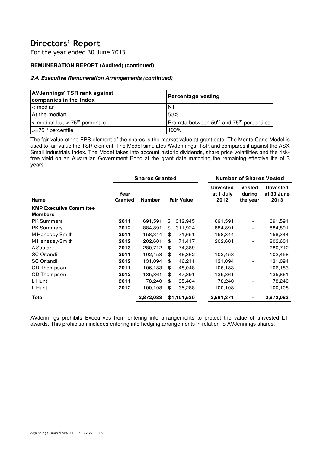For the year ended 30 June 2013

# **REMUNERATION REPORT (Audited) (continued)**

# **2.4. Executive Remuneration Arrangements (continued)**

| <b>AVJennings' TSR rank against</b><br>companies in the Index | Percentage vesting                                                 |
|---------------------------------------------------------------|--------------------------------------------------------------------|
| $\mathsf{l}$ < median                                         | l Nil                                                              |
| At the median                                                 | 50%                                                                |
| $\triangleright$ median but < 75 <sup>th</sup> percentile     | Pro-rata between $50^{\text{th}}$ and 75 <sup>th</sup> percentiles |
| $\left  \right  > = 75$ <sup>th</sup> percentile              | 100%                                                               |

The fair value of the EPS element of the shares is the market value at grant date. The Monte Carlo Model is used to fair value the TSR element. The Model simulates AVJennings' TSR and compares it against the ASX Small Industrials Index. The Model takes into account historic dividends, share price volatilities and the riskfree yield on an Australian Government Bond at the grant date matching the remaining effective life of 3 years.

|                 |               |               | <b>Number of Shares Vested</b>                            |                                     |                                       |  |
|-----------------|---------------|---------------|-----------------------------------------------------------|-------------------------------------|---------------------------------------|--|
| Year<br>Granted | <b>Number</b> |               | <b>Unvested</b><br>at 1 July<br>2012                      | <b>Vested</b><br>during<br>the year | <b>Unvested</b><br>at 30 June<br>2013 |  |
|                 |               |               |                                                           |                                     |                                       |  |
|                 |               |               |                                                           |                                     |                                       |  |
| 2011            | 691,591       | \$<br>312,945 | 691,591                                                   | $\overline{\phantom{a}}$            | 691,591                               |  |
| 2012            | 884,891       | \$<br>311,924 | 884,891                                                   |                                     | 884,891                               |  |
| 2011            | 158,344       | \$<br>71,651  | 158,344                                                   |                                     | 158,344                               |  |
| 2012            | 202,601       | \$<br>71,417  | 202,601                                                   |                                     | 202,601                               |  |
| 2013            | 280,712       | \$<br>74,389  |                                                           | -                                   | 280,712                               |  |
| 2011            | 102,458       | \$<br>46,362  | 102,458                                                   |                                     | 102,458                               |  |
| 2012            | 131,094       | \$<br>46,211  | 131,094                                                   |                                     | 131,094                               |  |
| 2011            | 106,183       | \$<br>48,048  | 106,183                                                   | $\qquad \qquad \blacksquare$        | 106,183                               |  |
| 2012            | 135,861       | \$<br>47,891  | 135,861                                                   | -                                   | 135,861                               |  |
| 2011            | 78,240        | \$<br>35,404  | 78,240                                                    |                                     | 78,240                                |  |
| 2012            | 100,108       | \$<br>35,288  | 100,108                                                   |                                     | 100,108                               |  |
|                 | 2,872,083     |               | 2,591,371                                                 |                                     | 2,872,083                             |  |
|                 |               |               | <b>Shares Granted</b><br><b>Fair Value</b><br>\$1,101,530 |                                     |                                       |  |

AVJennings prohibits Executives from entering into arrangements to protect the value of unvested LTI awards. This prohibition includes entering into hedging arrangements in relation to AVJennings shares.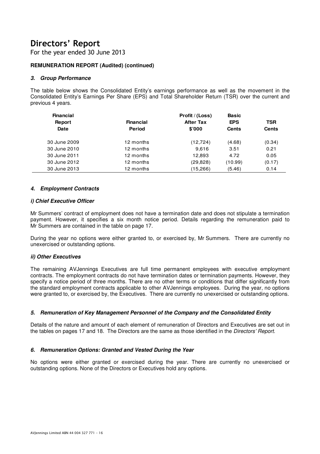For the year ended 30 June 2013

# **REMUNERATION REPORT (Audited) (continued)**

# **3. Group Performance**

The table below shows the Consolidated Entity's earnings performance as well as the movement in the Consolidated Entity's Earnings Per Share (EPS) and Total Shareholder Return (TSR) over the current and previous 4 years.

| <b>Financial</b><br><b>Financial</b><br>Report<br>Date<br><b>Period</b> |           | Profit / (Loss)<br><b>After Tax</b><br>\$'000 | <b>Basic</b><br><b>EPS</b><br><b>Cents</b> | <b>TSR</b><br><b>Cents</b> |
|-------------------------------------------------------------------------|-----------|-----------------------------------------------|--------------------------------------------|----------------------------|
| 30 June 2009                                                            | 12 months | (12, 724)                                     | (4.68)                                     | (0.34)                     |
| 30 June 2010                                                            | 12 months | 9.616                                         | 3.51                                       | 0.21                       |
| 30 June 2011                                                            | 12 months | 12.893                                        | 4.72                                       | 0.05                       |
| 30 June 2012                                                            | 12 months | (29, 828)                                     | (10.99)                                    | (0.17)                     |
| 30 June 2013                                                            | 12 months | (15,266)                                      | (5.46)                                     | 0.14                       |

# **4. Employment Contracts**

### **i) Chief Executive Officer**

Mr Summers' contract of employment does not have a termination date and does not stipulate a termination payment. However, it specifies a six month notice period. Details regarding the remuneration paid to Mr Summers are contained in the table on page 17.

During the year no options were either granted to, or exercised by, Mr Summers. There are currently no unexercised or outstanding options.

# **ii) Other Executives**

The remaining AVJennings Executives are full time permanent employees with executive employment contracts. The employment contracts do not have termination dates or termination payments. However, they specify a notice period of three months. There are no other terms or conditions that differ significantly from the standard employment contracts applicable to other AVJennings employees. During the year, no options were granted to, or exercised by, the Executives. There are currently no unexercised or outstanding options.

# **5. Remuneration of Key Management Personnel of the Company and the Consolidated Entity**

Details of the nature and amount of each element of remuneration of Directors and Executives are set out in the tables on pages 17 and 18. The Directors are the same as those identified in the Directors' Report.

# **6. Remuneration Options: Granted and Vested During the Year**

No options were either granted or exercised during the year. There are currently no unexercised or outstanding options. None of the Directors or Executives hold any options.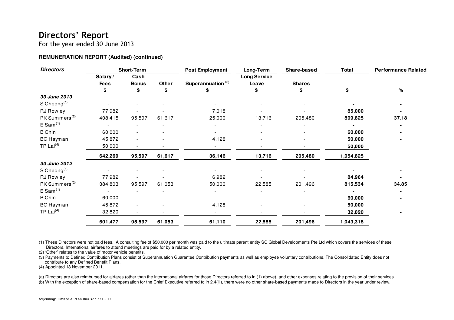For the year ended 30 June 2013

# **REMUNERATION REPORT (Audited) (continued)**

| <b>Directors</b>          |             | <b>Short-Term</b> |              | <b>Post Employment</b>        | Long-Term           | Share-based   | <b>Total</b> | <b>Performance Related</b> |
|---------------------------|-------------|-------------------|--------------|-------------------------------|---------------------|---------------|--------------|----------------------------|
|                           | Salary/     | Cash              |              |                               | <b>Long Service</b> |               |              |                            |
|                           | <b>Fees</b> | <b>Bonus</b>      | <b>Other</b> | Superannuation <sup>(3)</sup> | Leave               | <b>Shares</b> |              |                            |
|                           | \$          | \$                | \$           | \$                            | \$                  | S             | \$           | %                          |
| 30 June 2013              |             |                   |              |                               |                     |               |              |                            |
| $S$ Cheong <sup>(1)</sup> |             |                   |              |                               |                     |               |              |                            |
| <b>RJ Rowley</b>          | 77,982      |                   |              | 7,018                         |                     |               | 85,000       |                            |
| PK Summers <sup>(2)</sup> | 408,415     | 95,597            | 61,617       | 25,000                        | 13,716              | 205,480       | 809,825      | 37.18                      |
| E Sam <sup>(1)</sup>      |             |                   |              |                               |                     |               |              |                            |
| <b>B</b> Chin             | 60,000      |                   |              |                               |                     |               | 60,000       |                            |
| <b>BG Hayman</b>          | 45,872      |                   |              | 4,128                         |                     |               | 50,000       |                            |
| TP Lai $(4)$              | 50,000      |                   |              |                               |                     |               | 50,000       |                            |
|                           | 642,269     | 95,597            | 61,617       | 36,146                        | 13,716              | 205,480       | 1,054,825    |                            |
| 30 June 2012              |             |                   |              |                               |                     |               |              |                            |
| S Cheong $(1)$            |             |                   |              |                               |                     |               |              |                            |
| <b>RJ Rowley</b>          | 77,982      |                   |              | 6,982                         |                     |               | 84,964       |                            |
| PK Summers <sup>(2)</sup> | 384,803     | 95,597            | 61,053       | 50,000                        | 22,585              | 201,496       | 815,534      | 34.85                      |
| E Sam <sup>(1)</sup>      |             |                   |              |                               |                     |               |              |                            |
| <b>B</b> Chin             | 60,000      |                   |              |                               |                     |               | 60,000       |                            |
| <b>BG Hayman</b>          | 45,872      |                   |              | 4,128                         |                     |               | 50,000       |                            |
| TP Lai $(4)$              | 32,820      |                   |              |                               |                     |               | 32,820       |                            |
|                           | 601,477     | 95,597            | 61,053       | 61,110                        | 22,585              | 201,496       | 1,043,318    |                            |

(1) These Directors were not paid fees. A consulting fee of \$50,000 per month was paid to the ultimate parent entity SC Global Developments Pte Ltd which covers the services of these Directors. International airfares to attend meetings are paid for by a related entity.

(2) 'Other' relates to the value of motor vehicle benefits.

 (3) Payments to Defined Contribution Plans consist of Superannuation Guarantee Contribution payments as well as employee voluntary contributions. The Consolidated Entity does not contribute to any Defined Benefit Plans.

(4) Appointed 18 November 2011.

(a) Directors are also reimbursed for airfares (other than the international airfares for those Directors referred to in (1) above), and other expenses relating to the provision of their services. (b) With the exception of share-based compensation for the Chief Executive referred to in 2.4(iii), there were no other share-based payments made to Directors in the year under review.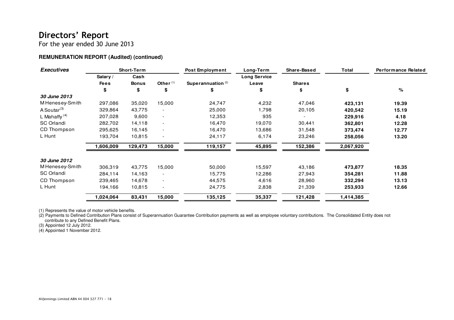For the year ended 30 June 2013

# **REMUNERATION REPORT (Audited) (continued)**

| <b>Executives</b>   |             | <b>Short-Term</b> |                          | Post Employment      | Long-Term           | Share-Based   | <b>Total</b> | <b>Performance Related</b> |  |
|---------------------|-------------|-------------------|--------------------------|----------------------|---------------------|---------------|--------------|----------------------------|--|
|                     | Salary /    | Cash              |                          |                      | <b>Long Service</b> |               |              |                            |  |
|                     | <b>Fees</b> | <b>Bonus</b>      | Other $(1)$              | Superannuation $(2)$ | Leave               | <b>Shares</b> |              |                            |  |
|                     | \$          | \$                | \$                       | \$                   |                     | \$            | \$           | %                          |  |
| 30 June 2013        |             |                   |                          |                      |                     |               |              |                            |  |
| M Henesey-Smith     | 297,086     | 35,020            | 15,000                   | 24,747               | 4,232               | 47,046        | 423,131      | 19.39                      |  |
| A Soutar $(3)$      | 329,864     | 43,775            |                          | 25,000               | 1,798               | 20,105        | 420,542      | 15.19                      |  |
| L Mahaffy $(4)$     | 207,028     | 9,600             | $\overline{\phantom{a}}$ | 12,353               | 935                 |               | 229,916      | 4.18                       |  |
| SC Orlandi          | 282,702     | 14,118            | $\overline{\phantom{a}}$ | 16,470               | 19,070              | 30,441        | 362,801      | 12.28                      |  |
| <b>CD Thompson</b>  | 295,625     | 16,145            | $\overline{\phantom{a}}$ | 16,470               | 13,686              | 31,548        | 373,474      | 12.77                      |  |
| L Hunt              | 193,704     | 10,815            |                          | 24,117               | 6,174               | 23,246        | 258,056      | 13.20                      |  |
|                     | 1,606,009   | 129,473           | 15,000                   | 119,157              | 45,895              | 152,386       | 2,067,920    |                            |  |
| <b>30 June 2012</b> |             |                   |                          |                      |                     |               |              |                            |  |
| M Henesey-Smith     | 306,319     | 43,775            | 15,000                   | 50,000               | 15,597              | 43,186        | 473,877      | 18.35                      |  |
| <b>SC Orlandi</b>   | 284,114     | 14,163            |                          | 15,775               | 12,286              | 27,943        | 354,281      | 11.88                      |  |
| CD Thompson         | 239,465     | 14,678            | $\overline{\phantom{a}}$ | 44,575               | 4,616               | 28,960        | 332,294      | 13.13                      |  |
| L Hunt              | 194,166     | 10,815            | $\overline{\phantom{a}}$ | 24,775               | 2,838               | 21,339        | 253,933      | 12.66                      |  |
|                     | 1,024,064   | 83,431            | 15,000                   | 135,125              | 35,337              | 121,428       | 1,414,385    |                            |  |

(1) Represents the value of motor vehicle benefits.

 (2) Payments to Defined Contribution Plans consist of Superannuation Guarantee Contribution payments as well as employee voluntary contributions. The Consolidated Entity does not contribute to any Defined Benefit Plans. (3) Appointed 12 July 2012. (4) Appointed 1 November 2012.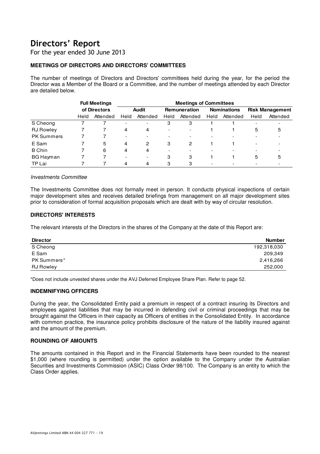For the year ended 30 June 2013

# **MEETINGS OF DIRECTORS AND DIRECTORS' COMMITTEES**

The number of meetings of Directors and Directors' committees held during the year, for the period the Director was a Member of the Board or a Committee, and the number of meetings attended by each Director are detailed below.

|                   | <b>Full Meetings</b> |              |                          | <b>Meetings of Committees</b> |                          |                          |                    |          |                          |          |
|-------------------|----------------------|--------------|--------------------------|-------------------------------|--------------------------|--------------------------|--------------------|----------|--------------------------|----------|
|                   |                      | of Directors | Audit                    |                               | <b>Remuneration</b>      |                          | <b>Nominations</b> |          | <b>Risk Management</b>   |          |
|                   | Held                 | Attended     | Held                     | Attended                      | Held                     | Attended                 | Held               | Attended | Held                     | Attended |
| S Cheong          |                      |              | $\overline{\phantom{0}}$ | $\overline{\phantom{0}}$      | З                        | 3                        |                    |          | $\overline{\phantom{0}}$ |          |
| <b>RJ</b> Rowley  |                      |              | 4                        | 4                             | $\overline{\phantom{0}}$ | $\overline{\phantom{0}}$ |                    |          | 5                        | 5        |
| <b>PK Summers</b> |                      |              | $\overline{\phantom{0}}$ |                               | $\overline{a}$           |                          |                    |          |                          |          |
| E Sam             |                      | 5            | 4                        | 2                             | 3                        | 2                        |                    |          | $\overline{\phantom{0}}$ |          |
| <b>B</b> Chin     |                      | 6            | 4                        | 4                             | $\overline{\phantom{0}}$ | $\overline{\phantom{0}}$ |                    |          |                          |          |
| <b>BG Hayman</b>  |                      |              | $\overline{\phantom{0}}$ | $\overline{\phantom{0}}$      | З                        | 3                        |                    |          | 5                        | 5        |
| TP Lai            |                      |              | 4                        | 4                             | 3                        | 3                        |                    |          |                          |          |

### Investments Committee

The Investments Committee does not formally meet in person. It conducts physical inspections of certain major development sites and receives detailed briefings from management on all major development sites prior to consideration of formal acquisition proposals which are dealt with by way of circular resolution.

# **DIRECTORS' INTERESTS**

The relevant interests of the Directors in the shares of the Company at the date of this Report are:

| <b>Director</b>  | <b>Number</b> |
|------------------|---------------|
| S Cheong         | 192,318,030   |
| E Sam            | 209,349       |
| PK Summers*      | 2,416,266     |
| <b>RJ Rowley</b> | 252,000       |

\*Does not include unvested shares under the AVJ Deferred Employee Share Plan. Refer to page 52.

# **INDEMNIFYING OFFICERS**

During the year, the Consolidated Entity paid a premium in respect of a contract insuring its Directors and employees against liabilities that may be incurred in defending civil or criminal proceedings that may be brought against the Officers in their capacity as Officers of entities in the Consolidated Entity. In accordance with common practice, the insurance policy prohibits disclosure of the nature of the liability insured against and the amount of the premium.

# **ROUNDING OF AMOUNTS**

The amounts contained in this Report and in the Financial Statements have been rounded to the nearest \$1,000 (where rounding is permitted) under the option available to the Company under the Australian Securities and Investments Commission (ASIC) Class Order 98/100. The Company is an entity to which the Class Order applies.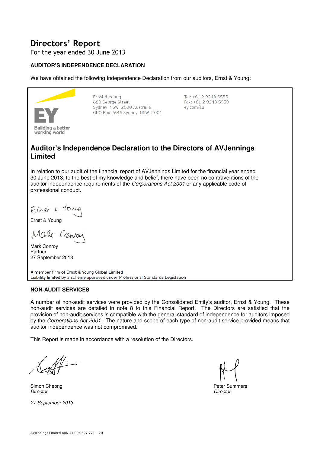For the year ended 30 June 2013

# **AUDITOR'S INDEPENDENCE DECLARATION**

We have obtained the following Independence Declaration from our auditors, Ernst & Young:



Ernst & Young 680 George Street Sydney NSW 2000 Australia GPO Box 2646 Sydney NSW 2001

Tel: +61 2 9248 5555 Fax: +61 2 9248 5959 ey.com/au

# **Auditor's Independence Declaration to the Directors of AVJennings Limited**

In relation to our audit of the financial report of AVJennings Limited for the financial year ended 30 June 2013, to the best of my knowledge and belief, there have been no contraventions of the auditor independence requirements of the Corporations Act 2001 or any applicable code of professional conduct.

First & law

Ernst & Young

Mark Cons

Mark Conroy Partner 27 September 2013

A member firm of Ernst & Young Global Limited Liability limited by a scheme approved under Professional Standards Legislation

# **NON-AUDIT SERVICES**

A number of non-audit services were provided by the Consolidated Entity's auditor, Ernst & Young. These non-audit services are detailed in note 8 to this Financial Report. The Directors are satisfied that the provision of non-audit services is compatible with the general standard of independence for auditors imposed by the Corporations Act 2001. The nature and scope of each type of non-audit service provided means that auditor independence was not compromised.

This Report is made in accordance with a resolution of the Directors.

Director Director

27 September 2013

Simon Cheong **Peter Summers** Peter Summers **Peter Summers**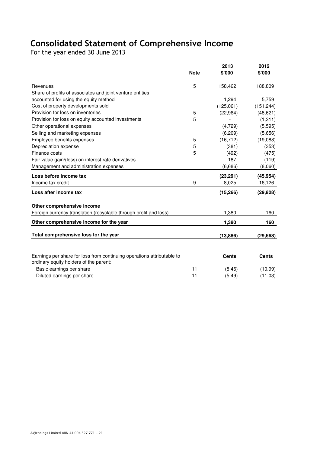# Consolidated Statement of Comprehensive Income

For the year ended 30 June 2013

| 5<br>158,462<br>188,809<br>Revenues<br>Share of profits of associates and joint venture entities<br>accounted for using the equity method<br>1,294<br>5,759<br>Cost of property developments sold<br>(125,061)<br>(151, 244)<br>Provision for loss on inventories<br>5<br>(48, 621)<br>(22, 964)<br>5<br>Provision for loss on equity accounted investments<br>(1, 311)<br>(5, 595)<br>Other operational expenses<br>(4, 729)<br>Selling and marketing expenses<br>(6, 209)<br>(5,656)<br>Employee benefits expenses<br>(19,088)<br>5<br>(16, 712)<br>Depreciation expense<br>5<br>(381)<br>(353)<br>Finance costs<br>5<br>(492)<br>(475)<br>187<br>Fair value gain/(loss) on interest rate derivatives<br>(119)<br>Management and administration expenses<br>(6,686)<br>(8,060)<br>Loss before income tax<br>(23, 291)<br>(45, 954)<br>9<br>Income tax credit<br>8,025<br>16,126<br>Loss after income tax<br>(15, 266)<br>(29, 828)<br>Other comprehensive income<br>1,380<br>160<br>Foreign currency translation (recyclable through profit and loss)<br>Other comprehensive income for the year<br>1,380<br>160<br>Total comprehensive loss for the year<br>(13, 886)<br>(29, 668)<br>Earnings per share for loss from continuing operations attributable to<br><b>Cents</b><br><b>Cents</b><br>ordinary equity holders of the parent:<br>Basic earnings per share<br>11<br>(5.46)<br>(10.99) |                            | <b>Note</b> | 2013<br>\$'000 | 2012<br>\$'000 |
|--------------------------------------------------------------------------------------------------------------------------------------------------------------------------------------------------------------------------------------------------------------------------------------------------------------------------------------------------------------------------------------------------------------------------------------------------------------------------------------------------------------------------------------------------------------------------------------------------------------------------------------------------------------------------------------------------------------------------------------------------------------------------------------------------------------------------------------------------------------------------------------------------------------------------------------------------------------------------------------------------------------------------------------------------------------------------------------------------------------------------------------------------------------------------------------------------------------------------------------------------------------------------------------------------------------------------------------------------------------------------------------------------|----------------------------|-------------|----------------|----------------|
|                                                                                                                                                                                                                                                                                                                                                                                                                                                                                                                                                                                                                                                                                                                                                                                                                                                                                                                                                                                                                                                                                                                                                                                                                                                                                                                                                                                                  |                            |             |                |                |
|                                                                                                                                                                                                                                                                                                                                                                                                                                                                                                                                                                                                                                                                                                                                                                                                                                                                                                                                                                                                                                                                                                                                                                                                                                                                                                                                                                                                  |                            |             |                |                |
|                                                                                                                                                                                                                                                                                                                                                                                                                                                                                                                                                                                                                                                                                                                                                                                                                                                                                                                                                                                                                                                                                                                                                                                                                                                                                                                                                                                                  |                            |             |                |                |
|                                                                                                                                                                                                                                                                                                                                                                                                                                                                                                                                                                                                                                                                                                                                                                                                                                                                                                                                                                                                                                                                                                                                                                                                                                                                                                                                                                                                  |                            |             |                |                |
|                                                                                                                                                                                                                                                                                                                                                                                                                                                                                                                                                                                                                                                                                                                                                                                                                                                                                                                                                                                                                                                                                                                                                                                                                                                                                                                                                                                                  |                            |             |                |                |
|                                                                                                                                                                                                                                                                                                                                                                                                                                                                                                                                                                                                                                                                                                                                                                                                                                                                                                                                                                                                                                                                                                                                                                                                                                                                                                                                                                                                  |                            |             |                |                |
|                                                                                                                                                                                                                                                                                                                                                                                                                                                                                                                                                                                                                                                                                                                                                                                                                                                                                                                                                                                                                                                                                                                                                                                                                                                                                                                                                                                                  |                            |             |                |                |
|                                                                                                                                                                                                                                                                                                                                                                                                                                                                                                                                                                                                                                                                                                                                                                                                                                                                                                                                                                                                                                                                                                                                                                                                                                                                                                                                                                                                  |                            |             |                |                |
|                                                                                                                                                                                                                                                                                                                                                                                                                                                                                                                                                                                                                                                                                                                                                                                                                                                                                                                                                                                                                                                                                                                                                                                                                                                                                                                                                                                                  |                            |             |                |                |
|                                                                                                                                                                                                                                                                                                                                                                                                                                                                                                                                                                                                                                                                                                                                                                                                                                                                                                                                                                                                                                                                                                                                                                                                                                                                                                                                                                                                  |                            |             |                |                |
|                                                                                                                                                                                                                                                                                                                                                                                                                                                                                                                                                                                                                                                                                                                                                                                                                                                                                                                                                                                                                                                                                                                                                                                                                                                                                                                                                                                                  |                            |             |                |                |
|                                                                                                                                                                                                                                                                                                                                                                                                                                                                                                                                                                                                                                                                                                                                                                                                                                                                                                                                                                                                                                                                                                                                                                                                                                                                                                                                                                                                  |                            |             |                |                |
|                                                                                                                                                                                                                                                                                                                                                                                                                                                                                                                                                                                                                                                                                                                                                                                                                                                                                                                                                                                                                                                                                                                                                                                                                                                                                                                                                                                                  |                            |             |                |                |
|                                                                                                                                                                                                                                                                                                                                                                                                                                                                                                                                                                                                                                                                                                                                                                                                                                                                                                                                                                                                                                                                                                                                                                                                                                                                                                                                                                                                  |                            |             |                |                |
|                                                                                                                                                                                                                                                                                                                                                                                                                                                                                                                                                                                                                                                                                                                                                                                                                                                                                                                                                                                                                                                                                                                                                                                                                                                                                                                                                                                                  |                            |             |                |                |
|                                                                                                                                                                                                                                                                                                                                                                                                                                                                                                                                                                                                                                                                                                                                                                                                                                                                                                                                                                                                                                                                                                                                                                                                                                                                                                                                                                                                  |                            |             |                |                |
|                                                                                                                                                                                                                                                                                                                                                                                                                                                                                                                                                                                                                                                                                                                                                                                                                                                                                                                                                                                                                                                                                                                                                                                                                                                                                                                                                                                                  |                            |             |                |                |
|                                                                                                                                                                                                                                                                                                                                                                                                                                                                                                                                                                                                                                                                                                                                                                                                                                                                                                                                                                                                                                                                                                                                                                                                                                                                                                                                                                                                  |                            |             |                |                |
|                                                                                                                                                                                                                                                                                                                                                                                                                                                                                                                                                                                                                                                                                                                                                                                                                                                                                                                                                                                                                                                                                                                                                                                                                                                                                                                                                                                                  |                            |             |                |                |
|                                                                                                                                                                                                                                                                                                                                                                                                                                                                                                                                                                                                                                                                                                                                                                                                                                                                                                                                                                                                                                                                                                                                                                                                                                                                                                                                                                                                  |                            |             |                |                |
|                                                                                                                                                                                                                                                                                                                                                                                                                                                                                                                                                                                                                                                                                                                                                                                                                                                                                                                                                                                                                                                                                                                                                                                                                                                                                                                                                                                                  |                            |             |                |                |
|                                                                                                                                                                                                                                                                                                                                                                                                                                                                                                                                                                                                                                                                                                                                                                                                                                                                                                                                                                                                                                                                                                                                                                                                                                                                                                                                                                                                  |                            |             |                |                |
|                                                                                                                                                                                                                                                                                                                                                                                                                                                                                                                                                                                                                                                                                                                                                                                                                                                                                                                                                                                                                                                                                                                                                                                                                                                                                                                                                                                                  |                            |             |                |                |
|                                                                                                                                                                                                                                                                                                                                                                                                                                                                                                                                                                                                                                                                                                                                                                                                                                                                                                                                                                                                                                                                                                                                                                                                                                                                                                                                                                                                  | Diluted earnings per share | 11          | (5.49)         | (11.03)        |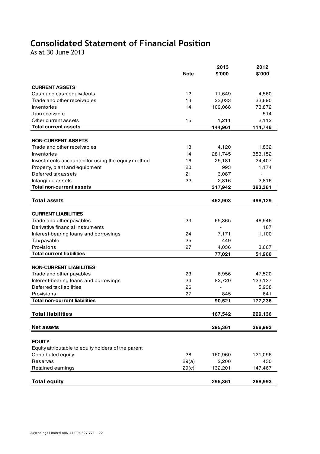# Consolidated Statement of Financial Position

As at 30 June 2013

|                                                          |             | 2013             | 2012          |
|----------------------------------------------------------|-------------|------------------|---------------|
|                                                          | <b>Note</b> | \$'000           | \$'000        |
| <b>CURRENT ASSETS</b>                                    |             |                  |               |
|                                                          | 12          |                  |               |
| Cash and cash equivalents<br>Trade and other receivables | 13          | 11,649<br>23,033 | 4,560         |
| Inventories                                              | 14          |                  | 33,690        |
|                                                          |             | 109,068          | 73,872<br>514 |
| Tax receivable                                           |             |                  |               |
| Other current assets<br><b>Total current assets</b>      | 15          | 1,211            | 2,112         |
|                                                          |             | 144,961          | 114,748       |
| <b>NON-CURRENT ASSETS</b>                                |             |                  |               |
| Trade and other receivables                              | 13          | 4,120            | 1,832         |
| Inventories                                              | 14          | 281,745          | 353,152       |
| Investments accounted for using the equity method        | 16          | 25,181           | 24,407        |
| Property, plant and equipment                            | 20          | 993              | 1,174         |
| Deferred tax assets                                      | 21          | 3,087            |               |
| Intangible assets                                        | 22          | 2,816            | 2,816         |
| <b>Total non-current assets</b>                          |             | 317,942          | 383,381       |
|                                                          |             |                  |               |
| <b>Total assets</b>                                      |             | 462,903          | 498,129       |
|                                                          |             |                  |               |
| <b>CURRENT LIABILITIES</b>                               |             |                  |               |
| Trade and other payables                                 | 23          | 65,365           | 46,946        |
| Derivative financial instruments                         |             |                  | 187           |
| Interest-bearing loans and borrowings                    | 24          | 7,171            | 1,100         |
| Tax payable                                              | 25          | 449              |               |
| Provisions                                               | 27          | 4,036            | 3,667         |
| <b>Total current liabilities</b>                         |             | 77,021           | 51,900        |
|                                                          |             |                  |               |
| <b>NON-CURRENT LIABILITIES</b>                           |             |                  |               |
| Trade and other payables                                 | 23          | 6,956            | 47,520        |
| Interest-bearing loans and borrowings                    | 24          | 82,720           | 123,137       |
| Deferred tax liabilities                                 | 26          |                  | 5,938         |
| Provisions                                               | 27          | 845              | 641           |
| <b>Total non-current liabilities</b>                     |             | 90,521           | 177,236       |
|                                                          |             |                  |               |
| <b>Total liabilities</b>                                 |             | 167,542          | 229,136       |
|                                                          |             |                  |               |
| Net assets                                               |             | 295,361          | 268,993       |
|                                                          |             |                  |               |
| <b>EQUITY</b>                                            |             |                  |               |
| Equity attributable to equity holders of the parent      |             |                  |               |
| Contributed equity                                       | 28          | 160,960          | 121,096       |
| Reserves                                                 | 29(a)       | 2,200            | 430           |
| Retained earnings                                        | 29(c)       | 132,201          | 147,467       |
|                                                          |             |                  |               |
| <b>Total equity</b>                                      |             | 295,361          | 268,993       |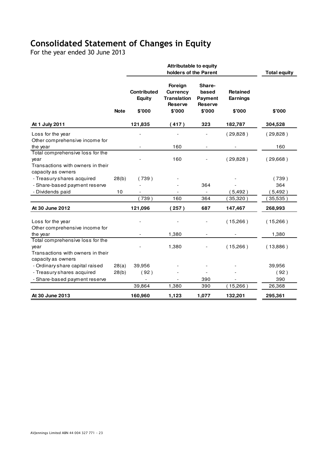# Consolidated Statement of Changes in Equity

For the year ended 30 June 2013

|                                                                               |             | <b>Attributable to equity</b><br>holders of the Parent |                                                                    |                                                     |                             | <b>Total equity</b> |
|-------------------------------------------------------------------------------|-------------|--------------------------------------------------------|--------------------------------------------------------------------|-----------------------------------------------------|-----------------------------|---------------------|
|                                                                               |             | <b>Contributed</b><br>Equity                           | Foreign<br><b>Currency</b><br><b>Translation</b><br><b>Reserve</b> | Share-<br>based<br><b>Payment</b><br><b>Reserve</b> | <b>Retained</b><br>Earnings |                     |
|                                                                               | <b>Note</b> | \$'000                                                 | \$'000                                                             | \$'000                                              | \$'000                      | \$'000              |
| At 1 July 2011                                                                |             | 121,835                                                | (417)                                                              | 323                                                 | 182,787                     | 304,528             |
| Loss for the year<br>Other comprehensive income for                           |             |                                                        |                                                                    |                                                     | (29, 828)                   | (29,828)            |
| the year                                                                      |             |                                                        | 160                                                                | $\overline{\phantom{a}}$                            | $\overline{\phantom{a}}$    | 160                 |
| Total comprehensive loss for the<br>year<br>Transactions with owners in their |             |                                                        | 160                                                                |                                                     | (29, 828)                   | (29,668)            |
| capacity as owners                                                            |             |                                                        |                                                                    |                                                     |                             |                     |
| - Treasury shares acquired                                                    | 28(b)       | (739)                                                  |                                                                    |                                                     |                             | (739)               |
| - Share-based payment reserve                                                 |             |                                                        |                                                                    | 364                                                 |                             | 364                 |
| - Dividends paid                                                              | 10          | (739)                                                  | 160                                                                | $\overline{a}$<br>364                               | (5, 492)                    | (5,492)             |
|                                                                               |             |                                                        |                                                                    |                                                     | 35,320                      | (35,535)            |
| At 30 June 2012                                                               |             | 121,096                                                | 257)                                                               | 687                                                 | 147,467                     | 268,993             |
| Loss for the year<br>Other comprehensive income for                           |             |                                                        |                                                                    |                                                     | (15,266)                    | (15,266)            |
| the year                                                                      |             |                                                        | 1,380                                                              | $\overline{\phantom{a}}$                            |                             | 1,380               |
| Total comprehensive loss for the                                              |             |                                                        |                                                                    |                                                     |                             |                     |
| year                                                                          |             |                                                        | 1,380                                                              |                                                     | (15,266)                    | (13,886)            |
| Transactions with owners in their<br>capacity as owners                       |             |                                                        |                                                                    |                                                     |                             |                     |
| - Ordinary share capital raised                                               | 28(a)       | 39,956                                                 |                                                                    |                                                     |                             | 39,956              |
| - Treasury shares acquired                                                    | 28(b)       | (92)                                                   |                                                                    |                                                     |                             | (92)                |
| - Share-based payment reserve                                                 |             |                                                        |                                                                    | 390                                                 |                             | 390                 |
|                                                                               |             | 39,864                                                 | 1,380                                                              | 390                                                 | (15,266)                    | 26,368              |
| At 30 June 2013                                                               |             | 160,960                                                | 1,123                                                              | 1,077                                               | 132,201                     | 295,361             |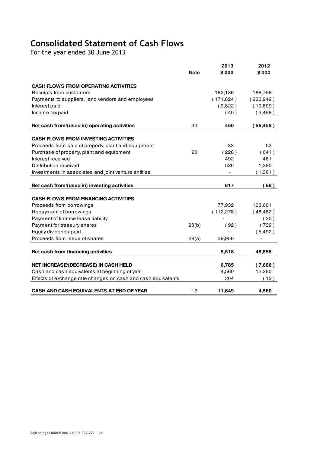# Consolidated Statement of Cash Flows

For the year ended 30 June 2013

|                                                               | <b>Note</b> | 2013<br>\$'000 | 2012<br>\$'000 |
|---------------------------------------------------------------|-------------|----------------|----------------|
| <b>CASH FLOWS FROM OPERATING ACTIVITIES</b>                   |             |                |                |
| Receipts from customers                                       |             | 182,136        | 188,798        |
| Payments to suppliers, land vendors and employees             |             | (171, 824)     | (230, 949)     |
| Interest paid                                                 |             | (9,822)        | (10,809)       |
| Income tax paid                                               |             | (40)           | (3,498)        |
|                                                               |             |                |                |
| Net cash from/(used in) operating activities                  | 30          | 450            | (56, 458)      |
| <b>CASH FLOWS FROM INVESTING ACTIVITIES</b>                   |             |                |                |
| Proceeds from sale of property, plant and equipment           |             | 33             | 53             |
| Purchase of property, plant and equipment                     | 20          | (228)          | (641)          |
| Interest received                                             |             | 492            | 481            |
| Distribution received                                         |             | 520            | 1,380          |
| Investments in associates and joint venture entities          |             |                | (1,361)        |
| Net cash from/(used in) investing activities                  |             | 817            | (88)           |
| <b>CASH FLOWS FROM FINANCING ACTIVITIES</b>                   |             |                |                |
| Proceeds from borrowings                                      |             | 77,932         | 103,601        |
| Repayment of borrowings                                       |             | (112, 278)     | (48, 482)      |
| Payment of finance lease liability                            |             |                | (30)           |
| Payment for treasury shares                                   | 28(b)       | (92)           | (739)          |
| Equity dividends paid                                         |             |                | (5, 492)       |
| Proceeds from issue of shares                                 | 28(a)       | 39,956         |                |
| Net cash from financing activities                            |             | 5,518          | 48,858         |
| <b>NET INCREASE/(DECREASE) IN CASH HELD</b>                   |             | 6,785          | (7,688)        |
| Cash and cash equivalents at beginning of year                |             | 4,560          | 12,260         |
| Effects of exchange rate changes on cash and cash equivalents |             | 304            | (12)           |
| CASH AND CASH EQUIVALENTS AT END OF YEAR                      | 12          | 11,649         | 4,560          |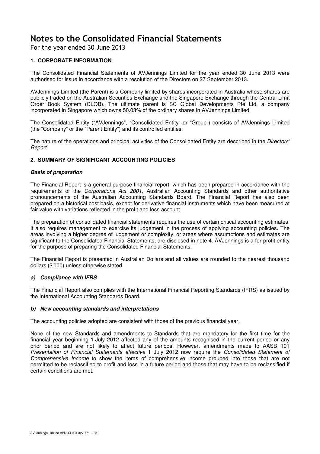For the year ended 30 June 2013

# **1. CORPORATE INFORMATION**

The Consolidated Financial Statements of AVJennings Limited for the year ended 30 June 2013 were authorised for issue in accordance with a resolution of the Directors on 27 September 2013.

AVJennings Limited (the Parent) is a Company limited by shares incorporated in Australia whose shares are publicly traded on the Australian Securities Exchange and the Singapore Exchange through the Central Limit Order Book System (CLOB). The ultimate parent is SC Global Developments Pte Ltd, a company incorporated in Singapore which owns 50.03% of the ordinary shares in AVJennings Limited.

The Consolidated Entity ("AVJennings", "Consolidated Entity" or "Group") consists of AVJennings Limited (the "Company" or the "Parent Entity") and its controlled entities.

The nature of the operations and principal activities of the Consolidated Entity are described in the *Directors'* Report.

# **2. SUMMARY OF SIGNIFICANT ACCOUNTING POLICIES**

### **Basis of preparation**

The Financial Report is a general purpose financial report, which has been prepared in accordance with the requirements of the Corporations Act 2001, Australian Accounting Standards and other authoritative pronouncements of the Australian Accounting Standards Board. The Financial Report has also been prepared on a historical cost basis, except for derivative financial instruments which have been measured at fair value with variations reflected in the profit and loss account.

The preparation of consolidated financial statements requires the use of certain critical accounting estimates. It also requires management to exercise its judgement in the process of applying accounting policies. The areas involving a higher degree of judgement or complexity, or areas where assumptions and estimates are significant to the Consolidated Financial Statements, are disclosed in note 4. AVJennings is a for-profit entity for the purpose of preparing the Consolidated Financial Statements.

The Financial Report is presented in Australian Dollars and all values are rounded to the nearest thousand dollars (\$'000) unless otherwise stated.

# **a) Compliance with IFRS**

The Financial Report also complies with the International Financial Reporting Standards (IFRS) as issued by the International Accounting Standards Board.

### **b) New accounting standards and interpretations**

The accounting policies adopted are consistent with those of the previous financial year.

None of the new Standards and amendments to Standards that are mandatory for the first time for the financial year beginning 1 July 2012 affected any of the amounts recognised in the current period or any prior period and are not likely to affect future periods. However, amendments made to AASB 101 Presentation of Financial Statements effective 1 July 2012 now require the Consolidated Statement of Comprehensive Income to show the items of comprehensive income grouped into those that are not permitted to be reclassified to profit and loss in a future period and those that may have to be reclassified if certain conditions are met.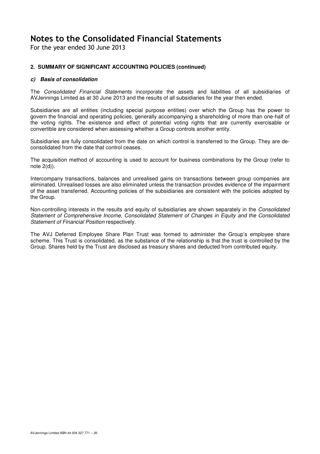For the year ended 30 June 2013

# **2. SUMMARY OF SIGNIFICANT ACCOUNTING POLICIES (continued)**

# **c) Basis of consolidation**

The Consolidated Financial Statements incorporate the assets and liabilities of all subsidiaries of AVJennings Limited as at 30 June 2013 and the results of all subsidiaries for the year then ended.

Subsidiaries are all entities (including special purpose entities) over which the Group has the power to govern the financial and operating policies, generally accompanying a shareholding of more than one-half of the voting rights. The existence and effect of potential voting rights that are currently exercisable or convertible are considered when assessing whether a Group controls another entity.

Subsidiaries are fully consolidated from the date on which control is transferred to the Group. They are deconsolidated from the date that control ceases.

The acquisition method of accounting is used to account for business combinations by the Group (refer to note 2(d)).

Intercompany transactions, balances and unrealised gains on transactions between group companies are eliminated. Unrealised losses are also eliminated unless the transaction provides evidence of the impairment of the asset transferred. Accounting policies of the subsidiaries are consistent with the policies adopted by the Group.

Non-controlling interests in the results and equity of subsidiaries are shown separately in the Consolidated Statement of Comprehensive Income, Consolidated Statement of Changes in Equity and the Consolidated Statement of Financial Position respectively.

The AVJ Deferred Employee Share Plan Trust was formed to administer the Group's employee share scheme. This Trust is consolidated, as the substance of the relationship is that the trust is controlled by the Group. Shares held by the Trust are disclosed as treasury shares and deducted from contributed equity.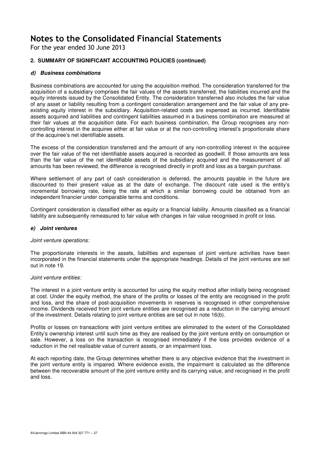For the year ended 30 June 2013

# **2. SUMMARY OF SIGNIFICANT ACCOUNTING POLICIES (continued)**

# **d) Business combinations**

Business combinations are accounted for using the acquisition method. The consideration transferred for the acquisition of a subsidiary comprises the fair values of the assets transferred, the liabilities incurred and the equity interests issued by the Consolidated Entity. The consideration transferred also includes the fair value of any asset or liability resulting from a contingent consideration arrangement and the fair value of any preexisting equity interest in the subsidiary. Acquisition-related costs are expensed as incurred. Identifiable assets acquired and liabilities and contingent liabilities assumed in a business combination are measured at their fair values at the acquisition date. For each business combination, the Group recognises any noncontrolling interest in the acquiree either at fair value or at the non-controlling interest's proportionate share of the acquiree's net identifiable assets.

The excess of the consideration transferred and the amount of any non-controlling interest in the acquiree over the fair value of the net identifiable assets acquired is recorded as goodwill. If those amounts are less than the fair value of the net identifiable assets of the subsidiary acquired and the measurement of all amounts has been reviewed, the difference is recognised directly in profit and loss as a bargain purchase.

Where settlement of any part of cash consideration is deferred, the amounts payable in the future are discounted to their present value as at the date of exchange. The discount rate used is the entity's incremental borrowing rate, being the rate at which a similar borrowing could be obtained from an independent financier under comparable terms and conditions.

Contingent consideration is classified either as equity or a financial liability. Amounts classified as a financial liability are subsequently remeasured to fair value with changes in fair value recognised in profit or loss.

### **e) Joint ventures**

### Joint venture operations:

The proportionate interests in the assets, liabilities and expenses of joint venture activities have been incorporated in the financial statements under the appropriate headings. Details of the joint ventures are set out in note 19.

### Joint venture entities:

The interest in a joint venture entity is accounted for using the equity method after initially being recognised at cost. Under the equity method, the share of the profits or losses of the entity are recognised in the profit and loss, and the share of post-acquisition movements in reserves is recognised in other comprehensive income. Dividends received from joint venture entities are recognised as a reduction in the carrying amount of the investment. Details relating to joint venture entities are set out in note 16(b).

Profits or losses on transactions with joint venture entities are eliminated to the extent of the Consolidated Entity's ownership interest until such time as they are realised by the joint venture entity on consumption or sale. However, a loss on the transaction is recognised immediately if the loss provides evidence of a reduction in the net realisable value of current assets, or an impairment loss.

At each reporting date, the Group determines whether there is any objective evidence that the investment in the joint venture entity is impaired. Where evidence exists, the impairment is calculated as the difference between the recoverable amount of the joint venture entity and its carrying value, and recognised in the profit and loss.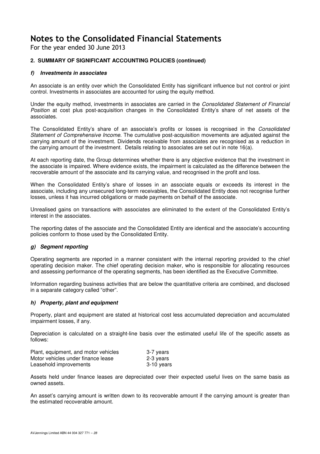For the year ended 30 June 2013

# **2. SUMMARY OF SIGNIFICANT ACCOUNTING POLICIES (continued)**

# **f) Investments in associates**

An associate is an entity over which the Consolidated Entity has significant influence but not control or joint control. Investments in associates are accounted for using the equity method.

Under the equity method, investments in associates are carried in the Consolidated Statement of Financial Position at cost plus post-acquisition changes in the Consolidated Entity's share of net assets of the associates.

The Consolidated Entity's share of an associate's profits or losses is recognised in the Consolidated Statement of Comprehensive Income. The cumulative post-acquisition movements are adjusted against the carrying amount of the investment. Dividends receivable from associates are recognised as a reduction in the carrying amount of the investment. Details relating to associates are set out in note 16(a).

At each reporting date, the Group determines whether there is any objective evidence that the investment in the associate is impaired. Where evidence exists, the impairment is calculated as the difference between the recoverable amount of the associate and its carrying value, and recognised in the profit and loss.

When the Consolidated Entity's share of losses in an associate equals or exceeds its interest in the associate, including any unsecured long-term receivables, the Consolidated Entity does not recognise further losses, unless it has incurred obligations or made payments on behalf of the associate.

Unrealised gains on transactions with associates are eliminated to the extent of the Consolidated Entity's interest in the associates.

The reporting dates of the associate and the Consolidated Entity are identical and the associate's accounting policies conform to those used by the Consolidated Entity.

# **g) Segment reporting**

Operating segments are reported in a manner consistent with the internal reporting provided to the chief operating decision maker. The chief operating decision maker, who is responsible for allocating resources and assessing performance of the operating segments, has been identified as the Executive Committee.

Information regarding business activities that are below the quantitative criteria are combined, and disclosed in a separate category called "other".

### **h) Property, plant and equipment**

Property, plant and equipment are stated at historical cost less accumulated depreciation and accumulated impairment losses, if any.

Depreciation is calculated on a straight-line basis over the estimated useful life of the specific assets as follows:

| Plant, equipment, and motor vehicles | 3-7 years  |
|--------------------------------------|------------|
| Motor vehicles under finance lease   | 2-3 years  |
| Leasehold improvements               | 3-10 years |

Assets held under finance leases are depreciated over their expected useful lives on the same basis as owned assets.

An asset's carrying amount is written down to its recoverable amount if the carrying amount is greater than the estimated recoverable amount.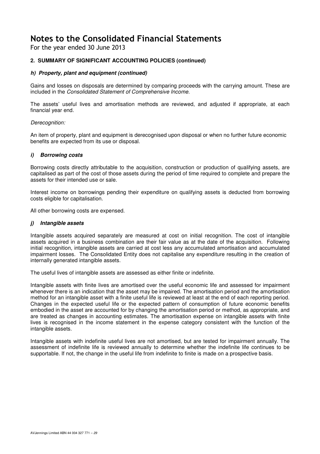For the year ended 30 June 2013

# **2. SUMMARY OF SIGNIFICANT ACCOUNTING POLICIES (continued)**

# **h) Property, plant and equipment (continued)**

Gains and losses on disposals are determined by comparing proceeds with the carrying amount. These are included in the Consolidated Statement of Comprehensive Income.

The assets' useful lives and amortisation methods are reviewed, and adjusted if appropriate, at each financial year end.

### Derecognition:

An item of property, plant and equipment is derecognised upon disposal or when no further future economic benefits are expected from its use or disposal.

### **i) Borrowing costs**

Borrowing costs directly attributable to the acquisition, construction or production of qualifying assets, are capitalised as part of the cost of those assets during the period of time required to complete and prepare the assets for their intended use or sale.

Interest income on borrowings pending their expenditure on qualifying assets is deducted from borrowing costs eligible for capitalisation.

All other borrowing costs are expensed.

### **j) Intangible assets**

Intangible assets acquired separately are measured at cost on initial recognition. The cost of intangible assets acquired in a business combination are their fair value as at the date of the acquisition. Following initial recognition, intangible assets are carried at cost less any accumulated amortisation and accumulated impairment losses. The Consolidated Entity does not capitalise any expenditure resulting in the creation of internally generated intangible assets.

The useful lives of intangible assets are assessed as either finite or indefinite.

Intangible assets with finite lives are amortised over the useful economic life and assessed for impairment whenever there is an indication that the asset may be impaired. The amortisation period and the amortisation method for an intangible asset with a finite useful life is reviewed at least at the end of each reporting period. Changes in the expected useful life or the expected pattern of consumption of future economic benefits embodied in the asset are accounted for by changing the amortisation period or method, as appropriate, and are treated as changes in accounting estimates. The amortisation expense on intangible assets with finite lives is recognised in the income statement in the expense category consistent with the function of the intangible assets.

Intangible assets with indefinite useful lives are not amortised, but are tested for impairment annually. The assessment of indefinite life is reviewed annually to determine whether the indefinite life continues to be supportable. If not, the change in the useful life from indefinite to finite is made on a prospective basis.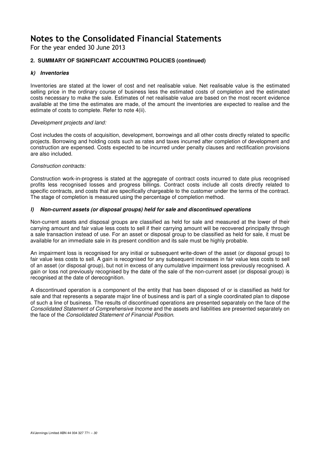For the year ended 30 June 2013

# **2. SUMMARY OF SIGNIFICANT ACCOUNTING POLICIES (continued)**

# **k) Inventories**

Inventories are stated at the lower of cost and net realisable value. Net realisable value is the estimated selling price in the ordinary course of business less the estimated costs of completion and the estimated costs necessary to make the sale. Estimates of net realisable value are based on the most recent evidence available at the time the estimates are made, of the amount the inventories are expected to realise and the estimate of costs to complete. Refer to note 4(ii).

### Development projects and land:

Cost includes the costs of acquisition, development, borrowings and all other costs directly related to specific projects. Borrowing and holding costs such as rates and taxes incurred after completion of development and construction are expensed. Costs expected to be incurred under penalty clauses and rectification provisions are also included.

# Construction contracts:

Construction work-in-progress is stated at the aggregate of contract costs incurred to date plus recognised profits less recognised losses and progress billings. Contract costs include all costs directly related to specific contracts, and costs that are specifically chargeable to the customer under the terms of the contract. The stage of completion is measured using the percentage of completion method.

# **l) Non-current assets (or disposal groups) held for sale and discontinued operations**

Non-current assets and disposal groups are classified as held for sale and measured at the lower of their carrying amount and fair value less costs to sell if their carrying amount will be recovered principally through a sale transaction instead of use. For an asset or disposal group to be classified as held for sale, it must be available for an immediate sale in its present condition and its sale must be highly probable.

An impairment loss is recognised for any initial or subsequent write-down of the asset (or disposal group) to fair value less costs to sell. A gain is recognised for any subsequent increases in fair value less costs to sell of an asset (or disposal group), but not in excess of any cumulative impairment loss previously recognised. A gain or loss not previously recognised by the date of the sale of the non-current asset (or disposal group) is recognised at the date of derecognition.

A discontinued operation is a component of the entity that has been disposed of or is classified as held for sale and that represents a separate major line of business and is part of a single coordinated plan to dispose of such a line of business. The results of discontinued operations are presented separately on the face of the Consolidated Statement of Comprehensive Income and the assets and liabilities are presented separately on the face of the Consolidated Statement of Financial Position.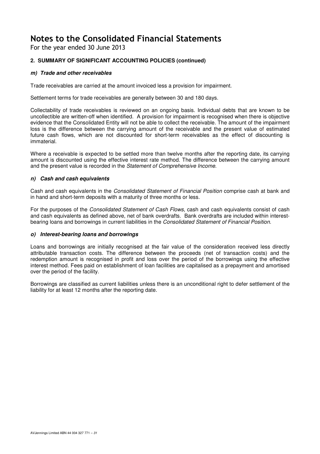For the year ended 30 June 2013

# **2. SUMMARY OF SIGNIFICANT ACCOUNTING POLICIES (continued)**

# **m) Trade and other receivables**

Trade receivables are carried at the amount invoiced less a provision for impairment.

Settlement terms for trade receivables are generally between 30 and 180 days.

Collectability of trade receivables is reviewed on an ongoing basis. Individual debts that are known to be uncollectible are written-off when identified. A provision for impairment is recognised when there is objective evidence that the Consolidated Entity will not be able to collect the receivable. The amount of the impairment loss is the difference between the carrying amount of the receivable and the present value of estimated future cash flows, which are not discounted for short-term receivables as the effect of discounting is immaterial.

Where a receivable is expected to be settled more than twelve months after the reporting date, its carrying amount is discounted using the effective interest rate method. The difference between the carrying amount and the present value is recorded in the Statement of Comprehensive Income.

# **n) Cash and cash equivalents**

Cash and cash equivalents in the Consolidated Statement of Financial Position comprise cash at bank and in hand and short-term deposits with a maturity of three months or less.

For the purposes of the Consolidated Statement of Cash Flows, cash and cash equivalents consist of cash and cash equivalents as defined above, net of bank overdrafts. Bank overdrafts are included within interestbearing loans and borrowings in current liabilities in the Consolidated Statement of Financial Position.

# **o) Interest-bearing loans and borrowings**

Loans and borrowings are initially recognised at the fair value of the consideration received less directly attributable transaction costs. The difference between the proceeds (net of transaction costs) and the redemption amount is recognised in profit and loss over the period of the borrowings using the effective interest method. Fees paid on establishment of loan facilities are capitalised as a prepayment and amortised over the period of the facility.

Borrowings are classified as current liabilities unless there is an unconditional right to defer settlement of the liability for at least 12 months after the reporting date.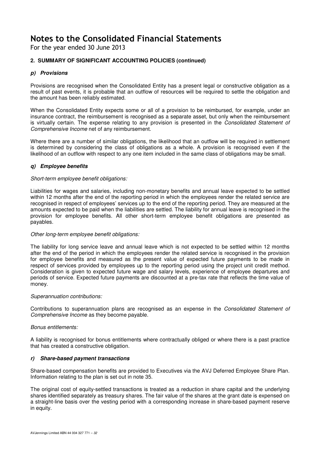For the year ended 30 June 2013

# **2. SUMMARY OF SIGNIFICANT ACCOUNTING POLICIES (continued)**

# **p) Provisions**

Provisions are recognised when the Consolidated Entity has a present legal or constructive obligation as a result of past events, it is probable that an outflow of resources will be required to settle the obligation and the amount has been reliably estimated.

When the Consolidated Entity expects some or all of a provision to be reimbursed, for example, under an insurance contract, the reimbursement is recognised as a separate asset, but only when the reimbursement is virtually certain. The expense relating to any provision is presented in the Consolidated Statement of Comprehensive Income net of any reimbursement.

Where there are a number of similar obligations, the likelihood that an outflow will be required in settlement is determined by considering the class of obligations as a whole. A provision is recognised even if the likelihood of an outflow with respect to any one item included in the same class of obligations may be small.

# **q) Employee benefits**

# Short-term employee benefit obligations:

Liabilities for wages and salaries, including non-monetary benefits and annual leave expected to be settled within 12 months after the end of the reporting period in which the employees render the related service are recognised in respect of employees' services up to the end of the reporting period. They are measured at the amounts expected to be paid when the liabilities are settled. The liability for annual leave is recognised in the provision for employee benefits. All other short-term employee benefit obligations are presented as payables.

# Other long-term employee benefit obligations:

The liability for long service leave and annual leave which is not expected to be settled within 12 months after the end of the period in which the employees render the related service is recognised in the provision for employee benefits and measured as the present value of expected future payments to be made in respect of services provided by employees up to the reporting period using the project unit credit method. Consideration is given to expected future wage and salary levels, experience of employee departures and periods of service. Expected future payments are discounted at a pre-tax rate that reflects the time value of money.

# Superannuation contributions:

Contributions to superannuation plans are recognised as an expense in the Consolidated Statement of Comprehensive Income as they become payable.

# Bonus entitlements:

A liability is recognised for bonus entitlements where contractually obliged or where there is a past practice that has created a constructive obligation.

# **r) Share-based payment transactions**

Share-based compensation benefits are provided to Executives via the AVJ Deferred Employee Share Plan. Information relating to the plan is set out in note 35.

The original cost of equity-settled transactions is treated as a reduction in share capital and the underlying shares identified separately as treasury shares. The fair value of the shares at the grant date is expensed on a straight-line basis over the vesting period with a corresponding increase in share-based payment reserve in equity.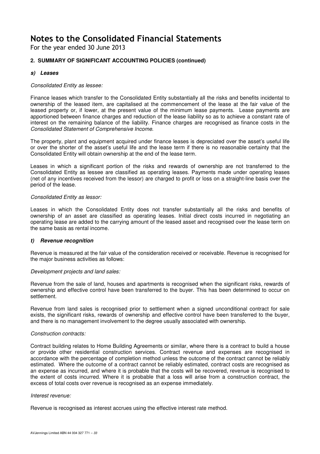For the year ended 30 June 2013

# **2. SUMMARY OF SIGNIFICANT ACCOUNTING POLICIES (continued)**

# **s) Leases**

# Consolidated Entity as lessee:

Finance leases which transfer to the Consolidated Entity substantially all the risks and benefits incidental to ownership of the leased item, are capitalised at the commencement of the lease at the fair value of the leased property or, if lower, at the present value of the minimum lease payments. Lease payments are apportioned between finance charges and reduction of the lease liability so as to achieve a constant rate of interest on the remaining balance of the liability. Finance charges are recognised as finance costs in the Consolidated Statement of Comprehensive Income.

The property, plant and equipment acquired under finance leases is depreciated over the asset's useful life or over the shorter of the asset's useful life and the lease term if there is no reasonable certainty that the Consolidated Entity will obtain ownership at the end of the lease term.

Leases in which a significant portion of the risks and rewards of ownership are not transferred to the Consolidated Entity as lessee are classified as operating leases. Payments made under operating leases (net of any incentives received from the lessor) are charged to profit or loss on a straight-line basis over the period of the lease.

# Consolidated Entity as lessor:

Leases in which the Consolidated Entity does not transfer substantially all the risks and benefits of ownership of an asset are classified as operating leases. Initial direct costs incurred in negotiating an operating lease are added to the carrying amount of the leased asset and recognised over the lease term on the same basis as rental income.

# **t) Revenue recognition**

Revenue is measured at the fair value of the consideration received or receivable. Revenue is recognised for the major business activities as follows:

### Development projects and land sales:

Revenue from the sale of land, houses and apartments is recognised when the significant risks, rewards of ownership and effective control have been transferred to the buyer. This has been determined to occur on settlement.

Revenue from land sales is recognised prior to settlement when a signed unconditional contract for sale exists, the significant risks, rewards of ownership and effective control have been transferred to the buyer, and there is no management involvement to the degree usually associated with ownership.

### Construction contracts:

Contract building relates to Home Building Agreements or similar, where there is a contract to build a house or provide other residential construction services. Contract revenue and expenses are recognised in accordance with the percentage of completion method unless the outcome of the contract cannot be reliably estimated. Where the outcome of a contract cannot be reliably estimated, contract costs are recognised as an expense as incurred, and where it is probable that the costs will be recovered, revenue is recognised to the extent of costs incurred. Where it is probable that a loss will arise from a construction contract, the excess of total costs over revenue is recognised as an expense immediately.

### Interest revenue:

Revenue is recognised as interest accrues using the effective interest rate method.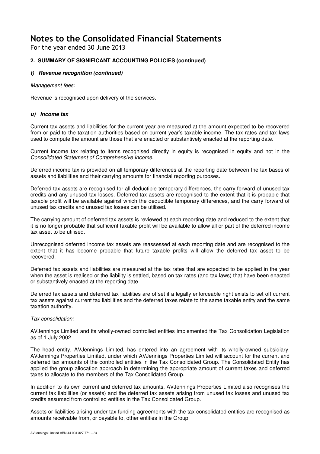For the year ended 30 June 2013

# **2. SUMMARY OF SIGNIFICANT ACCOUNTING POLICIES (continued)**

# **t) Revenue recognition (continued)**

Management fees:

Revenue is recognised upon delivery of the services.

# **u) Income tax**

Current tax assets and liabilities for the current year are measured at the amount expected to be recovered from or paid to the taxation authorities based on current year's taxable income. The tax rates and tax laws used to compute the amount are those that are enacted or substantively enacted at the reporting date.

Current income tax relating to items recognised directly in equity is recognised in equity and not in the Consolidated Statement of Comprehensive Income.

Deferred income tax is provided on all temporary differences at the reporting date between the tax bases of assets and liabilities and their carrying amounts for financial reporting purposes.

Deferred tax assets are recognised for all deductible temporary differences, the carry forward of unused tax credits and any unused tax losses. Deferred tax assets are recognised to the extent that it is probable that taxable profit will be available against which the deductible temporary differences, and the carry forward of unused tax credits and unused tax losses can be utilised.

The carrying amount of deferred tax assets is reviewed at each reporting date and reduced to the extent that it is no longer probable that sufficient taxable profit will be available to allow all or part of the deferred income tax asset to be utilised.

Unrecognised deferred income tax assets are reassessed at each reporting date and are recognised to the extent that it has become probable that future taxable profits will allow the deferred tax asset to be recovered.

Deferred tax assets and liabilities are measured at the tax rates that are expected to be applied in the year when the asset is realised or the liability is settled, based on tax rates (and tax laws) that have been enacted or substantively enacted at the reporting date.

Deferred tax assets and deferred tax liabilities are offset if a legally enforceable right exists to set off current tax assets against current tax liabilities and the deferred taxes relate to the same taxable entity and the same taxation authority.

# Tax consolidation:

AVJennings Limited and its wholly-owned controlled entities implemented the Tax Consolidation Legislation as of 1 July 2002.

The head entity, AVJennings Limited, has entered into an agreement with its wholly-owned subsidiary, AVJennings Properties Limited, under which AVJennings Properties Limited will account for the current and deferred tax amounts of the controlled entities in the Tax Consolidated Group. The Consolidated Entity has applied the group allocation approach in determining the appropriate amount of current taxes and deferred taxes to allocate to the members of the Tax Consolidated Group.

In addition to its own current and deferred tax amounts, AVJennings Properties Limited also recognises the current tax liabilities (or assets) and the deferred tax assets arising from unused tax losses and unused tax credits assumed from controlled entities in the Tax Consolidated Group.

Assets or liabilities arising under tax funding agreements with the tax consolidated entities are recognised as amounts receivable from, or payable to, other entities in the Group.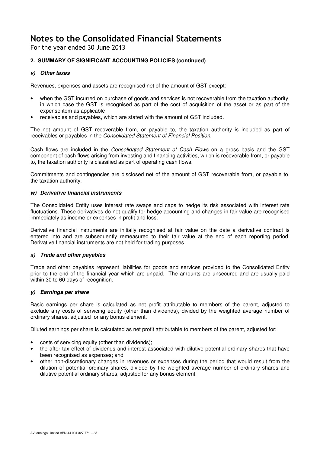For the year ended 30 June 2013

# **2. SUMMARY OF SIGNIFICANT ACCOUNTING POLICIES (continued)**

# **v) Other taxes**

Revenues, expenses and assets are recognised net of the amount of GST except:

- when the GST incurred on purchase of goods and services is not recoverable from the taxation authority, in which case the GST is recognised as part of the cost of acquisition of the asset or as part of the expense item as applicable
- receivables and payables, which are stated with the amount of GST included.

The net amount of GST recoverable from, or payable to, the taxation authority is included as part of receivables or payables in the Consolidated Statement of Financial Position.

Cash flows are included in the Consolidated Statement of Cash Flows on a gross basis and the GST component of cash flows arising from investing and financing activities, which is recoverable from, or payable to, the taxation authority is classified as part of operating cash flows.

Commitments and contingencies are disclosed net of the amount of GST recoverable from, or payable to, the taxation authority.

# **w) Derivative financial instruments**

The Consolidated Entity uses interest rate swaps and caps to hedge its risk associated with interest rate fluctuations. These derivatives do not qualify for hedge accounting and changes in fair value are recognised immediately as income or expenses in profit and loss.

Derivative financial instruments are initially recognised at fair value on the date a derivative contract is entered into and are subsequently remeasured to their fair value at the end of each reporting period. Derivative financial instruments are not held for trading purposes.

# **x) Trade and other payables**

Trade and other payables represent liabilities for goods and services provided to the Consolidated Entity prior to the end of the financial year which are unpaid. The amounts are unsecured and are usually paid within 30 to 60 days of recognition.

# **y) Earnings per share**

Basic earnings per share is calculated as net profit attributable to members of the parent, adjusted to exclude any costs of servicing equity (other than dividends), divided by the weighted average number of ordinary shares, adjusted for any bonus element.

Diluted earnings per share is calculated as net profit attributable to members of the parent, adjusted for:

- costs of servicing equity (other than dividends);
- the after tax effect of dividends and interest associated with dilutive potential ordinary shares that have been recognised as expenses; and
- other non-discretionary changes in revenues or expenses during the period that would result from the dilution of potential ordinary shares, divided by the weighted average number of ordinary shares and dilutive potential ordinary shares, adjusted for any bonus element.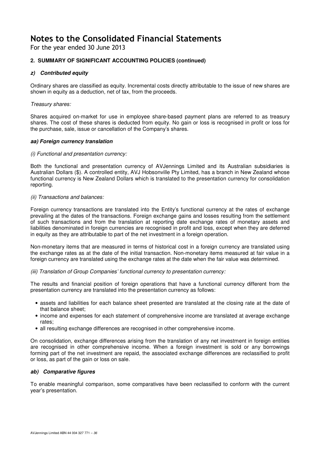For the year ended 30 June 2013

# **2. SUMMARY OF SIGNIFICANT ACCOUNTING POLICIES (continued)**

# **z) Contributed equity**

Ordinary shares are classified as equity. Incremental costs directly attributable to the issue of new shares are shown in equity as a deduction, net of tax, from the proceeds.

# Treasury shares:

Shares acquired on-market for use in employee share-based payment plans are referred to as treasury shares. The cost of these shares is deducted from equity. No gain or loss is recognised in profit or loss for the purchase, sale, issue or cancellation of the Company's shares.

# **aa) Foreign currency translation**

# (i) Functional and presentation currency:

Both the functional and presentation currency of AVJennings Limited and its Australian subsidiaries is Australian Dollars (\$). A controlled entity, AVJ Hobsonville Pty Limited, has a branch in New Zealand whose functional currency is New Zealand Dollars which is translated to the presentation currency for consolidation reporting.

# (ii) Transactions and balances:

Foreign currency transactions are translated into the Entity's functional currency at the rates of exchange prevailing at the dates of the transactions. Foreign exchange gains and losses resulting from the settlement of such transactions and from the translation at reporting date exchange rates of monetary assets and liabilities denominated in foreign currencies are recognised in profit and loss, except when they are deferred in equity as they are attributable to part of the net investment in a foreign operation.

Non-monetary items that are measured in terms of historical cost in a foreign currency are translated using the exchange rates as at the date of the initial transaction. Non-monetary items measured at fair value in a foreign currency are translated using the exchange rates at the date when the fair value was determined.

(iii) Translation of Group Companies' functional currency to presentation currency:

The results and financial position of foreign operations that have a functional currency different from the presentation currency are translated into the presentation currency as follows:

- assets and liabilities for each balance sheet presented are translated at the closing rate at the date of that balance sheet;
- income and expenses for each statement of comprehensive income are translated at average exchange rates;
- all resulting exchange differences are recognised in other comprehensive income.

On consolidation, exchange differences arising from the translation of any net investment in foreign entities are recognised in other comprehensive income. When a foreign investment is sold or any borrowings forming part of the net investment are repaid, the associated exchange differences are reclassified to profit or loss, as part of the gain or loss on sale.

# **ab) Comparative figures**

To enable meaningful comparison, some comparatives have been reclassified to conform with the current year's presentation.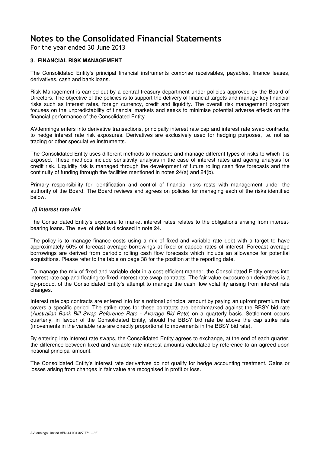For the year ended 30 June 2013

### **3. FINANCIAL RISK MANAGEMENT**

The Consolidated Entity's principal financial instruments comprise receivables, payables, finance leases, derivatives, cash and bank loans.

Risk Management is carried out by a central treasury department under policies approved by the Board of Directors. The objective of the policies is to support the delivery of financial targets and manage key financial risks such as interest rates, foreign currency, credit and liquidity. The overall risk management program focuses on the unpredictability of financial markets and seeks to minimise potential adverse effects on the financial performance of the Consolidated Entity.

AVJennings enters into derivative transactions, principally interest rate cap and interest rate swap contracts, to hedge interest rate risk exposures. Derivatives are exclusively used for hedging purposes, i.e. not as trading or other speculative instruments.

The Consolidated Entity uses different methods to measure and manage different types of risks to which it is exposed. These methods include sensitivity analysis in the case of interest rates and ageing analysis for credit risk. Liquidity risk is managed through the development of future rolling cash flow forecasts and the continuity of funding through the facilities mentioned in notes 24(a) and 24(b).

Primary responsibility for identification and control of financial risks rests with management under the authority of the Board. The Board reviews and agrees on policies for managing each of the risks identified below.

#### **(i) Interest rate risk**

The Consolidated Entity's exposure to market interest rates relates to the obligations arising from interestbearing loans. The level of debt is disclosed in note 24.

The policy is to manage finance costs using a mix of fixed and variable rate debt with a target to have approximately 50% of forecast average borrowings at fixed or capped rates of interest. Forecast average borrowings are derived from periodic rolling cash flow forecasts which include an allowance for potential acquisitions. Please refer to the table on page 38 for the position at the reporting date.

To manage the mix of fixed and variable debt in a cost efficient manner, the Consolidated Entity enters into interest rate cap and floating-to-fixed interest rate swap contracts. The fair value exposure on derivatives is a by-product of the Consolidated Entity's attempt to manage the cash flow volatility arising from interest rate changes.

Interest rate cap contracts are entered into for a notional principal amount by paying an upfront premium that covers a specific period. The strike rates for these contracts are benchmarked against the BBSY bid rate (Australian Bank Bill Swap Reference Rate - Average Bid Rate) on a quarterly basis. Settlement occurs quarterly, in favour of the Consolidated Entity, should the BBSY bid rate be above the cap strike rate (movements in the variable rate are directly proportional to movements in the BBSY bid rate).

By entering into interest rate swaps, the Consolidated Entity agrees to exchange, at the end of each quarter, the difference between fixed and variable rate interest amounts calculated by reference to an agreed-upon notional principal amount.

The Consolidated Entity's interest rate derivatives do not qualify for hedge accounting treatment. Gains or losses arising from changes in fair value are recognised in profit or loss.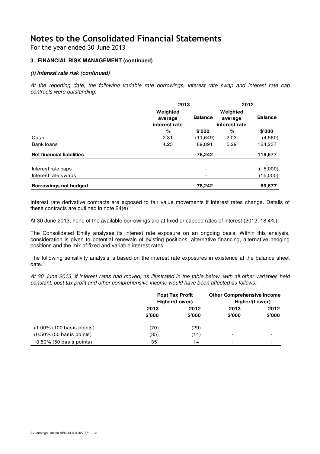For the year ended 30 June 2013

### **3. FINANCIAL RISK MANAGEMENT (continued)**

### **(i) Interest rate risk (continued)**

At the reporting date, the following variable rate borrowings, interest rate swap and interest rate cap contracts were outstanding:

|                                  |                                      | 2013                     |                                      |                |  |
|----------------------------------|--------------------------------------|--------------------------|--------------------------------------|----------------|--|
|                                  | Weighted<br>average<br>interest rate | <b>Balance</b>           | Weighted<br>average<br>interest rate | <b>Balance</b> |  |
|                                  | %                                    | \$'000                   | %                                    | \$'000         |  |
| Cash                             | 2.31                                 | (11,649)                 | 2.03                                 | (4,560)        |  |
| Bank loans                       | 4.23                                 | 89.891                   | 5.29                                 | 124,237        |  |
| <b>Net financial liabilities</b> |                                      | 78,242                   |                                      | 119,677        |  |
| Interest rate caps               |                                      | $\overline{\phantom{0}}$ |                                      | (15,000)       |  |
| Interest rate swaps              |                                      | $\overline{\phantom{a}}$ |                                      | (15,000)       |  |
| Borrowings not hedged            |                                      | 78,242                   |                                      | 89,677         |  |

Interest rate derivative contracts are exposed to fair value movements if interest rates change. Details of these contracts are outlined in note 24(e).

At 30 June 2013, none of the available borrowings are at fixed or capped rates of interest (2012: 18.4%).

The Consolidated Entity analyses its interest rate exposure on an ongoing basis. Within this analysis, consideration is given to potential renewals of existing positions, alternative financing, alternative hedging positions and the mix of fixed and variable interest rates.

The following sensitivity analysis is based on the interest rate exposures in existence at the balance sheet date.

At 30 June 2013, if interest rates had moved, as illustrated in the table below, with all other variables held constant, post tax profit and other comprehensive income would have been affected as follows:

|                              |        | <b>Post Tax Profit</b><br>Higher/(Lower) | <b>Other Comprehensive Income</b><br>Higher/(Lower) |                          |  |
|------------------------------|--------|------------------------------------------|-----------------------------------------------------|--------------------------|--|
|                              | 2013   | 2012                                     | 2013                                                | 2012                     |  |
|                              | \$'000 | \$'000                                   | \$'000                                              | \$'000                   |  |
| $+1.00\%$ (100 basis points) | (70)   | (29)                                     | $\overline{\phantom{0}}$                            | $\overline{\phantom{a}}$ |  |
| $+0.50\%$ (50 basis points)  | (35)   | (14)                                     | $\overline{\phantom{0}}$                            | $\overline{\phantom{a}}$ |  |
| $-0.50\%$ (50 basis points)  | 35     | 14                                       |                                                     | $\overline{\phantom{a}}$ |  |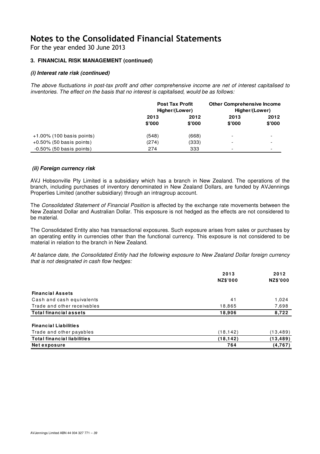For the year ended 30 June 2013

### **3. FINANCIAL RISK MANAGEMENT (continued)**

### **(i) Interest rate risk (continued)**

The above fluctuations in post-tax profit and other comprehensive income are net of interest capitalised to inventories. The effect on the basis that no interest is capitalised, would be as follows:

|                              | <b>Post Tax Profit</b><br>Higher/(Lower) |        | <b>Other Comprehensive Income</b><br>Higher/(Lower) |                          |
|------------------------------|------------------------------------------|--------|-----------------------------------------------------|--------------------------|
|                              | 2013                                     | 2012   | 2013                                                | 2012                     |
|                              | \$'000                                   | \$'000 | \$'000                                              | \$'000                   |
| $+1.00\%$ (100 basis points) | (548)                                    | (668)  | $\overline{\phantom{0}}$                            | $\overline{\phantom{0}}$ |
| $+0.50\%$ (50 basis points)  | (274)                                    | (333)  |                                                     | $\overline{\phantom{0}}$ |
| $-0.50\%$ (50 basis points)  | 274                                      | 333    | $\overline{\phantom{a}}$                            | $\overline{\phantom{a}}$ |

### **(ii) Foreign currency risk**

AVJ Hobsonville Pty Limited is a subsidiary which has a branch in New Zealand. The operations of the branch, including purchases of inventory denominated in New Zealand Dollars, are funded by AVJennings Properties Limited (another subsidiary) through an intragroup account.

The Consolidated Statement of Financial Position is affected by the exchange rate movements between the New Zealand Dollar and Australian Dollar. This exposure is not hedged as the effects are not considered to be material.

The Consolidated Entity also has transactional exposures. Such exposure arises from sales or purchases by an operating entity in currencies other than the functional currency. This exposure is not considered to be material in relation to the branch in New Zealand.

At balance date, the Consolidated Entity had the following exposure to New Zealand Dollar foreign currency that is not designated in cash flow hedges:

|                                    | 2013            | 2012            |
|------------------------------------|-----------------|-----------------|
|                                    | <b>NZ\$'000</b> | <b>NZ\$'000</b> |
| <b>Financial Assets</b>            |                 |                 |
| Cash and cash equivalents          | 41              | 1,024           |
| Trade and other receivables        | 18,865          | 7,698           |
| <b>Total financial assets</b>      | 18,906          | 8,722           |
| <b>Financial Liabilities</b>       |                 |                 |
| Trade and other payables           | (18, 142)       | (13, 489)       |
| <b>Total financial liabilities</b> | (18, 142)       | (13, 489)       |
| <b>Netexposure</b>                 | 764             | (4,767)         |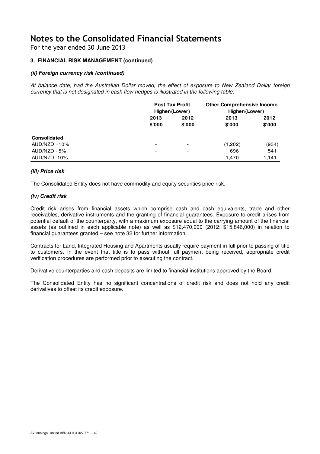For the year ended 30 June 2013

### **3. FINANCIAL RISK MANAGEMENT (continued)**

### **(ii) Foreign currency risk (continued)**

At balance date, had the Australian Dollar moved, the effect of exposure to New Zealand Dollar foreign currency that is not designated in cash flow hedges is illustrated in the following table:

|                     | <b>Post Tax Profit</b><br>Higher/(Lower) |                          | <b>Other Comprehensive Income</b><br>Higher/(Lower) |        |  |      |
|---------------------|------------------------------------------|--------------------------|-----------------------------------------------------|--------|--|------|
|                     | 2013                                     | 2012                     |                                                     |        |  | 2012 |
|                     | \$'000                                   | \$'000                   | \$'000                                              | \$'000 |  |      |
| <b>Consolidated</b> |                                          |                          |                                                     |        |  |      |
| $AUD/NZD + 10%$     | $\overline{\phantom{0}}$                 | $\overline{\phantom{0}}$ | (1,202)                                             | (934)  |  |      |
| AUD/NZD - 5%        | $\overline{\phantom{0}}$                 | -                        | 696                                                 | 541    |  |      |
| AUD/NZD-10%         | $\overline{\phantom{0}}$                 | $\overline{\phantom{0}}$ | 1,470                                               | 1,141  |  |      |

#### **(iii) Price risk**

The Consolidated Entity does not have commodity and equity securities price risk.

#### **(iv) Credit risk**

Credit risk arises from financial assets which comprise cash and cash equivalents, trade and other receivables, derivative instruments and the granting of financial guarantees. Exposure to credit arises from potential default of the counterparty, with a maximum exposure equal to the carrying amount of the financial assets (as outlined in each applicable note) as well as \$12,470,000 (2012: \$15,846,000) in relation to financial guarantees granted – see note 32 for further information.

Contracts for Land, Integrated Housing and Apartments usually require payment in full prior to passing of title to customers. In the event that title is to pass without full payment being received, appropriate credit verification procedures are performed prior to executing the contract.

Derivative counterparties and cash deposits are limited to financial institutions approved by the Board.

The Consolidated Entity has no significant concentrations of credit risk and does not hold any credit derivatives to offset its credit exposure.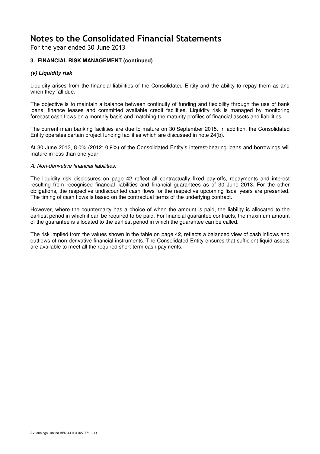For the year ended 30 June 2013

### **3. FINANCIAL RISK MANAGEMENT (continued)**

### **(v) Liquidity risk**

Liquidity arises from the financial liabilities of the Consolidated Entity and the ability to repay them as and when they fall due.

The objective is to maintain a balance between continuity of funding and flexibility through the use of bank loans, finance leases and committed available credit facilities. Liquidity risk is managed by monitoring forecast cash flows on a monthly basis and matching the maturity profiles of financial assets and liabilities.

The current main banking facilities are due to mature on 30 September 2015. In addition, the Consolidated Entity operates certain project funding facilities which are discussed in note 24(b).

At 30 June 2013, 8.0% (2012: 0.9%) of the Consolidated Entity's interest-bearing loans and borrowings will mature in less than one year.

#### A. Non-derivative financial liabilities:

The liquidity risk disclosures on page 42 reflect all contractually fixed pay-offs, repayments and interest resulting from recognised financial liabilities and financial guarantees as of 30 June 2013. For the other obligations, the respective undiscounted cash flows for the respective upcoming fiscal years are presented. The timing of cash flows is based on the contractual terms of the underlying contract.

However, where the counterparty has a choice of when the amount is paid, the liability is allocated to the earliest period in which it can be required to be paid. For financial guarantee contracts, the maximum amount of the guarantee is allocated to the earliest period in which the guarantee can be called.

The risk implied from the values shown in the table on page 42, reflects a balanced view of cash inflows and outflows of non-derivative financial instruments. The Consolidated Entity ensures that sufficient liquid assets are available to meet all the required short-term cash payments.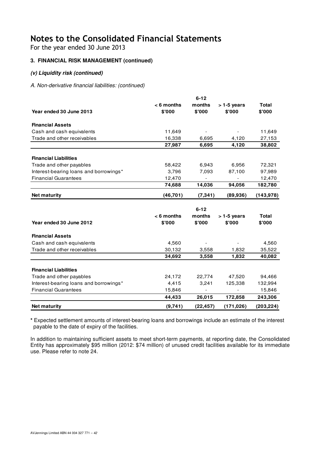For the year ended 30 June 2013

### **3. FINANCIAL RISK MANAGEMENT (continued)**

### **(v) Liquidity risk (continued)**

A. Non-derivative financial liabilities: (continued)

|                                        |                        | $6 - 12$         |                        |                        |
|----------------------------------------|------------------------|------------------|------------------------|------------------------|
| Year ended 30 June 2013                | $< 6$ months<br>\$'000 | months<br>\$'000 | $>1-5$ years<br>\$'000 | <b>Total</b><br>\$'000 |
| <b>Financial Assets</b>                |                        |                  |                        |                        |
| Cash and cash equivalents              | 11,649                 |                  |                        | 11,649                 |
| Trade and other receivables            | 16,338                 | 6,695            | 4,120                  | 27,153                 |
|                                        | 27,987                 | 6,695            | 4,120                  | 38,802                 |
| <b>Financial Liabilities</b>           |                        |                  |                        |                        |
| Trade and other payables               | 58,422                 | 6,943            | 6,956                  | 72,321                 |
| Interest-bearing loans and borrowings* | 3,796                  | 7,093            | 87,100                 | 97,989                 |
| <b>Financial Guarantees</b>            | 12,470                 |                  |                        | 12,470                 |
|                                        | 74,688                 | 14,036           | 94,056                 | 182,780                |
| <b>Net maturity</b>                    | (46, 701)              | (7, 341)         | (89,936)               | (143, 978)             |
|                                        |                        | $6 - 12$         |                        |                        |
|                                        | $< 6$ months           | months           | $>1-5$ years           | <b>Total</b>           |
| Year ended 30 June 2012                | \$'000                 | \$'000           | \$'000                 | \$'000                 |
| <b>Financial Assets</b>                |                        |                  |                        |                        |
| Cash and cash equivalents              | 4,560                  |                  |                        | 4,560                  |
| Trade and other receivables            | 30,132                 | 3,558            | 1,832                  | 35,522                 |
|                                        | 34,692                 | 3,558            | 1,832                  | 40,082                 |
| <b>Financial Liabilities</b>           |                        |                  |                        |                        |
| Trade and other payables               | 24,172                 | 22,774           | 47,520                 | 94,466                 |
| Interest-bearing loans and borrowings* | 4,415                  | 3,241            | 125,338                | 132,994                |
| <b>Financial Guarantees</b>            | 15,846                 |                  |                        | 15,846                 |
|                                        | 44,433                 | 26,015           | 172,858                | 243,306                |
| <b>Net maturity</b>                    | (9,741)                | (22, 457)        | (171, 026)             | (203, 224)             |

**\*** Expected settlement amounts of interest-bearing loans and borrowings include an estimate of the interest payable to the date of expiry of the facilities.

In addition to maintaining sufficient assets to meet short-term payments, at reporting date, the Consolidated Entity has approximately \$95 million (2012: \$74 million) of unused credit facilities available for its immediate use. Please refer to note 24.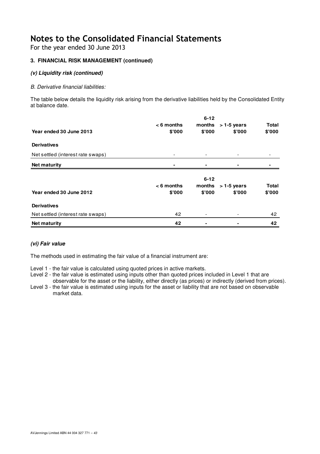For the year ended 30 June 2013

### **3. FINANCIAL RISK MANAGEMENT (continued)**

### **(v) Liquidity risk (continued)**

### B. Derivative financial liabilities:

The table below details the liquidity risk arising from the derivative liabilities held by the Consolidated Entity at balance date.

|                                   |              | $6 - 12$                 |              |              |
|-----------------------------------|--------------|--------------------------|--------------|--------------|
|                                   | $< 6$ months | months                   | $>1-5$ years | <b>Total</b> |
| Year ended 30 June 2013           | \$'000       | \$'000                   | \$'000       | \$'000       |
| <b>Derivatives</b>                |              |                          |              |              |
| Net settled (interest rate swaps) | -            | -                        |              |              |
| <b>Net maturity</b>               |              | -                        |              |              |
|                                   |              |                          |              |              |
|                                   |              | $6 - 12$                 |              |              |
|                                   | $< 6$ months | months                   | $>1-5$ years | <b>Total</b> |
| Year ended 30 June 2012           | \$'000       | \$'000                   | \$'000       | \$'000       |
| <b>Derivatives</b>                |              |                          |              |              |
| Net settled (interest rate swaps) | 42           | $\overline{\phantom{a}}$ |              | 42           |
| <b>Net maturity</b>               | 42           | ۰                        |              | 42           |

### **(vi) Fair value**

The methods used in estimating the fair value of a financial instrument are:

- Level 1 the fair value is calculated using quoted prices in active markets.
- Level 2 the fair value is estimated using inputs other than quoted prices included in Level 1 that are observable for the asset or the liability, either directly (as prices) or indirectly (derived from prices).
- Level 3 the fair value is estimated using inputs for the asset or liability that are not based on observable market data.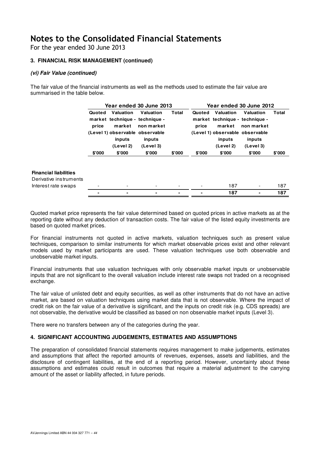For the year ended 30 June 2013

### **3. FINANCIAL RISK MANAGEMENT (continued)**

### **(vi) Fair Value (continued)**

The fair value of the financial instruments as well as the methods used to estimate the fair value are summarised in the table below.

| <b>Total</b><br>Valuation<br>Valuation<br>Valuation<br>Valuation<br>Total<br>Quoted<br>Quoted<br>market technique - technique -<br>market technique - technique -<br>market<br>price<br>market<br>price<br>non market<br>non market |     |
|-------------------------------------------------------------------------------------------------------------------------------------------------------------------------------------------------------------------------------------|-----|
| (Level 1) observable observable<br>(Level 1) observable observable<br>inputs<br>inputs<br>inputs<br>inputs<br>(Level 2)<br>(Level 3)<br>(Level 2)<br>(Level 3)                                                                      |     |
| \$'000<br>\$'000<br>\$'000<br>\$'000<br>\$'000<br>\$'000<br>\$'000<br>\$'000                                                                                                                                                        |     |
| <b>Financial liabilities</b><br>Derivative instruments                                                                                                                                                                              |     |
| 187<br>Interest rate swaps<br>$\overline{\phantom{0}}$                                                                                                                                                                              | 187 |
| 187<br>-                                                                                                                                                                                                                            | 187 |

Quoted market price represents the fair value determined based on quoted prices in active markets as at the reporting date without any deduction of transaction costs. The fair value of the listed equity investments are based on quoted market prices.

For financial instruments not quoted in active markets, valuation techniques such as present value techniques, comparison to similar instruments for which market observable prices exist and other relevant models used by market participants are used. These valuation techniques use both observable and unobservable market inputs.

Financial instruments that use valuation techniques with only observable market inputs or unobservable inputs that are not significant to the overall valuation include interest rate swaps not traded on a recognised exchange.

The fair value of unlisted debt and equity securities, as well as other instruments that do not have an active market, are based on valuation techniques using market data that is not observable. Where the impact of credit risk on the fair value of a derivative is significant, and the inputs on credit risk (e.g. CDS spreads) are not observable, the derivative would be classified as based on non observable market inputs (Level 3).

There were no transfers between any of the categories during the year.

### **4. SIGNIFICANT ACCOUNTING JUDGEMENTS, ESTIMATES AND ASSUMPTIONS**

The preparation of consolidated financial statements requires management to make judgements, estimates and assumptions that affect the reported amounts of revenues, expenses, assets and liabilities, and the disclosure of contingent liabilities, at the end of a reporting period. However, uncertainty about these assumptions and estimates could result in outcomes that require a material adjustment to the carrying amount of the asset or liability affected, in future periods.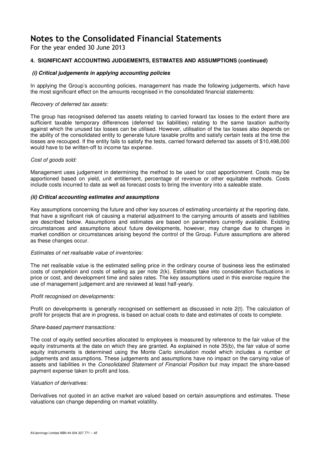For the year ended 30 June 2013

### **4. SIGNIFICANT ACCOUNTING JUDGEMENTS, ESTIMATES AND ASSUMPTIONS (continued)**

### **(i) Critical judgements in applying accounting policies**

In applying the Group's accounting policies, management has made the following judgements, which have the most significant effect on the amounts recognised in the consolidated financial statements:

#### Recovery of deferred tax assets:

The group has recognised deferred tax assets relating to carried forward tax losses to the extent there are sufficient taxable temporary differences (deferred tax liabilities) relating to the same taxation authority against which the unused tax losses can be utilised. However, utilisation of the tax losses also depends on the ability of the consolidated entity to generate future taxable profits and satisfy certain tests at the time the losses are recouped. If the entity fails to satisfy the tests, carried forward deferred tax assets of \$10,498,000 would have to be written-off to income tax expense.

#### Cost of goods sold:

Management uses judgement in determining the method to be used for cost apportionment. Costs may be apportioned based on yield, unit entitlement, percentage of revenue or other equitable methods. Costs include costs incurred to date as well as forecast costs to bring the inventory into a saleable state.

#### **(ii) Critical accounting estimates and assumptions**

Key assumptions concerning the future and other key sources of estimating uncertainty at the reporting date, that have a significant risk of causing a material adjustment to the carrying amounts of assets and liabilities are described below. Assumptions and estimates are based on parameters currently available. Existing circumstances and assumptions about future developments, however, may change due to changes in market condition or circumstances arising beyond the control of the Group. Future assumptions are altered as these changes occur.

#### Estimates of net realisable value of inventories:

The net realisable value is the estimated selling price in the ordinary course of business less the estimated costs of completion and costs of selling as per note 2(k). Estimates take into consideration fluctuations in price or cost, and development time and sales rates. The key assumptions used in this exercise require the use of management judgement and are reviewed at least half-yearly.

#### Profit recognised on developments:

Profit on developments is generally recognised on settlement as discussed in note 2(t). The calculation of profit for projects that are in progress, is based on actual costs to date and estimates of costs to complete.

#### Share-based payment transactions:

The cost of equity settled securities allocated to employees is measured by reference to the fair value of the equity instruments at the date on which they are granted. As explained in note 35(b), the fair value of some equity instruments is determined using the Monte Carlo simulation model which includes a number of judgements and assumptions. These judgements and assumptions have no impact on the carrying value of assets and liabilities in the Consolidated Statement of Financial Position but may impact the share-based payment expense taken to profit and loss.

#### Valuation of derivatives:

Derivatives not quoted in an active market are valued based on certain assumptions and estimates. These valuations can change depending on market volatility.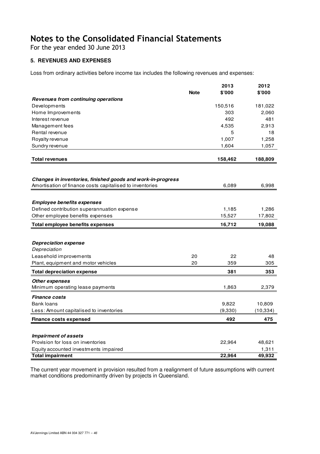For the year ended 30 June 2013

### **5. REVENUES AND EXPENSES**

Loss from ordinary activities before income tax includes the following revenues and expenses:

|                                                             |             | 2013    | 2012      |
|-------------------------------------------------------------|-------------|---------|-----------|
|                                                             | <b>Note</b> | \$'000  | \$'000    |
| Revenues from continuing operations                         |             |         |           |
| Developments                                                |             | 150,516 | 181,022   |
| Home Improvements                                           |             | 303     | 2,060     |
| Interest revenue                                            |             | 492     | 481       |
| Management fees                                             |             | 4,535   | 2,913     |
| Rental revenue                                              |             | 5       | 18        |
| Royalty revenue                                             |             | 1,007   | 1,258     |
| Sundry revenue                                              |             | 1,604   | 1,057     |
| <b>Total revenues</b>                                       |             | 158,462 | 188,809   |
|                                                             |             |         |           |
| Changes in inventories, finished goods and work-in-progress |             |         |           |
| Amortisation of finance costs capitalised to inventories    |             | 6,089   | 6,998     |
|                                                             |             |         |           |
| <b>Employee benefits expenses</b>                           |             |         |           |
| Defined contribution superannuation expense                 |             | 1,185   | 1,286     |
| Other employee benefits expenses                            |             | 15,527  | 17,802    |
|                                                             |             |         |           |
| <b>Total employee benefits expenses</b>                     |             | 16,712  | 19,088    |
|                                                             |             |         |           |
|                                                             |             |         |           |
| <b>Depreciation expense</b>                                 |             |         |           |
| Depreciation                                                |             |         |           |
| Leasehold improvements                                      | 20          | 22      | 48        |
| Plant, equipment and motor vehicles                         | 20          | 359     | 305       |
| <b>Total depreciation expense</b>                           |             | 381     | 353       |
| <b>Other expenses</b>                                       |             |         |           |
| Minimum operating lease payments                            |             | 1,863   | 2,379     |
| <b>Finance costs</b>                                        |             |         |           |
| Bank Ioans                                                  |             | 9,822   | 10,809    |
| Less: Amount capitalised to inventories                     |             | (9,330) | (10, 334) |
| <b>Finance costs expensed</b>                               |             | 492     | 475       |
|                                                             |             |         |           |
| <b>Impairment of assets</b>                                 |             |         |           |
| Provision for loss on inventories                           |             | 22,964  | 48,621    |
| Equity accounted investments impaired                       |             |         | 1,311     |

The current year movement in provision resulted from a realignment of future assumptions with current market conditions predominantly driven by projects in Queensland.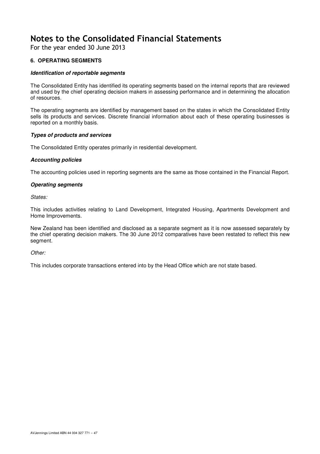For the year ended 30 June 2013

### **6. OPERATING SEGMENTS**

### **Identification of reportable segments**

The Consolidated Entity has identified its operating segments based on the internal reports that are reviewed and used by the chief operating decision makers in assessing performance and in determining the allocation of resources.

The operating segments are identified by management based on the states in which the Consolidated Entity sells its products and services. Discrete financial information about each of these operating businesses is reported on a monthly basis.

### **Types of products and services**

The Consolidated Entity operates primarily in residential development.

### **Accounting policies**

The accounting policies used in reporting segments are the same as those contained in the Financial Report.

### **Operating segments**

States:

This includes activities relating to Land Development, Integrated Housing, Apartments Development and Home Improvements.

New Zealand has been identified and disclosed as a separate segment as it is now assessed separately by the chief operating decision makers. The 30 June 2012 comparatives have been restated to reflect this new segment.

#### Other:

This includes corporate transactions entered into by the Head Office which are not state based.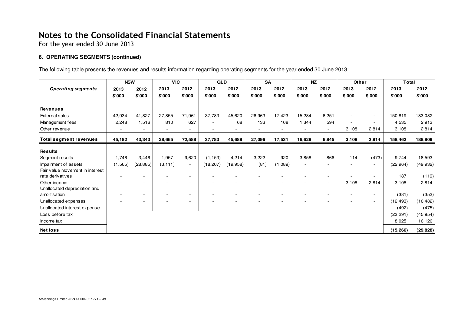For the year ended 30 June 2013

### **6. OPERATING SEGMENTS (continued)**

The following table presents the revenues and results information regarding operating segments for the year ended 30 June 2013:

|                                 | <b>NSW</b> |                          | <b>VIC</b> |        | QLD       |          | <b>SA</b> |                          | <b>NZ</b> |                          | Other  |                          | <b>Total</b> |           |
|---------------------------------|------------|--------------------------|------------|--------|-----------|----------|-----------|--------------------------|-----------|--------------------------|--------|--------------------------|--------------|-----------|
| <b>Operating segments</b>       | 2013       | 2012                     | 2013       | 2012   | 2013      | 2012     | 2013      | 2012                     | 2013      | 2012                     | 2013   | 2012                     | 2013         | 2012      |
|                                 | \$'000     | \$'000                   | \$'000     | \$'000 | \$'000    | \$'000   | \$'000    | \$'000                   | \$'000    | \$'000                   | \$'000 | \$'000                   | \$'000       | \$'000    |
|                                 |            |                          |            |        |           |          |           |                          |           |                          |        |                          |              |           |
| Revenues                        |            |                          |            |        |           |          |           |                          |           |                          |        |                          |              |           |
| <b>External sales</b>           | 42,934     | 41,827                   | 27,855     | 71,961 | 37,783    | 45,620   | 26,963    | 17,423                   | 15,284    | 6,251                    |        | $\overline{\phantom{a}}$ | 150,819      | 183,082   |
| Management fees                 | 2,248      | 1,516                    | 810        | 627    |           | 68       | 133       | 108                      | 1,344     | 594                      |        | $\sim$                   | 4,535        | 2,913     |
| Other revenue                   |            |                          |            |        |           |          |           | $\overline{\phantom{a}}$ |           | $\overline{\phantom{a}}$ | 3,108  | 2,814                    | 3,108        | 2,814     |
| Total segment revenues          | 45,182     | 43,343                   | 28,665     | 72,588 | 37,783    | 45,688   | 27,096    | 17,531                   | 16,628    | 6,845                    | 3,108  | 2,814                    | 158,462      | 188,809   |
|                                 |            |                          |            |        |           |          |           |                          |           |                          |        |                          |              |           |
| Results                         |            |                          |            |        |           |          |           |                          |           |                          |        |                          |              |           |
| Segment results                 | 1,746      | 3,446                    | 1,957      | 9,620  | (1, 153)  | 4,214    | 3,222     | 920                      | 3,858     | 866                      | 114    | (473)                    | 9,744        | 18,593    |
| Impairment of assets            | (1, 565)   | (28, 885)                | (3, 111)   | $\sim$ | (18, 207) | (19,958) | (81)      | (1,089)                  |           |                          |        | $\sim$                   | (22, 964)    | (49, 932) |
| Fair value movement in interest |            |                          |            |        |           |          |           |                          |           |                          |        |                          |              |           |
| rate derivatives                |            | ۰                        |            |        |           |          |           | $\overline{\phantom{a}}$ |           | $\overline{\phantom{a}}$ |        |                          | 187          | (119)     |
| <b>Other income</b>             |            | $\overline{\phantom{a}}$ |            |        |           |          |           | $\overline{\phantom{a}}$ |           | $\overline{\phantom{a}}$ | 3,108  | 2,814                    | 3,108        | 2,814     |
| Unallocated depreciation and    |            |                          |            |        |           |          |           |                          |           |                          |        |                          |              |           |
| amortisation                    |            |                          |            |        |           |          |           |                          |           |                          |        |                          | (381)        | (353)     |
| Unallocated expenses            |            | $\overline{\phantom{a}}$ |            |        |           |          |           | $\overline{\phantom{a}}$ |           |                          |        | $\overline{\phantom{a}}$ | (12,493)     | (16, 482) |
| Unallocated interest expense    |            | $\overline{\phantom{a}}$ |            |        |           |          |           | $\overline{\phantom{a}}$ |           | ٠                        |        |                          | (492)        | (475)     |
| Loss before tax                 |            |                          |            |        |           |          |           |                          |           |                          |        |                          | (23, 291)    | (45, 954) |
| Income tax                      |            |                          |            |        |           |          |           |                          |           |                          |        |                          | 8,025        | 16,126    |
| Net loss                        |            |                          |            |        |           |          |           |                          |           |                          |        |                          | (15, 266)    | (29, 828) |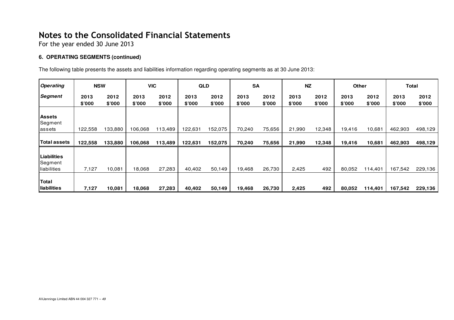For the year ended 30 June 2013

### **6. OPERATING SEGMENTS (continued)**

The following table presents the assets and liabilities information regarding operating segments as at 30 June 2013:

| <b>Operating</b>                      | <b>NSW</b>     |                |                | <b>VIC</b>     | <b>QLD</b>     |                | <b>SA</b>      |                        | NZ             |                | <b>Other</b>   |                | Total          |                |
|---------------------------------------|----------------|----------------|----------------|----------------|----------------|----------------|----------------|------------------------|----------------|----------------|----------------|----------------|----------------|----------------|
| Segment                               | 2013<br>\$7000 | 2012<br>\$'000 | 2013<br>\$'000 | 2012<br>\$'000 | 2013<br>\$'000 | 2012<br>\$7000 | 2013<br>\$'000 | 2012<br>$$^{\circ}000$ | 2013<br>\$'000 | 2012<br>\$'000 | 2013<br>\$'000 | 2012<br>\$'000 | 2013<br>\$'000 | 2012<br>\$'000 |
| <b>Assets</b><br>Segment<br>lassets   | 122,558        | 133,880        | 106.068        | 113,489        | 122,631        | 152,075        | 70,240         | 75,656                 | 21,990         | 12,348         | 19,416         | 10,681         | 462,903        | 498,129        |
| Total assets                          | 122,558        | 133,880        | 106,068        | 113,489        | 122,631        | 152,075        | 70,240         | 75,656                 | 21,990         | 12,348         | 19,416         | 10,681         | 462,903        | 498,129        |
| Liabilities<br>Segment<br>liabilities | 7,127          | 10,081         | 18,068         | 27,283         | 40,402         | 50,149         | 19,468         | 26,730                 | 2,425          | 492            | 80,052         | 114,401        | 167,542        | 229,136        |
| Total<br>liabilities                  | 7,127          | 10,081         | 18,068         | 27,283         | 40,402         | 50,149         | 19,468         | 26,730                 | 2,425          | 492            | 80,052         | 114,401        | 167,542        | 229,136        |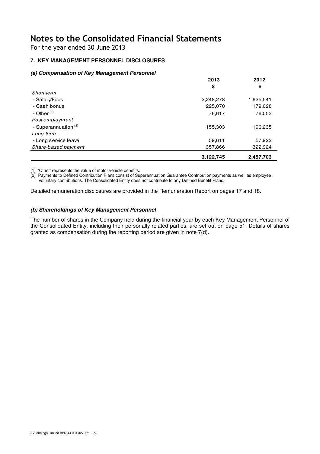For the year ended 30 June 2013

## **7. KEY MANAGEMENT PERSONNEL DISCLOSURES**

### **(a) Compensation of Key Management Personnel**

|                                 | 2013      | 2012      |
|---------------------------------|-----------|-----------|
|                                 | \$        | \$        |
| Short-term                      |           |           |
| - Salary/Fees                   | 2,248,278 | 1,625,541 |
| - Cash bonus                    | 225,070   | 179,028   |
| - Other $(1)$                   | 76,617    | 76,053    |
| Post employment                 |           |           |
| - Superannuation <sup>(2)</sup> | 155,303   | 196,235   |
| Long-term                       |           |           |
| - Long service leave            | 59,611    | 57,922    |
| Share-based payment             | 357,866   | 322,924   |
|                                 | 3,122,745 | 2,457,703 |

(1) 'Other' represents the value of motor vehicle benefits.

(2) Payments to Defined Contribution Plans consist of Superannuation Guarantee Contribution payments as well as employee voluntary contributions. The Consolidated Entity does not contribute to any Defined Benefit Plans.

Detailed remuneration disclosures are provided in the Remuneration Report on pages 17 and 18.

### **(b) Shareholdings of Key Management Personnel**

The number of shares in the Company held during the financial year by each Key Management Personnel of the Consolidated Entity, including their personally related parties, are set out on page 51. Details of shares granted as compensation during the reporting period are given in note 7(d).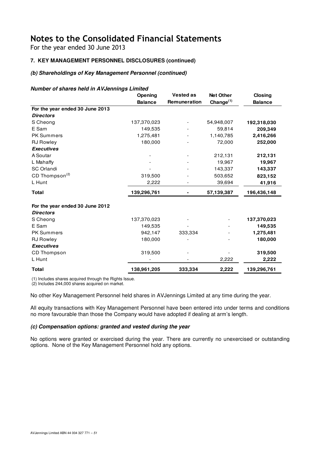For the year ended 30 June 2013

## **7. KEY MANAGEMENT PERSONNEL DISCLOSURES (continued)**

### **(b) Shareholdings of Key Management Personnel (continued)**

#### **Number of shares held in AVJennings Limited**

|                                                     | Opening        | <b>Vested as</b> | <b>Net Other</b>      | Closing        |
|-----------------------------------------------------|----------------|------------------|-----------------------|----------------|
|                                                     | <b>Balance</b> | Remuneration     | Change <sup>(1)</sup> | <b>Balance</b> |
| For the year ended 30 June 2013                     |                |                  |                       |                |
| <b>Directors</b>                                    |                |                  |                       |                |
| S Cheong                                            | 137,370,023    |                  | 54,948,007            | 192,318,030    |
| E Sam                                               | 149,535        |                  | 59,814                | 209,349        |
| PK Summers                                          | 1,275,481      |                  | 1,140,785             | 2,416,266      |
| <b>RJ Rowley</b>                                    | 180,000        |                  | 72,000                | 252,000        |
| <b>Executives</b>                                   |                |                  |                       |                |
| A Soutar                                            |                |                  | 212,131               | 212,131        |
| L Mahaffy                                           |                |                  | 19,967                | 19,967         |
| <b>SC Orlandi</b>                                   |                |                  | 143,337               | 143,337        |
| CD Thompson <sup>(2)</sup>                          | 319,500        |                  | 503,652               | 823,152        |
| L Hunt                                              | 2,222          |                  | 39,694                | 41,916         |
| <b>Total</b>                                        | 139,296,761    |                  | 57,139,387            | 196,436,148    |
| For the year ended 30 June 2012<br><b>Directors</b> |                |                  |                       |                |
| S Cheong                                            | 137,370,023    |                  |                       | 137,370,023    |
| E Sam                                               | 149,535        |                  |                       | 149,535        |
| <b>PK Summers</b>                                   | 942,147        | 333,334          |                       | 1,275,481      |
| <b>RJ Rowley</b>                                    | 180,000        |                  |                       | 180,000        |
| <b>Executives</b>                                   |                |                  |                       |                |
| CD Thompson                                         | 319,500        |                  |                       | 319,500        |
| L Hunt                                              |                |                  | 2,222                 | 2,222          |
| <b>Total</b>                                        | 138,961,205    | 333,334          | 2,222                 | 139,296,761    |

(1) Includes shares acquired through the Rights Issue.

(2) Includes 244,000 shares acquired on market.

No other Key Management Personnel held shares in AVJennings Limited at any time during the year.

All equity transactions with Key Management Personnel have been entered into under terms and conditions no more favourable than those the Company would have adopted if dealing at arm's length.

### **(c) Compensation options: granted and vested during the year**

No options were granted or exercised during the year. There are currently no unexercised or outstanding options. None of the Key Management Personnel hold any options.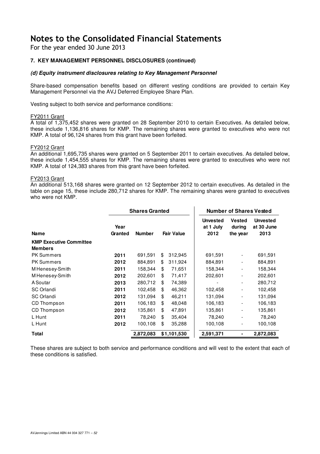For the year ended 30 June 2013

### **7. KEY MANAGEMENT PERSONNEL DISCLOSURES (continued)**

#### **(d) Equity instrument disclosures relating to Key Management Personnel**

Share-based compensation benefits based on different vesting conditions are provided to certain Key Management Personnel via the AVJ Deferred Employee Share Plan.

Vesting subject to both service and performance conditions:

#### FY2011 Grant

A total of 1,375,452 shares were granted on 28 September 2010 to certain Executives. As detailed below, these include 1,136,816 shares for KMP. The remaining shares were granted to executives who were not KMP. A total of 96,124 shares from this grant have been forfeited.

#### FY2012 Grant

An additional 1,695,735 shares were granted on 5 September 2011 to certain executives. As detailed below, these include 1,454,555 shares for KMP. The remaining shares were granted to executives who were not KMP. A total of 124,383 shares from this grant have been forfeited.

#### FY2013 Grant

An additional 513,168 shares were granted on 12 September 2012 to certain executives. As detailed in the table on page 15, these include 280,712 shares for KMP. The remaining shares were granted to executives who were not KMP.

L.

|                                                  |                 | <b>Shares Granted</b> |    |                   |                                      | <b>Number of Shares Vested</b>      |                                       |
|--------------------------------------------------|-----------------|-----------------------|----|-------------------|--------------------------------------|-------------------------------------|---------------------------------------|
| <b>Name</b>                                      | Year<br>Granted | <b>Number</b>         |    | <b>Fair Value</b> | <b>Unvested</b><br>at 1 July<br>2012 | <b>Vested</b><br>during<br>the year | <b>Unvested</b><br>at 30 June<br>2013 |
| <b>KMP Executive Committee</b><br><b>Members</b> |                 |                       |    |                   |                                      |                                     |                                       |
| <b>PK Summers</b>                                | 2011            | 691,591               | \$ | 312,945           | 691,591                              |                                     | 691,591                               |
| <b>PK Summers</b>                                | 2012            | 884,891               | \$ | 311,924           | 884,891                              | $\overline{\phantom{a}}$            | 884,891                               |
| M Henesey-Smith                                  | 2011            | 158,344               | \$ | 71,651            | 158,344                              |                                     | 158,344                               |
| M Henesey-Smith                                  | 2012            | 202,601               | \$ | 71,417            | 202,601                              |                                     | 202,601                               |
| A Soutar                                         | 2013            | 280,712               | \$ | 74,389            |                                      | $\overline{\phantom{a}}$            | 280,712                               |
| SC Orlandi                                       | 2011            | 102,458               | \$ | 46,362            | 102,458                              |                                     | 102,458                               |
| <b>SC Orlandi</b>                                | 2012            | 131,094               | \$ | 46,211            | 131,094                              |                                     | 131,094                               |
| CD Thompson                                      | 2011            | 106,183               | \$ | 48,048            | 106,183                              |                                     | 106,183                               |
| CD Thompson                                      | 2012            | 135.861               | \$ | 47,891            | 135,861                              |                                     | 135,861                               |
| L Hunt                                           | 2011            | 78,240                | \$ | 35,404            | 78,240                               |                                     | 78,240                                |
| L Hunt                                           | 2012            | 100,108               | \$ | 35,288            | 100,108                              |                                     | 100,108                               |
| Total                                            |                 | 2,872,083             |    | \$1,101,530       | 2,591,371                            |                                     | 2,872,083                             |

These shares are subject to both service and performance conditions and will vest to the extent that each of these conditions is satisfied.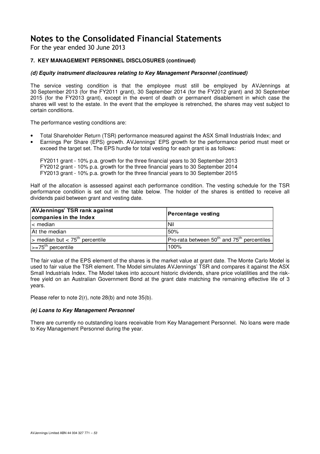For the year ended 30 June 2013

### **7. KEY MANAGEMENT PERSONNEL DISCLOSURES (continued)**

### **(d) Equity instrument disclosures relating to Key Management Personnel (continued)**

The service vesting condition is that the employee must still be employed by AVJennings at 30 September 2013 (for the FY2011 grant), 30 September 2014 (for the FY2012 grant) and 30 September 2015 (for the FY2013 grant), except in the event of death or permanent disablement in which case the shares will vest to the estate. In the event that the employee is retrenched, the shares may vest subject to certain conditions.

The performance vesting conditions are:

- Total Shareholder Return (TSR) performance measured against the ASX Small Industrials Index; and
- Earnings Per Share (EPS) growth. AVJennings' EPS growth for the performance period must meet or exceed the target set. The EPS hurdle for total vesting for each grant is as follows:

FY2011 grant - 10% p.a. growth for the three financial years to 30 September 2013 FY2012 grant - 10% p.a. growth for the three financial years to 30 September 2014 FY2013 grant - 10% p.a. growth for the three financial years to 30 September 2015

Half of the allocation is assessed against each performance condition. The vesting schedule for the TSR performance condition is set out in the table below. The holder of the shares is entitled to receive all dividends paid between grant and vesting date.

| <b>AVJennings' TSR rank against</b><br>companies in the Index | Percentage vesting                                   |
|---------------------------------------------------------------|------------------------------------------------------|
| $\leq$ median                                                 | l Nil                                                |
| At the median                                                 | 50%                                                  |
| $>$ median but $<$ 75 <sup>th</sup> percentile                | Pro-rata between $50^{th}$ and $75^{th}$ percentiles |
| $\left  \right $ >=75 <sup>th</sup> percentile                | 100%                                                 |

The fair value of the EPS element of the shares is the market value at grant date. The Monte Carlo Model is used to fair value the TSR element. The Model simulates AVJennings' TSR and compares it against the ASX Small Industrials Index. The Model takes into account historic dividends, share price volatilities and the riskfree yield on an Australian Government Bond at the grant date matching the remaining effective life of 3 years.

Please refer to note 2(r), note 28(b) and note 35(b).

#### **(e) Loans to Key Management Personnel**

There are currently no outstanding loans receivable from Key Management Personnel. No loans were made to Key Management Personnel during the year.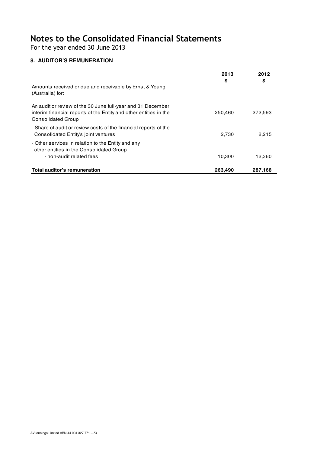For the year ended 30 June 2013

## **8. AUDITOR'S REMUNERATION**

|                                                                                                                                                               | 2013<br>\$ | 2012<br>\$ |
|---------------------------------------------------------------------------------------------------------------------------------------------------------------|------------|------------|
| Amounts received or due and receivable by Ernst & Young<br>(Australia) for:                                                                                   |            |            |
| An audit or review of the 30 June full-year and 31 December<br>interim financial reports of the Entity and other entities in the<br><b>Consolidated Group</b> | 250,460    | 272,593    |
| - Share of audit or review costs of the financial reports of the<br>Consolidated Entity's joint ventures                                                      | 2,730      | 2.215      |
| - Other services in relation to the Entity and any<br>other entities in the Consolidated Group<br>- non-audit related fees                                    | 10,300     | 12,360     |
| Total auditor's remuneration                                                                                                                                  | 263,490    | 287,168    |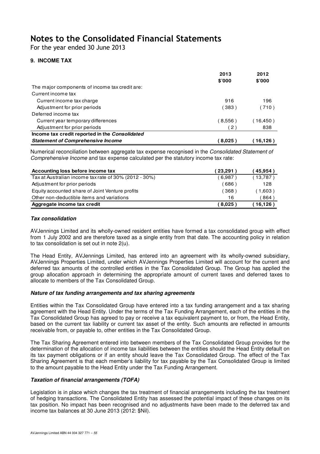For the year ended 30 June 2013

### **9. INCOME TAX**

|                                                | 2013<br>\$'000    | 2012<br>\$'000 |
|------------------------------------------------|-------------------|----------------|
| The major components of income tax credit are: |                   |                |
| Current income tax                             |                   |                |
| Current income tax charge                      | 916               | 196            |
| Adjustment for prior periods                   | (383)             | (710)          |
| Deferred income tax                            |                   |                |
| Current year temporary differences             | (8,556)           | 〔16,450〕       |
| Adjustment for prior periods                   | 2)                | 838            |
| Income tax credit reported in the Consolidated |                   |                |
| <b>Statement of Comprehensive Income</b>       | $^{\prime}$ 8,025 | 16,126         |

Numerical reconciliation between aggregate tax expense recognised in the Consolidated Statement of Comprehensive Income and tax expense calculated per the statutory income tax rate:

| Accounting loss before income tax                     | (23,291          | (45.954) |
|-------------------------------------------------------|------------------|----------|
| Tax at Australian income tax rate of 30% (2012 - 30%) | 6.987)           | (13,787) |
| Adjustment for prior periods                          | 686              | 128      |
| Equity accounted share of Joint Venture profits       | 368 <sup>°</sup> | 1,603)   |
| Other non-deductible items and variations             | 16               | 864      |
| Aggregate income tax credit                           | (8.025)          | 16,126   |

### **Tax consolidation**

AVJennings Limited and its wholly-owned resident entities have formed a tax consolidated group with effect from 1 July 2002 and are therefore taxed as a single entity from that date. The accounting policy in relation to tax consolidation is set out in note 2(u).

The Head Entity, AVJennings Limited, has entered into an agreement with its wholly-owned subsidiary, AVJennings Properties Limited, under which AVJennings Properties Limited will account for the current and deferred tax amounts of the controlled entities in the Tax Consolidated Group. The Group has applied the group allocation approach in determining the appropriate amount of current taxes and deferred taxes to allocate to members of the Tax Consolidated Group.

### **Nature of tax funding arrangements and tax sharing agreements**

Entities within the Tax Consolidated Group have entered into a tax funding arrangement and a tax sharing agreement with the Head Entity. Under the terms of the Tax Funding Arrangement, each of the entities in the Tax Consolidated Group has agreed to pay or receive a tax equivalent payment to, or from, the Head Entity, based on the current tax liability or current tax asset of the entity. Such amounts are reflected in amounts receivable from, or payable to, other entities in the Tax Consolidated Group.

The Tax Sharing Agreement entered into between members of the Tax Consolidated Group provides for the determination of the allocation of income tax liabilities between the entities should the Head Entity default on its tax payment obligations or if an entity should leave the Tax Consolidated Group. The effect of the Tax Sharing Agreement is that each member's liability for tax payable by the Tax Consolidated Group is limited to the amount payable to the Head Entity under the Tax Funding Arrangement.

### **Taxation of financial arrangements (TOFA)**

Legislation is in place which changes the tax treatment of financial arrangements including the tax treatment of hedging transactions. The Consolidated Entity has assessed the potential impact of these changes on its tax position. No impact has been recognised and no adjustments have been made to the deferred tax and income tax balances at 30 June 2013 (2012: \$Nil).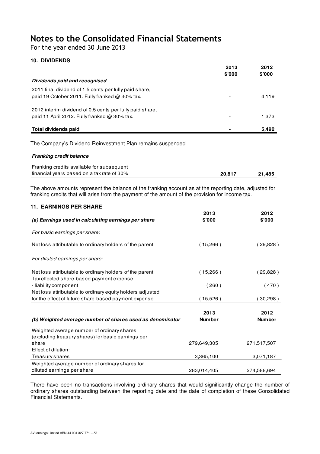For the year ended 30 June 2013

### **10. DIVIDENDS**

|                                                          | 2013                     | 2012   |
|----------------------------------------------------------|--------------------------|--------|
|                                                          | \$000                    | \$'000 |
| Dividends paid and recognised                            |                          |        |
| 2011 final dividend of 1.5 cents per fully paid share.   |                          |        |
| paid 19 October 2011. Fully franked $\omega$ 30% tax.    | $\overline{\phantom{a}}$ | 4,119  |
| 2012 interim dividend of 0.5 cents per fully paid share, |                          |        |
| paid 11 April 2012. Fully franked @ 30% tax.             | $\overline{\phantom{0}}$ | 1,373  |
|                                                          |                          |        |
| Total dividends paid                                     | ٠                        | 5.492  |

The Company's Dividend Reinvestment Plan remains suspended.

#### **Franking credit balance**

| Franking credits available for subsequent  |        |        |
|--------------------------------------------|--------|--------|
| financial years based on a tax rate of 30% | 20.817 | 21,485 |

The above amounts represent the balance of the franking account as at the reporting date, adjusted for franking credits that will arise from the payment of the amount of the provision for income tax.

| <b>11. EARNINGS PER SHARE</b>                                                                       |                       |                       |
|-----------------------------------------------------------------------------------------------------|-----------------------|-----------------------|
| (a) Earnings used in calculating earnings per share                                                 | 2013<br>\$'000        | 2012<br>\$'000        |
| For basic earnings per share:                                                                       |                       |                       |
| Net loss attributable to ordinary holders of the parent                                             | (15,266)              | 29,828)               |
| For diluted earnings per share:                                                                     |                       |                       |
| Net loss attributable to ordinary holders of the parent<br>Tax effected share-based payment expense | (15,266)              | (29,828)              |
| - liability component                                                                               | (260)                 | (470)                 |
| Net loss attributable to ordinary equity holders adjusted                                           |                       |                       |
| for the effect of future share-based payment expense                                                | (15,526)              | 30,298)               |
| (b) Weighted average number of shares used as denominator                                           | 2013<br><b>Number</b> | 2012<br><b>Number</b> |
| Weighted average number of ordinary shares<br>(excluding treasury shares) for basic earnings per    |                       |                       |
| share                                                                                               | 279,649,305           | 271,517,507           |
| Effect of dilution:                                                                                 |                       |                       |
| Treasury shares                                                                                     | 3,365,100             | 3,071,187             |
| Weighted average number of ordinary shares for                                                      |                       |                       |
| diluted earnings per share                                                                          | 283,014,405           | 274,588,694           |

There have been no transactions involving ordinary shares that would significantly change the number of ordinary shares outstanding between the reporting date and the date of completion of these Consolidated Financial Statements.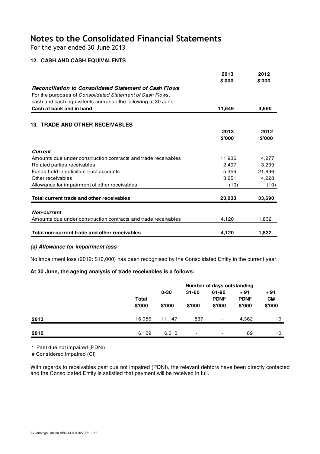For the year ended 30 June 2013

### **12. CASH AND CASH EQUIVALENTS**

|                                                                | 2013   | 2012   |
|----------------------------------------------------------------|--------|--------|
|                                                                | \$'000 | \$'000 |
| Reconciliation to Consolidated Statement of Cash Flows         |        |        |
| For the purposes of Consolidated Statement of Cash Flows,      |        |        |
| cash and cash equivalents comprise the following at 30 June:   |        |        |
| Cash at bank and in hand                                       | 11,649 | 4,560  |
|                                                                |        |        |
| <b>13. TRADE AND OTHER RECEIVABLES</b>                         |        |        |
|                                                                | 2013   | 2012   |
|                                                                | \$'000 | \$'000 |
| <b>Current</b>                                                 |        |        |
| Amounts due under construction contracts and trade receivables | 11,936 | 4,277  |
| Related parties receivables                                    | 2,497  | 3,299  |
| Funds held in solicitors trust accounts                        | 5,359  | 21,896 |
| Other receivables                                              | 3,251  | 4,228  |
| Allowance for impairment of other receivables                  | (10)   | (10)   |
| Total current trade and other receivables                      | 23,033 | 33,690 |
|                                                                |        |        |
| <b>Non-current</b>                                             |        |        |
| Amounts due under construction contracts and trade receivables | 4,120  | 1,832  |
| Total non-current trade and other receivables                  | 4,120  | 1,832  |
|                                                                |        |        |

### **(a) Allowance for impairment loss**

No impairment loss (2012: \$10,000) has been recognised by the Consolidated Entity in the current year.

### **At 30 June, the ageing analysis of trade receivables is a follows:**

|      |                        | Number of days outstanding |                          |                                 |                                 |                                    |
|------|------------------------|----------------------------|--------------------------|---------------------------------|---------------------------------|------------------------------------|
|      | <b>Total</b><br>\$'000 | $0 - 30$<br>\$'000         | $31 - 60$<br>\$'000      | 61-90<br><b>PDNI*</b><br>\$'000 | $+91$<br><b>PDNI*</b><br>\$'000 | $+91$<br>C <sub>1#</sub><br>\$'000 |
| 2013 | 16,056                 | 11.147                     | 537                      | $\overline{\phantom{a}}$        | 4.362                           | 10                                 |
| 2012 | 6,109                  | 6,010                      | $\overline{\phantom{0}}$ | $\overline{\phantom{a}}$        | 89                              | 10                                 |

\* Past due not impaired (PDNI)

# Considered impaired (CI)

With regards to receivables past due not impaired (PDNI), the relevant debtors have been directly contacted and the Consolidated Entity is satisfied that payment will be received in full.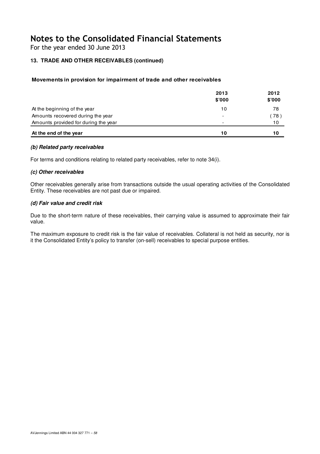For the year ended 30 June 2013

### **13. TRADE AND OTHER RECEIVABLES (continued)**

### **Movements in provision for impairment of trade and other receivables**

|                                      | 2013<br>\$'000           | 2012<br>\$'000 |
|--------------------------------------|--------------------------|----------------|
| At the beginning of the year         | 10                       | 78             |
| Amounts recovered during the year    | $\overline{\phantom{0}}$ | (78)           |
| Amounts provided for during the year | $\overline{\phantom{a}}$ | 10             |
| At the end of the year               | 10                       | 10             |

#### **(b) Related party receivables**

For terms and conditions relating to related party receivables, refer to note 34(i).

#### **(c) Other receivables**

Other receivables generally arise from transactions outside the usual operating activities of the Consolidated Entity. These receivables are not past due or impaired.

### **(d) Fair value and credit risk**

Due to the short-term nature of these receivables, their carrying value is assumed to approximate their fair value.

The maximum exposure to credit risk is the fair value of receivables. Collateral is not held as security, nor is it the Consolidated Entity's policy to transfer (on-sell) receivables to special purpose entities.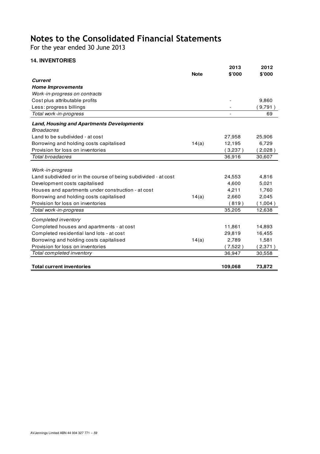For the year ended 30 June 2013

## **14. INVENTORIES**

|                                                                |             | 2013    | 2012    |
|----------------------------------------------------------------|-------------|---------|---------|
|                                                                | <b>Note</b> | \$'000  | \$'000  |
| <b>Current</b>                                                 |             |         |         |
| <b>Home Improvements</b>                                       |             |         |         |
| Work-in-progress on contracts                                  |             |         |         |
| Cost plus attributable profits                                 |             |         | 9,860   |
| Less: progress billings                                        |             |         | (9,791) |
| Total work-in-progress                                         |             |         | 69      |
| <b>Land, Housing and Apartments Developments</b>               |             |         |         |
| <b>Broadacres</b>                                              |             |         |         |
| Land to be subdivided - at cost                                |             | 27,958  | 25,906  |
| Borrowing and holding costs capitalised                        | 14(a)       | 12,195  | 6,729   |
| Provision for loss on inventories                              |             | (3,237) | (2,028) |
| Total broadacres                                               |             | 36,916  | 30,607  |
|                                                                |             |         |         |
| Work-in-progress                                               |             |         |         |
| Land subdivided or in the course of being subdivided - at cost |             | 24,553  | 4,816   |
| Development costs capitalised                                  |             | 4,600   | 5,021   |
| Houses and apartments under construction - at cost             |             | 4,211   | 1,760   |
| Borrowing and holding costs capitalised                        | 14(a)       | 2,660   | 2,045   |
| Provision for loss on inventories                              |             | (819)   | (1,004) |
| Total work-in-progress                                         |             | 35,205  | 12,638  |
| Completed inventory                                            |             |         |         |
| Completed houses and apartments - at cost                      |             | 11,861  | 14,893  |
| Completed residential land lots - at cost                      |             | 29,819  | 16,455  |
| Borrowing and holding costs capitalised                        | 14(a)       | 2,789   | 1,581   |
| Provision for loss on inventories                              |             | (7,522) | (2,371) |
| Total completed inventory                                      |             | 36,947  | 30,558  |
|                                                                |             |         |         |
| <b>Total current inventories</b>                               |             | 109,068 | 73,872  |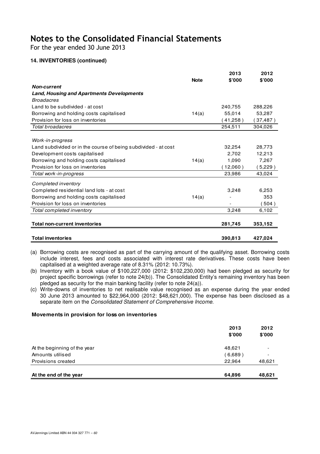For the year ended 30 June 2013

### **14. INVENTORIES (continued)**

|                                                                |             | 2013       | 2012      |
|----------------------------------------------------------------|-------------|------------|-----------|
|                                                                | <b>Note</b> | \$'000     | \$'000    |
| <b>Non-current</b>                                             |             |            |           |
| <b>Land, Housing and Apartments Developments</b>               |             |            |           |
| <b>Broadacres</b>                                              |             |            |           |
| Land to be subdivided - at cost                                |             | 240,755    | 288,226   |
| Borrowing and holding costs capitalised                        | 14(a)       | 55,014     | 53,287    |
| Provision for loss on inventories                              |             | 41,258)    | (37, 487) |
| Total broadacres                                               |             | 254,511    | 304,026   |
|                                                                |             |            |           |
| Work-in-progress                                               |             |            |           |
| Land subdivided or in the course of being subdivided - at cost |             | 32,254     | 28,773    |
| Development costs capitalised                                  |             | 2,702      | 12,213    |
| Borrowing and holding costs capitalised                        | 14(a)       | 1,090      | 7,267     |
| Provision for loss on inventories                              |             | $12,060$ ) | $5,229$ ) |
| Total work-in-progress                                         |             | 23,986     | 43,024    |
| Completed inventory                                            |             |            |           |
| Completed residential land lots - at cost                      |             | 3,248      | 6,253     |
| Borrowing and holding costs capitalised                        | 14(a)       |            | 353       |
| Provision for loss on inventories                              |             |            | 504)      |
| Total completed inventory                                      |             | 3,248      | 6,102     |
| <b>Total non-current inventories</b>                           |             | 281,745    | 353,152   |
| <b>Total inventories</b>                                       |             | 390,813    | 427,024   |

- (a) Borrowing costs are recognised as part of the carrying amount of the qualifying asset. Borrowing costs include interest, fees and costs associated with interest rate derivatives. These costs have been capitalised at a weighted average rate of 8.31% (2012: 10.73%).
- (b) Inventory with a book value of \$100,227,000 (2012: \$102,230,000) had been pledged as security for project specific borrowings (refer to note 24(b)). The Consolidated Entity's remaining inventory has been pledged as security for the main banking facility (refer to note 24(a)).
- (c) Write-downs of inventories to net realisable value recognised as an expense during the year ended 30 June 2013 amounted to \$22,964,000 (2012: \$48,621,000). The expense has been disclosed as a separate item on the Consolidated Statement of Comprehensive Income.

#### **Movements in provision for loss on inventories**

|                              | 2013<br>\$'000 | 2012<br>\$'000 |
|------------------------------|----------------|----------------|
| At the beginning of the year | 48,621         |                |
| Amounts utilised             | (6,689)        |                |
| Provisions created           | 22.964         | 48,621         |
| At the end of the year       | 64,896         | 48,621         |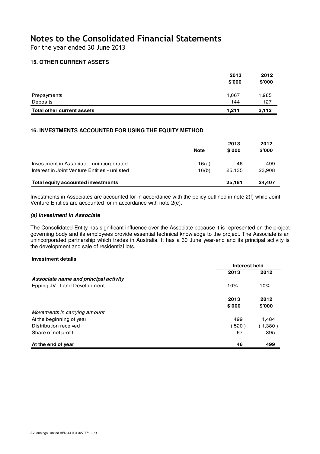For the year ended 30 June 2013

### **15. OTHER CURRENT ASSETS**

|                            | 2013   | 2012   |
|----------------------------|--------|--------|
|                            | \$'000 | \$'000 |
| Prepayments                | 1,067  | 1,985  |
| Deposits                   | 144    | 127    |
| Total other current assets | 1.211  | 2,112  |

### **16. INVESTMENTS ACCOUNTED FOR USING THE EQUITY METHOD**

|                                               | <b>Note</b> | 2013<br>\$'000 | 2012<br>\$'000 |
|-----------------------------------------------|-------------|----------------|----------------|
| Investment in Associate - unincorporated      | 16(a)       | 46             | 499            |
| Interest in Joint Venture Entities - unlisted | 16(b)       | 25.135         | 23,908         |
| Total equity accounted investments            |             | 25.181         | 24.407         |

Investments in Associates are accounted for in accordance with the policy outlined in note 2(f) while Joint Venture Entities are accounted for in accordance with note 2(e).

### **(a) Investment in Associate**

The Consolidated Entity has significant influence over the Associate because it is represented on the project governing body and its employees provide essential technical knowledge to the project. The Associate is an unincorporated partnership which trades in Australia. It has a 30 June year-end and its principal activity is the development and sale of residential lots.

#### **Investment details**

|                                       | Interest held |         |
|---------------------------------------|---------------|---------|
|                                       | 2013          | 2012    |
| Associate name and principal activity |               |         |
| Epping JV - Land Development          | 10%           | 10%     |
|                                       | 2013          | 2012    |
|                                       | \$'000        | \$'000  |
| Movements in carrying amount          |               |         |
| At the beginning of year              | 499           | 1,484   |
| Distribution received                 | 520)          | (1,380) |
| Share of net profit                   | 67            | 395     |
| At the end of year                    | 46            | 499     |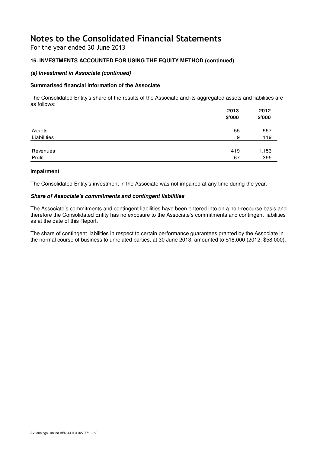For the year ended 30 June 2013

### **16. INVESTMENTS ACCOUNTED FOR USING THE EQUITY METHOD (continued)**

### **(a) Investment in Associate (continued)**

### **Summarised financial information of the Associate**

The Consolidated Entity's share of the results of the Associate and its aggregated assets and liabilities are as follows:  **2013 2012**

|             | 2013<br>\$'000 | 2012<br>\$'000 |
|-------------|----------------|----------------|
| Assets      | 55             | 557            |
| Liabilities | 9              | 119            |
|             |                |                |
| Revenues    | 419            | 1,153          |
| Profit      | 67             | 395            |

#### **Impairment**

The Consolidated Entity's investment in the Associate was not impaired at any time during the year.

#### **Share of Associate's commitments and contingent liabilities**

The Associate's commitments and contingent liabilities have been entered into on a non-recourse basis and therefore the Consolidated Entity has no exposure to the Associate's commitments and contingent liabilities as at the date of this Report.

The share of contingent liabilities in respect to certain performance guarantees granted by the Associate in the normal course of business to unrelated parties, at 30 June 2013, amounted to \$18,000 (2012: \$58,000).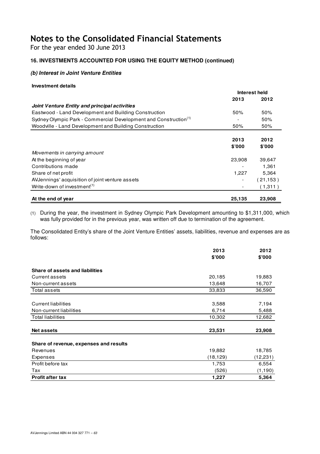For the year ended 30 June 2013

### **16. INVESTMENTS ACCOUNTED FOR USING THE EQUITY METHOD (continued)**

### **(b) Interest in Joint Venture Entities**

### **Investment details**

|                                                                              | Interest held |           |
|------------------------------------------------------------------------------|---------------|-----------|
|                                                                              | 2013          | 2012      |
| Joint Venture Entity and principal activities                                |               |           |
| Eastwood - Land Development and Building Construction                        | 50%           | 50%       |
| Sydney Olympic Park - Commercial Development and Construction <sup>(1)</sup> |               | 50%       |
| Woodville - Land Development and Building Construction                       | 50%           | 50%       |
|                                                                              |               |           |
|                                                                              | 2013          | 2012      |
|                                                                              | \$'000        | \$'000    |
| Movements in carrying amount                                                 |               |           |
| At the beginning of year                                                     | 23,908        | 39,647    |
| Contributions made                                                           |               | 1.361     |
| Share of net profit                                                          | 1,227         | 5,364     |
| AVJennings' acquisition of joint venture assets                              |               | (21, 153) |
| Write-down of investment <sup>(1)</sup>                                      |               | (1,311)   |
| At the end of year                                                           | 25,135        | 23,908    |

(1) During the year, the investment in Sydney Olympic Park Development amounting to \$1,311,000, which was fully provided for in the previous year, was written off due to termination of the agreement.

The Consolidated Entity's share of the Joint Venture Entities' assets, liabilities, revenue and expenses are as follows:

|                                        | 2013      | 2012      |
|----------------------------------------|-----------|-----------|
|                                        | \$'000    | \$'000    |
| Share of assets and liabilities        |           |           |
| Current assets                         | 20,185    | 19,883    |
| Non-current assets                     | 13,648    | 16,707    |
| Total assets                           | 33,833    | 36,590    |
|                                        |           |           |
| <b>Current liabilities</b>             | 3,588     | 7,194     |
| Non-current liabilities                | 6,714     | 5,488     |
| <b>Total liabilities</b>               | 10,302    | 12,682    |
|                                        |           |           |
| <b>Net assets</b>                      | 23,531    | 23,908    |
|                                        |           |           |
| Share of revenue, expenses and results |           |           |
| Revenues                               | 19,882    | 18,785    |
| Expenses                               | (18, 129) | (12, 231) |
| Profit before tax                      | 1,753     | 6,554     |
| Tax                                    | (526)     | (1, 190)  |
| <b>Profit after tax</b>                | 1,227     | 5,364     |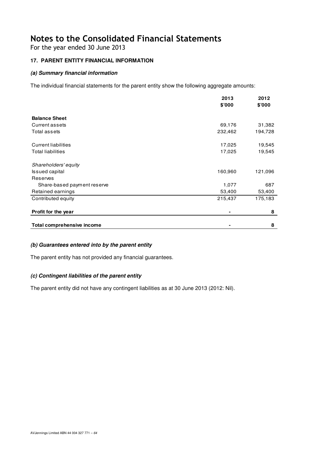For the year ended 30 June 2013

### **17. PARENT ENTITY FINANCIAL INFORMATION**

### **(a) Summary financial information**

The individual financial statements for the parent entity show the following aggregate amounts:

|                                   | 2013    | 2012    |
|-----------------------------------|---------|---------|
|                                   | \$'000  | \$'000  |
| <b>Balance Sheet</b>              |         |         |
| <b>Current assets</b>             | 69,176  | 31,382  |
| Total assets                      | 232,462 | 194,728 |
| <b>Current liabilities</b>        | 17,025  | 19,545  |
| <b>Total liabilities</b>          | 17,025  | 19,545  |
| Shareholders' equity              |         |         |
| <b>Issued capital</b>             | 160,960 | 121,096 |
| Reserves                          |         |         |
| Share-based payment reserve       | 1,077   | 687     |
| Retained earnings                 | 53,400  | 53,400  |
| Contributed equity                | 215,437 | 175,183 |
| Profit for the year               |         | 8       |
| <b>Total comprehensive income</b> |         | 8       |

### **(b) Guarantees entered into by the parent entity**

The parent entity has not provided any financial guarantees.

### **(c) Contingent liabilities of the parent entity**

The parent entity did not have any contingent liabilities as at 30 June 2013 (2012: Nil).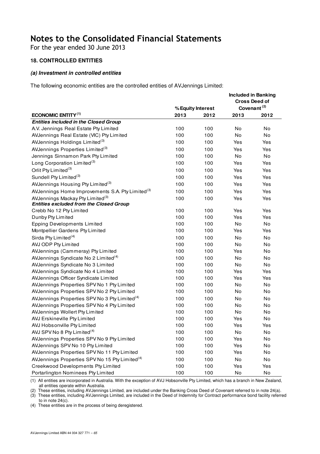For the year ended 30 June 2013

### **18. CONTROLLED ENTITIES**

### **(a) Investment in controlled entities**

The following economic entities are the controlled entities of AVJennings Limited:

|                                                              |      |                   |           | <b>Included in Banking</b><br><b>Cross Deed of</b> |
|--------------------------------------------------------------|------|-------------------|-----------|----------------------------------------------------|
|                                                              |      | % Equity Interest |           | Covenant <sup>(2)</sup>                            |
| <b>ECONOMIC ENTITY(1)</b>                                    | 2013 | 2012              | 2013      | 2012                                               |
| <b>Entities included in the Closed Group</b>                 |      |                   |           |                                                    |
| A.V. Jennings Real Estate Pty Limited                        | 100  | 100               | No        | No                                                 |
| AVJennings Real Estate (VIC) Pty Limited                     | 100  | 100               | No        | No                                                 |
| AVJennings Holdings Limited <sup>(3)</sup>                   | 100  | 100               | Yes       | Yes                                                |
| AVJennings Properties Limited <sup>(3)</sup>                 | 100  | 100               | Yes       | Yes                                                |
| Jennings Sinnamon Park Pty Limited                           | 100  | 100               | No        | No                                                 |
| Long Corporation Limited <sup>(3)</sup>                      | 100  | 100               | Yes       | Yes                                                |
| Orlit Pty Limited <sup>(3)</sup>                             | 100  | 100               | Yes       | Yes                                                |
| Sundell Pty Limited <sup>(3)</sup>                           | 100  | 100               | Yes       | Yes                                                |
| AVJennings Housing Pty Limited <sup>(3)</sup>                | 100  | 100               | Yes       | Yes                                                |
| AVJennings Home Improvements S.A. Pty Limited <sup>(3)</sup> | 100  | 100               | Yes       | Yes                                                |
| AVJennings Mackay Pty Limited <sup>(3)</sup>                 | 100  | 100               | Yes       | Yes                                                |
| <b>Entities excluded from the Closed Group</b>               |      |                   |           |                                                    |
| Crebb No 12 Pty Limited                                      | 100  | 100               | Yes       | Yes                                                |
| Dunby Pty Limited                                            | 100  | 100               | Yes       | Yes                                                |
| <b>Epping Developments Limited</b>                           | 100  | 100               | No        | No                                                 |
| Montpellier Gardens Pty Limited                              | 100  | 100               | Yes       | Yes                                                |
| Sirda Pty Limited <sup>(4)</sup>                             | 100  | 100               | <b>No</b> | No                                                 |
| AVJ ODP Pty Limited                                          | 100  | 100               | No        | No                                                 |
| AVJennings (Cammeray) Pty Limited                            | 100  | 100               | Yes       | No                                                 |
| AVJennings Syndicate No 2 Limited <sup>(4)</sup>             | 100  | 100               | No        | No                                                 |
| AVJennings Syndicate No 3 Limited                            | 100  | 100               | No        | No                                                 |
| AVJennings Syndicate No 4 Limited                            | 100  | 100               | Yes       | Yes                                                |
| AVJennings Officer Syndicate Limited                         | 100  | 100               | Yes       | Yes                                                |
| AVJennings Properties SPV No 1 Pty Limited                   | 100  | 100               | No        | No                                                 |
| AVJennings Properties SPV No 2 Pty Limited                   | 100  | 100               | No        | No                                                 |
| AVJennings Properties SPV No 3 Pty Limited <sup>(4)</sup>    | 100  | 100               | No        | No                                                 |
| AVJennings Properties SPV No 4 Pty Limited                   | 100  | 100               | No        | No                                                 |
| AVJennings Wollert Pty Limited                               | 100  | 100               | No        | No                                                 |
| AVJ Erskineville Pty Limited                                 | 100  | 100               | Yes       | No                                                 |
| AVJ Hobsonville Pty Limited                                  | 100  | 100               | Yes       | Yes                                                |
| AVJ SPV No 8 Pty Limited <sup>(4)</sup>                      | 100  | 100               | No        | No                                                 |
| AVJennings Properties SPV No 9 Pty Limited                   | 100  | 100               | Yes       | No                                                 |
| AVJennings SPV No 10 Pty Limited                             | 100  | 100               | Yes       | No                                                 |
| AVJennings Properties SPV No 11 Pty Limited                  | 100  | 100               | Yes       | No                                                 |
| AVJennings Properties SPV No 15 Pty Limited <sup>(4)</sup>   | 100  | 100               | No        | No                                                 |
| Creekwood Developments Pty Limited                           | 100  | 100               | Yes       | Yes                                                |
| Portarlington Nominees Pty Limited                           | 100  | 100               | No        | No                                                 |

(1) All entities are incorporated in Australia. With the exception of AVJ Hobsonville Pty Limited, which has a branch in New Zealand, all entities operate within Australia.

(2) These entities, including AVJennings Limited, are included under the Banking Cross Deed of Covenant referred to in note 24(a).

(3) These entities, including AVJennings Limited, are included in the Deed of Indemnity for Contract performance bond facility referred to in note 24(c).

(4) These entities are in the process of being deregistered.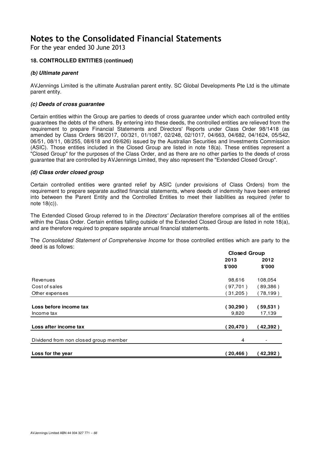For the year ended 30 June 2013

### **18. CONTROLLED ENTITIES (continued)**

### **(b) Ultimate parent**

AVJennings Limited is the ultimate Australian parent entity. SC Global Developments Pte Ltd is the ultimate parent entity.

#### **(c) Deeds of cross guarantee**

Certain entities within the Group are parties to deeds of cross guarantee under which each controlled entity guarantees the debts of the others. By entering into these deeds, the controlled entities are relieved from the requirement to prepare Financial Statements and Directors' Reports under Class Order 98/1418 (as amended by Class Orders 98/2017, 00/321, 01/1087, 02/248, 02/1017, 04/663, 04/682, 04/1624, 05/542, 06/51, 08/11, 08/255, 08/618 and 09/626) issued by the Australian Securities and Investments Commission (ASIC). Those entities included in the Closed Group are listed in note 18(a). These entities represent a "Closed Group" for the purposes of the Class Order, and as there are no other parties to the deeds of cross guarantee that are controlled by AVJennings Limited, they also represent the "Extended Closed Group".

#### **(d) Class order closed group**

Certain controlled entities were granted relief by ASIC (under provisions of Class Orders) from the requirement to prepare separate audited financial statements, where deeds of indemnity have been entered into between the Parent Entity and the Controlled Entities to meet their liabilities as required (refer to note 18(c)).

The Extended Closed Group referred to in the *Directors' Declaration* therefore comprises all of the entities within the Class Order. Certain entities falling outside of the Extended Closed Group are listed in note 18(a), and are therefore required to prepare separate annual financial statements.

The Consolidated Statement of Comprehensive Income for those controlled entities which are party to the deed is as follows:

|                                       | <b>Closed Group</b> |           |  |
|---------------------------------------|---------------------|-----------|--|
|                                       | 2013                | 2012      |  |
|                                       | \$'000              | \$'000    |  |
| Revenues                              | 98,616              | 108,054   |  |
| Cost of sales                         | 97,701)             | (89,386)  |  |
| Other expenses                        | 31,205)             | (78, 199) |  |
| Loss before income tax                | (30, 290)           | 〔59,531〕  |  |
| Income tax                            | 9,820               | 17,139    |  |
| Loss after income tax                 | (20, 470)           | 42,392)   |  |
| Dividend from non closed group member | 4                   |           |  |
| Loss for the year                     | (20, 466)           | 42,392)   |  |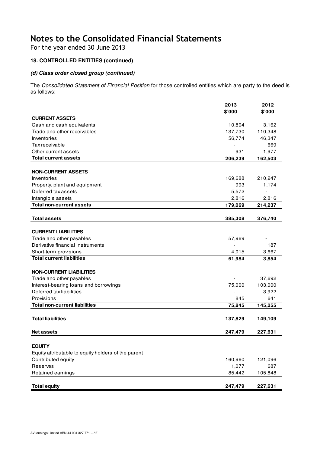For the year ended 30 June 2013

# **18. CONTROLLED ENTITIES (continued)**

### **(d) Class order closed group (continued)**

The Consolidated Statement of Financial Position for those controlled entities which are party to the deed is as follows:

|                                                     | 2013                     | 2012                     |
|-----------------------------------------------------|--------------------------|--------------------------|
|                                                     | \$'000                   | \$'000                   |
| <b>CURRENT ASSETS</b><br>Cash and cash equivalents  | 10,804                   | 3,162                    |
| Trade and other receivables                         | 137,730                  | 110,348                  |
| Inventories                                         | 56,774                   | 46,347                   |
| Tax receivable                                      |                          | 669                      |
| Other current assets                                | 931                      | 1,977                    |
| <b>Total current assets</b>                         | 206,239                  | 162,503                  |
|                                                     |                          |                          |
| <b>NON-CURRENT ASSETS</b>                           |                          |                          |
| Inventories                                         | 169,688                  | 210,247                  |
| Property, plant and equipment                       | 993                      | 1,174                    |
| Deferred tax assets                                 | 5,572                    | $\overline{\phantom{a}}$ |
| Intangible assets                                   | 2,816                    | 2,816                    |
| <b>Total non-current assets</b>                     | 179,069                  | 214,237                  |
|                                                     |                          |                          |
| <b>Total assets</b>                                 | 385,308                  | 376,740                  |
|                                                     |                          |                          |
| <b>CURRENT LIABILITIES</b>                          |                          |                          |
| Trade and other payables                            | 57,969                   |                          |
| Derivative financial instruments                    | $\overline{\phantom{a}}$ | 187                      |
| Short-term provisions                               | 4,015                    | 3,667                    |
| <b>Total current liabilities</b>                    | 61,984                   | 3,854                    |
|                                                     |                          |                          |
| <b>NON-CURRENT LIABILITIES</b>                      |                          |                          |
| Trade and other payables                            |                          | 37,692                   |
| Interest-bearing loans and borrowings               | 75,000                   | 103,000                  |
| Deferred tax liabilities                            |                          | 3,922                    |
| Provisions                                          | 845                      | 641                      |
| <b>Total non-current liabilities</b>                | 75,845                   | 145,255                  |
| <b>Total liabilities</b>                            |                          |                          |
|                                                     | 137,829                  | 149,109                  |
| <b>Net assets</b>                                   | 247,479                  | 227,631                  |
|                                                     |                          |                          |
| <b>EQUITY</b>                                       |                          |                          |
| Equity attributable to equity holders of the parent |                          |                          |
| Contributed equity                                  | 160,960                  | 121,096                  |
| <b>Reserves</b>                                     | 1,077                    | 687                      |
| Retained earnings                                   | 85,442                   | 105,848                  |
|                                                     |                          |                          |
| <b>Total equity</b>                                 | 247,479                  | 227,631                  |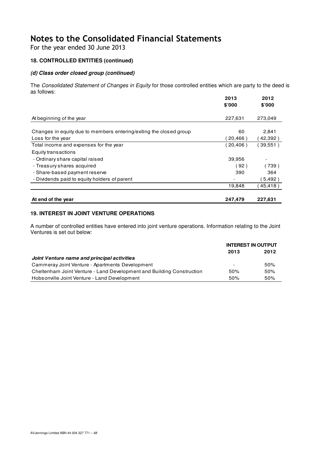For the year ended 30 June 2013

## **18. CONTROLLED ENTITIES (continued)**

### **(d) Class order closed group (continued)**

The Consolidated Statement of Changes in Equity for those controlled entities which are party to the deed is as follows:

|                                                                    | 2013<br>\$'000 | 2012<br>\$'000 |
|--------------------------------------------------------------------|----------------|----------------|
|                                                                    |                |                |
| At beginning of the year                                           | 227,631        | 273,049        |
|                                                                    |                |                |
| Changes in equity due to members entering/exiting the closed group | 60             | 2,841          |
| Loss for the year                                                  | 20,466)        | 42,392)        |
| Total income and expenses for the year                             | (20, 406)      | 39,551)        |
| Equity transactions                                                |                |                |
| - Ordinary share capital raised                                    | 39,956         |                |
| - Treasury shares acquired                                         | (92)           | (739)          |
| - Share-based payment reserve                                      | 390            | 364            |
| - Dividends paid to equity holders of parent                       |                | 5,492)         |
|                                                                    | 19,848         | 45,418)        |
|                                                                    |                |                |
| At end of the year                                                 | 247,479        | 227,631        |

### **19. INTEREST IN JOINT VENTURE OPERATIONS**

A number of controlled entities have entered into joint venture operations. Information relating to the Joint Ventures is set out below:

|                                                                       | <b>INTEREST IN OUTPUT</b> |      |
|-----------------------------------------------------------------------|---------------------------|------|
|                                                                       | 2013                      | 2012 |
| Joint Venture name and principal activities                           |                           |      |
| Cammeray Joint Venture - Apartments Development                       | $\overline{\phantom{a}}$  | 50%  |
| Cheltenham Joint Venture - Land Development and Building Construction | 50%                       | 50%  |
| Hobsonville Joint Venture - Land Development                          | 50%                       | 50%  |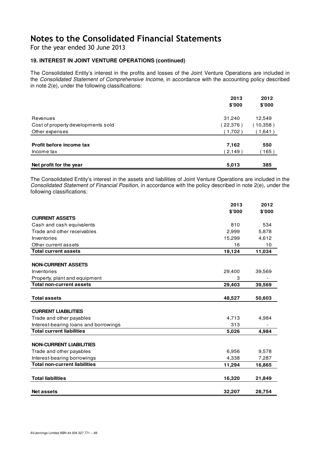For the year ended 30 June 2013

### **19. INTEREST IN JOINT VENTURE OPERATIONS (continued)**

The Consolidated Entity's interest in the profits and losses of the Joint Venture Operations are included in the Consolidated Statement of Comprehensive Income, in accordance with the accounting policy described in note 2(e), under the following classifications:

|                                    | 2013    | 2012     |
|------------------------------------|---------|----------|
|                                    | \$'000  | \$'000   |
| Revenues                           | 31,240  | 12,549   |
| Cost of property developments sold | 22,376) | (10,358) |
| Other expenses                     | (1,702) | (1,641)  |
| Profit before income tax           | 7,162   | 550      |
| Income tax                         | (2,149) | 165)     |
|                                    |         |          |
| Net profit for the year            | 5,013   | 385      |

The Consolidated Entity's interest in the assets and liabilities of Joint Venture Operations are included in the Consolidated Statement of Financial Position, in accordance with the policy described in note 2(e), under the following classifications:

|                                       | 2013   | 2012   |
|---------------------------------------|--------|--------|
|                                       | \$'000 | \$'000 |
| <b>CURRENT ASSETS</b>                 |        |        |
| Cash and cash equivalents             | 810    | 534    |
| Trade and other receivables           | 2,999  | 5,878  |
| Inventories                           | 15,299 | 4,612  |
| Other current assets                  | 16     | 10     |
| <b>Total current assets</b>           | 19,124 | 11,034 |
|                                       |        |        |
| <b>NON-CURRENT ASSETS</b>             |        |        |
| Inventories                           | 29,400 | 39,569 |
| Property, plant and equipment         | 3      |        |
| <b>Total non-current assets</b>       | 29,403 | 39,569 |
|                                       |        |        |
| <b>Total assets</b>                   | 48,527 | 50,603 |
| <b>CURRENT LIABILITIES</b>            |        |        |
|                                       |        |        |
| Trade and other payables              | 4,713  | 4,984  |
| Interest-bearing loans and borrowings | 313    |        |
| <b>Total current liabilities</b>      | 5,026  | 4,984  |
| <b>NON-CURRENT LIABILITIES</b>        |        |        |
| Trade and other payables              | 6,956  | 9,578  |
| Interest-bearing borrowings           | 4,338  | 7,287  |
| <b>Total non-current liabilities</b>  | 11,294 | 16,865 |
|                                       |        |        |
| <b>Total liabilities</b>              | 16,320 | 21,849 |
| <b>Net assets</b>                     | 32,207 | 28,754 |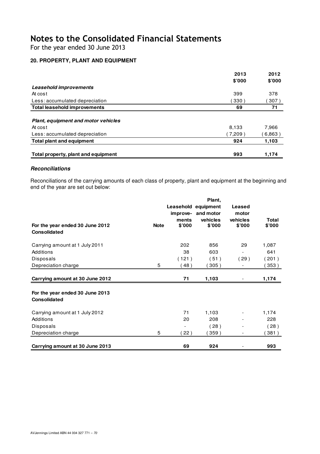For the year ended 30 June 2013

### **20. PROPERTY, PLANT AND EQUIPMENT**

|                                            | 2013    | 2012   |
|--------------------------------------------|---------|--------|
|                                            | \$'000  | \$'000 |
| Leasehold improvements                     |         |        |
| At cost                                    | 399     | 378    |
| Less: accumulated depreciation             | 330)    | 307)   |
| <b>Total leasehold improvements</b>        | 69      | 71     |
|                                            |         |        |
| <b>Plant, equipment and motor vehicles</b> |         |        |
| At cost                                    | 8,133   | 7,966  |
| Less: accumulated depreciation             | (7.209) | 6,863) |
| <b>Total plant and equipment</b>           | 924     | 1,103  |
|                                            |         |        |
| Total property, plant and equipment        | 993     | 1,174  |

### **Reconciliations**

Reconciliations of the carrying amounts of each class of property, plant and equipment at the beginning and end of the year are set out below:

|                                                        |             |          | Plant,              |                          |              |
|--------------------------------------------------------|-------------|----------|---------------------|--------------------------|--------------|
|                                                        |             |          | Leasehold equipment | Leased                   |              |
|                                                        |             | improve- | and motor           | motor                    |              |
|                                                        |             | ments    | vehicles            | vehicles                 | <b>Total</b> |
| For the year ended 30 June 2012<br><b>Consolidated</b> | <b>Note</b> | \$'000   | \$'000              | \$'000                   | \$'000       |
| Carrying amount at 1 July 2011                         |             | 202      | 856                 | 29                       | 1,087        |
| Additions                                              |             | 38       | 603                 | $\overline{\phantom{a}}$ | 641          |
| Disposals                                              |             | (121)    | (51)                | (29)                     | (201)        |
| Depreciation charge                                    | 5           | (48)     | (305)               | $\overline{\phantom{a}}$ | 353)         |
|                                                        |             |          |                     |                          |              |
| Carrying amount at 30 June 2012                        |             | 71       | 1,103               |                          | 1,174        |
| For the year ended 30 June 2013<br><b>Consolidated</b> |             |          |                     |                          |              |
| Carrying amount at 1 July 2012                         |             | 71       | 1,103               | $\overline{\phantom{a}}$ | 1,174        |
| Additions                                              |             | 20       | 208                 |                          | 228          |
| Disposals                                              |             |          | (28)                |                          | (28)         |
| Depreciation charge                                    | 5           | 22)      | 359)                | $\overline{\phantom{a}}$ | 381)         |
| Carrying amount at 30 June 2013                        |             | 69       | 924                 |                          | 993          |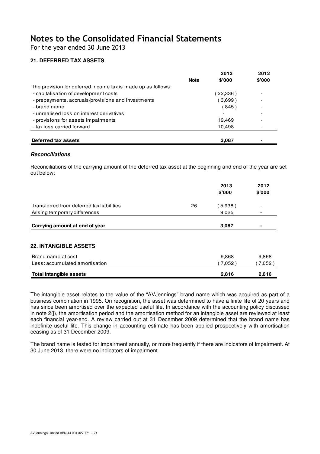For the year ended 30 June 2013

### **21. DEFERRED TAX ASSETS**

|                                                              |             | 2013     | 2012                     |
|--------------------------------------------------------------|-------------|----------|--------------------------|
|                                                              | <b>Note</b> | \$'000   | \$'000                   |
| The provision for deferred income tax is made up as follows: |             |          |                          |
| - capitalisation of development costs                        |             | (22,336) |                          |
| - prepayments, accruals/provisions and investments           |             | (3,699)  |                          |
| - brand name                                                 |             | (845)    | $\overline{\phantom{0}}$ |
| - unrealised loss on interest derivatives                    |             |          | $\overline{\phantom{0}}$ |
| - provisions for assets impairments                          |             | 19.469   |                          |
| - tax loss carried forward                                   |             | 10,498   |                          |
|                                                              |             |          |                          |
| Deferred tax assets                                          |             | 3,087    | $\blacksquare$           |

#### **Reconciliations**

Reconciliations of the carrying amount of the deferred tax asset at the beginning and end of the year are set out below:

|                                           |    | 2013<br>\$'000 | 2012<br>\$'000 |
|-------------------------------------------|----|----------------|----------------|
| Transferred from deferred tax liabilities | 26 | 5,938)         |                |
| Arising temporary differences             |    | 9,025          |                |
| Carrying amount at end of year            |    | 3,087          |                |
|                                           |    |                |                |
| <b>22. INTANGIBLE ASSETS</b>              |    |                |                |
| Brand name at cost                        |    | 9,868          | 9,868          |
| Less: accumulated amortisation            |    | 7,052)         | (7,052)        |
| <b>Total intangible assets</b>            |    | 2,816          | 2,816          |

The intangible asset relates to the value of the "AVJennings" brand name which was acquired as part of a business combination in 1995. On recognition, the asset was determined to have a finite life of 20 years and has since been amortised over the expected useful life. In accordance with the accounting policy discussed in note 2(j), the amortisation period and the amortisation method for an intangible asset are reviewed at least each financial year-end. A review carried out at 31 December 2009 determined that the brand name has indefinite useful life. This change in accounting estimate has been applied prospectively with amortisation ceasing as of 31 December 2009.

The brand name is tested for impairment annually, or more frequently if there are indicators of impairment. At 30 June 2013, there were no indicators of impairment.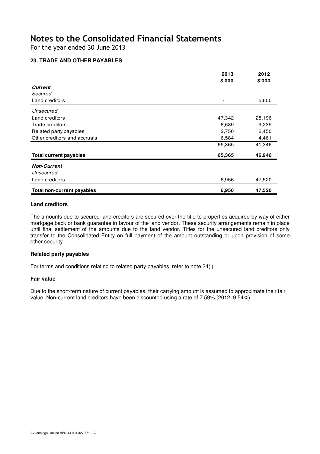For the year ended 30 June 2013

### **23. TRADE AND OTHER PAYABLES**

|                                   | 2013           | 2012   |
|-----------------------------------|----------------|--------|
|                                   | \$'000         | \$'000 |
| <b>Current</b>                    |                |        |
| Secured                           |                |        |
| Land creditors                    | $\overline{a}$ | 5,600  |
| Unsecured                         |                |        |
| Land creditors                    | 47,342         | 25,196 |
| Trade creditors                   | 8,689          | 9,239  |
| Related party payables            | 2,750          | 2,450  |
| Other creditors and accruals      | 6,584          | 4,461  |
|                                   | 65,365         | 41,346 |
| <b>Total current payables</b>     | 65,365         | 46,946 |
| <b>Non-Current</b>                |                |        |
| Unsecured                         |                |        |
| Land creditors                    | 6,956          | 47,520 |
| <b>Total non-current payables</b> | 6,956          | 47,520 |

#### **Land creditors**

The amounts due to secured land creditors are secured over the title to properties acquired by way of either mortgage back or bank guarantee in favour of the land vendor. These security arrangements remain in place until final settlement of the amounts due to the land vendor. Titles for the unsecured land creditors only transfer to the Consolidated Entity on full payment of the amount outstanding or upon provision of some other security.

### **Related party payables**

For terms and conditions relating to related party payables, refer to note 34(i).

#### **Fair value**

Due to the short-term nature of current payables, their carrying amount is assumed to approximate their fair value. Non-current land creditors have been discounted using a rate of 7.59% (2012: 9.54%).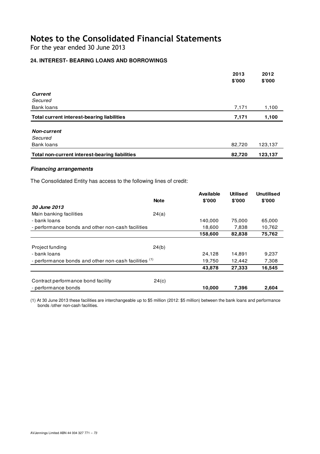For the year ended 30 June 2013

## **24. INTEREST- BEARING LOANS AND BORROWINGS**

|                                                       | 2013   | 2012    |
|-------------------------------------------------------|--------|---------|
|                                                       | \$'000 | \$'000  |
| <b>Current</b>                                        |        |         |
| Secured                                               |        |         |
| Bank loans                                            | 7,171  | 1,100   |
| <b>Total current interest-bearing liabilities</b>     | 7,171  | 1,100   |
|                                                       |        |         |
| <b>Non-current</b>                                    |        |         |
| Secured                                               |        |         |
| Bank loans                                            | 82,720 | 123,137 |
| <b>Total non-current interest-bearing liabilities</b> | 82,720 | 123,137 |

## **Financing arrangements**

The Consolidated Entity has access to the following lines of credit:

|                                                                  |             | <b>Available</b> | <b>Utilised</b> | <b>Unutilised</b> |
|------------------------------------------------------------------|-------------|------------------|-----------------|-------------------|
|                                                                  | <b>Note</b> | \$'000           | \$'000          | \$'000            |
| 30 June 2013                                                     |             |                  |                 |                   |
| Main banking facilities                                          | 24(a)       |                  |                 |                   |
| - bank loans                                                     |             | 140,000          | 75,000          | 65,000            |
| - performance bonds and other non-cash facilities                |             | 18,600           | 7,838           | 10,762            |
|                                                                  |             | 158,600          | 82,838          | 75,762            |
|                                                                  |             |                  |                 |                   |
| Project funding                                                  | 24(b)       |                  |                 |                   |
| - bank loans                                                     |             | 24,128           | 14,891          | 9,237             |
| - performance bonds and other non-cash facilities <sup>(1)</sup> |             | 19,750           | 12,442          | 7,308             |
|                                                                  |             | 43,878           | 27,333          | 16,545            |
|                                                                  |             |                  |                 |                   |
| Contract performance bond facility                               | 24(c)       |                  |                 |                   |
| - performance bonds                                              |             | 10,000           | 7,396           | 2,604             |

(1) At 30 June 2013 these facilities are interchangeable up to \$5 million (2012: \$5 million) between the bank loans and performance bonds /other non-cash facilities.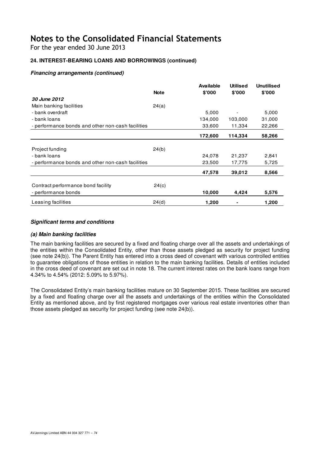For the year ended 30 June 2013

## **24. INTEREST-BEARING LOANS AND BORROWINGS (continued)**

## **Financing arrangements (continued)**

|                                                   |             | Available | <b>Utilised</b> | <b>Unutilised</b> |
|---------------------------------------------------|-------------|-----------|-----------------|-------------------|
|                                                   | <b>Note</b> | \$'000    | \$'000          | \$'000            |
| <b>30 June 2012</b>                               |             |           |                 |                   |
| Main banking facilities                           | 24(a)       |           |                 |                   |
| - bank overdraft                                  |             | 5,000     |                 | 5,000             |
| - bank loans                                      |             | 134,000   | 103,000         | 31,000            |
| - performance bonds and other non-cash facilities |             | 33,600    | 11,334          | 22,266            |
|                                                   |             | 172,600   | 114,334         | 58,266            |
|                                                   |             |           |                 |                   |
| Project funding                                   | 24(b)       |           |                 |                   |
| - bank loans                                      |             | 24,078    | 21,237          | 2,841             |
| - performance bonds and other non-cash facilities |             | 23,500    | 17,775          | 5,725             |
|                                                   |             | 47,578    | 39,012          | 8,566             |
| Contract performance bond facility                | 24(c)       |           |                 |                   |
| - performance bonds                               |             | 10,000    | 4,424           | 5,576             |
| Leasing facilities                                | 24(d)       | 1,200     |                 | 1,200             |

## **Significant terms and conditions**

### **(a) Main banking facilities**

The main banking facilities are secured by a fixed and floating charge over all the assets and undertakings of the entities within the Consolidated Entity, other than those assets pledged as security for project funding (see note 24(b)). The Parent Entity has entered into a cross deed of covenant with various controlled entities to guarantee obligations of those entities in relation to the main banking facilities. Details of entities included in the cross deed of covenant are set out in note 18. The current interest rates on the bank loans range from 4.34% to 4.54% (2012: 5.09% to 5.97%).

The Consolidated Entity's main banking facilities mature on 30 September 2015. These facilities are secured by a fixed and floating charge over all the assets and undertakings of the entities within the Consolidated Entity as mentioned above, and by first registered mortgages over various real estate inventories other than those assets pledged as security for project funding (see note 24(b)).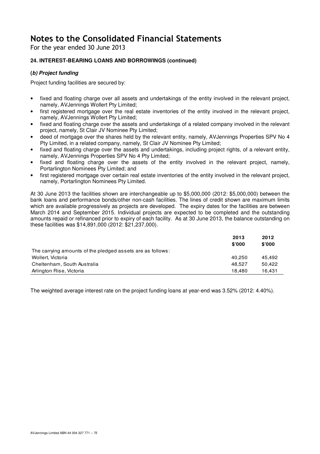For the year ended 30 June 2013

## **24. INTEREST-BEARING LOANS AND BORROWINGS (continued)**

## **(b) Project funding**

Project funding facilities are secured by:

- fixed and floating charge over all assets and undertakings of the entity involved in the relevant project, namely, AVJennings Wollert Pty Limited;
- first registered mortgage over the real estate inventories of the entity involved in the relevant project, namely, AVJennings Wollert Pty Limited;
- fixed and floating charge over the assets and undertakings of a related company involved in the relevant project, namely, St Clair JV Nominee Pty Limited;
- deed of mortgage over the shares held by the relevant entity, namely, AVJennings Properties SPV No 4 Pty Limited, in a related company, namely, St Clair JV Nominee Pty Limited;
- fixed and floating charge over the assets and undertakings, including project rights, of a relevant entity, namely, AVJennings Properties SPV No 4 Pty Limited;
- fixed and floating charge over the assets of the entity involved in the relevant project, namely, Portarlington Nominees Pty Limited; and
- first registered mortgage over certain real estate inventories of the entity involved in the relevant project, namely, Portarlington Nominees Pty Limited.

At 30 June 2013 the facilities shown are interchangeable up to \$5,000,000 (2012: \$5,000,000) between the bank loans and performance bonds/other non-cash facilities. The lines of credit shown are maximum limits which are available progressively as projects are developed. The expiry dates for the facilities are between March 2014 and September 2015. Individual projects are expected to be completed and the outstanding amounts repaid or refinanced prior to expiry of each facility. As at 30 June 2013, the balance outstanding on these facilities was \$14,891,000 (2012: \$21,237,000).

|                                                            | 2013   | 2012   |
|------------------------------------------------------------|--------|--------|
|                                                            | \$'000 | \$000  |
| The carrying amounts of the pledged assets are as follows: |        |        |
| Wollert, Victoria                                          | 40.250 | 45.492 |
| Cheltenham, South Australia                                | 48.527 | 50.422 |
| Arlington Rise, Victoria                                   | 18.480 | 16.431 |

The weighted average interest rate on the project funding loans at year-end was 3.52% (2012: 4.40%).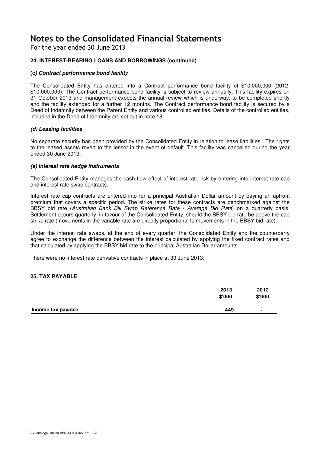For the year ended 30 June 2013

## **24. INTEREST-BEARING LOANS AND BORROWINGS (continued)**

#### **(c) Contract performance bond facility**

The Consolidated Entity has entered into a Contract performance bond facility of \$10,000,000 (2012: \$10,000,000). The Contract performance bond facility is subject to review annually. This facility expires on 31 October 2013 and management expects the annual review which is underway, to be completed shortly and the facility extended for a further 12 months. The Contract performance bond facility is secured by a Deed of Indemnity between the Parent Entity and various controlled entities. Details of the controlled entities, included in the Deed of Indemnity are set out in note 18.

#### **(d) Leasing facilities**

No separate security has been provided by the Consolidated Entity in relation to lease liabilities. The rights to the leased assets revert to the lessor in the event of default. This facility was cancelled during the year ended 30 June 2013.

#### **(e) Interest rate hedge instruments**

The Consolidated Entity manages the cash flow effect of interest rate risk by entering into interest rate cap and interest rate swap contracts.

Interest rate cap contracts are entered into for a principal Australian Dollar amount by paying an upfront premium that covers a specific period. The strike rates for these contracts are benchmarked against the BBSY bid rate (Australian Bank Bill Swap Reference Rate - Average Bid Rate) on a quarterly basis. Settlement occurs quarterly, in favour of the Consolidated Entity, should the BBSY bid rate be above the cap strike rate (movements in the variable rate are directly proportional to movements in the BBSY bid rate).

Under the interest rate swaps, at the end of every quarter, the Consolidated Entity and the counterparty agree to exchange the difference between the interest calculated by applying the fixed contract rates and that calculated by applying the BBSY bid rate to the principal Australian Dollar amounts.

There were no interest rate derivative contracts in place at 30 June 2013.

#### **25. TAX PAYABLE**

|                    | 2013<br>\$'000 | 2012<br>\$'000 |
|--------------------|----------------|----------------|
| Income tax payable | 449            | $\blacksquare$ |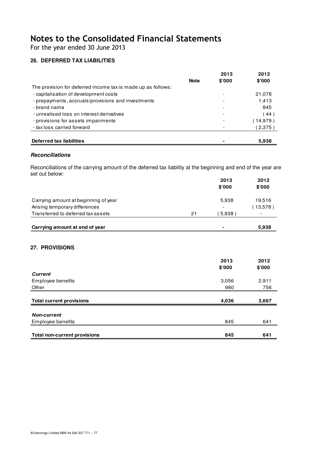For the year ended 30 June 2013

## **26. DEFERRED TAX LIABILITIES**

|                                                              |             | 2013  | 2012     |
|--------------------------------------------------------------|-------------|-------|----------|
|                                                              | <b>Note</b> | \$000 | \$7000   |
| The provision for deferred income tax is made up as follows: |             |       |          |
| - capitalisation of development costs                        |             |       | 21,078   |
| - prepayments, accruals/provisions and investments           |             |       | 1.413    |
| - brand name                                                 |             |       | 845      |
| - unrealised loss on interest derivatives                    |             |       | (44)     |
| - provisions for assets impairments                          |             |       | (14,979) |
| - tax loss carried forward                                   |             |       | (2,375)  |
|                                                              |             |       |          |
| Deferred tax liabilities                                     |             |       | 5,938    |

#### **Reconciliations**

Reconciliations of the carrying amount of the deferred tax liability at the beginning and end of the year are set out below:

|                                      |    | 2013<br>\$'000           | 2012<br>\$7000 |
|--------------------------------------|----|--------------------------|----------------|
| Carrying amount at beginning of year |    | 5,938                    | 19,516         |
| Arising temporary differences        |    | $\overline{\phantom{a}}$ | (13.578)       |
| Transferred to deferred tax assets   | 21 | 5,938                    |                |
| Carrying amount at end of year       |    | $\blacksquare$           | 5,938          |

## **27. PROVISIONS**

|                                     | 2013<br>\$'000 | 2012<br>\$'000 |
|-------------------------------------|----------------|----------------|
| <b>Current</b>                      |                |                |
| Employee benefits                   | 3,056          | 2,911          |
| Other                               | 980            | 756            |
|                                     |                |                |
| <b>Total current provisions</b>     | 4,036          | 3,667          |
| <b>Non-current</b>                  |                |                |
| Employee benefits                   | 845            | 641            |
|                                     |                |                |
| <b>Total non-current provisions</b> | 845            | 641            |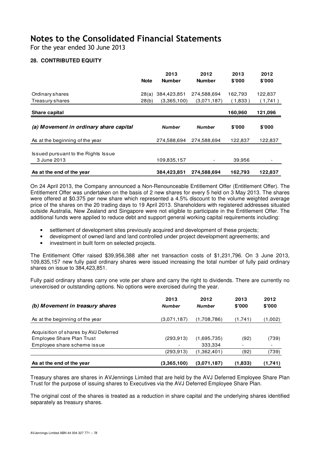For the year ended 30 June 2013

## **28. CONTRIBUTED EQUITY**

|                                                    | <b>Note</b> | 2013<br><b>Number</b> | 2012<br><b>Number</b> | 2013<br>\$'000 | 2012<br>\$'000 |
|----------------------------------------------------|-------------|-----------------------|-----------------------|----------------|----------------|
| Ordinary shares                                    | 28(a)       | 384,423,851           | 274,588,694           | 162,793        | 122,837        |
| Treasury shares                                    | 28(b)       | (3,365,100)           | (3,071,187)           | (1,833)        | (1,741)        |
| <b>Share capital</b>                               |             |                       |                       | 160,960        | 121,096        |
|                                                    |             |                       |                       |                |                |
| (a) Movement in ordinary share capital             |             | <b>Number</b>         | <b>Number</b>         | \$'000         | \$'000         |
| As at the beginning of the year                    |             | 274.588.694           | 274.588.694           | 122,837        | 122,837        |
| Issued pursuant to the Rights Issue<br>3 June 2013 |             | 109,835,157           |                       | 39,956         |                |

On 24 April 2013, the Company announced a Non-Renounceable Entitlement Offer (Entitlement Offer). The Entitlement Offer was undertaken on the basis of 2 new shares for every 5 held on 3 May 2013. The shares were offered at \$0.375 per new share which represented a 4.5% discount to the volume weighted average price of the shares on the 20 trading days to 19 April 2013. Shareholders with registered addresses situated outside Australia, New Zealand and Singapore were not eligible to participate in the Entitlement Offer. The additional funds were applied to reduce debt and support general working capital requirements including:

- settlement of development sites previously acquired and development of these projects;
- development of owned land and land controlled under project development agreements; and
- investment in built form on selected projects.

The Entitlement Offer raised \$39,956,388 after net transaction costs of \$1,231,796. On 3 June 2013, 109,835,157 new fully paid ordinary shares were issued increasing the total number of fully paid ordinary shares on issue to 384,423,851.

Fully paid ordinary shares carry one vote per share and carry the right to dividends. There are currently no unexercised or outstanding options. No options were exercised during the year.

| (b) Movement in treasury shares                                    | 2013<br><b>Number</b> | 2012<br><b>Number</b> | 2013<br>\$'000 | 2012<br>\$'000           |
|--------------------------------------------------------------------|-----------------------|-----------------------|----------------|--------------------------|
| As at the beginning of the year                                    | (3,071,187)           | (1,708,786)           | (1,741)        | (1,002)                  |
| Acquisition of shares by AVJ Deferred<br>Employee Share Plan Trust | (293, 913)            | (1,695,735)           | (92)           | (739)                    |
| Employee share scheme issue                                        |                       | 333,334               |                | $\overline{\phantom{0}}$ |
|                                                                    | (293,913)             | (1,362,401)           | (92)           | (739)                    |
| As at the end of the year                                          | (3,365,100)           | (3.071, 187)          | (1,833)        | (1,741)                  |

Treasury shares are shares in AVJennings Limited that are held by the AVJ Deferred Employee Share Plan Trust for the purpose of issuing shares to Executives via the AVJ Deferred Employee Share Plan.

The original cost of the shares is treated as a reduction in share capital and the underlying shares identified separately as treasury shares.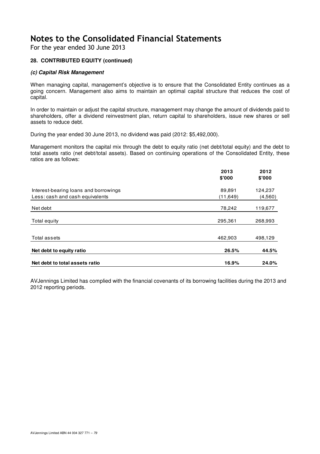For the year ended 30 June 2013

## **28. CONTRIBUTED EQUITY (continued)**

#### **(c) Capital Risk Management**

When managing capital, management's objective is to ensure that the Consolidated Entity continues as a going concern. Management also aims to maintain an optimal capital structure that reduces the cost of capital.

In order to maintain or adjust the capital structure, management may change the amount of dividends paid to shareholders, offer a dividend reinvestment plan, return capital to shareholders, issue new shares or sell assets to reduce debt.

During the year ended 30 June 2013, no dividend was paid (2012: \$5,492,000).

Management monitors the capital mix through the debt to equity ratio (net debt/total equity) and the debt to total assets ratio (net debt/total assets). Based on continuing operations of the Consolidated Entity, these ratios are as follows:

|                                       | 2013      | 2012    |
|---------------------------------------|-----------|---------|
|                                       | \$'000    | \$'000  |
| Interest-bearing loans and borrowings | 89,891    | 124,237 |
| Less: cash and cash equivalents       | (11, 649) | (4,560) |
| Net debt                              | 78,242    | 119,677 |
| Total equity                          | 295,361   | 268,993 |
|                                       |           |         |
| Total assets                          | 462,903   | 498,129 |
| Net debt to equity ratio              | 26.5%     | 44.5%   |
| Net debt to total assets ratio        | 16.9%     | 24.0%   |

AVJennings Limited has complied with the financial covenants of its borrowing facilities during the 2013 and 2012 reporting periods.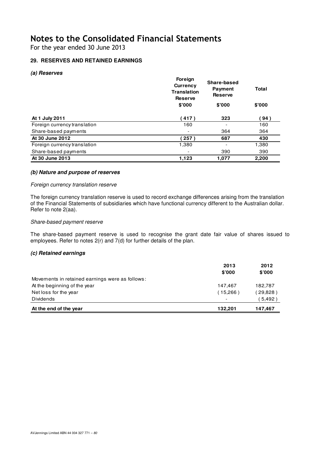For the year ended 30 June 2013

## **29. RESERVES AND RETAINED EARNINGS**

#### **(a) Reserves**

|                              | Foreign<br><b>Currency</b><br><b>Translation</b><br><b>Reserve</b> | Share-based<br><b>Payment</b><br><b>Reserve</b> |        |
|------------------------------|--------------------------------------------------------------------|-------------------------------------------------|--------|
|                              | \$'000                                                             | \$'000                                          | \$'000 |
| At 1 July 2011               | (417)                                                              | 323                                             | (94)   |
| Foreign currency translation | 160                                                                |                                                 | 160    |
| Share-based payments         |                                                                    | 364                                             | 364    |
| At 30 June 2012              | 257                                                                | 687                                             | 430    |
| Foreign currency translation | 1,380                                                              |                                                 | 1,380  |
| Share-based payments         |                                                                    | 390                                             | 390    |
| At 30 June 2013              | 1,123                                                              | 1.077                                           | 2,200  |

#### **(b) Nature and purpose of reserves**

### Foreign currency translation reserve

The foreign currency translation reserve is used to record exchange differences arising from the translation of the Financial Statements of subsidiaries which have functional currency different to the Australian dollar. Refer to note 2(aa).

#### Share-based payment reserve

The share-based payment reserve is used to recognise the grant date fair value of shares issued to employees. Refer to notes 2(r) and 7(d) for further details of the plan.

#### **(c) Retained earnings**

|                                                 | 2013                     | 2012       |
|-------------------------------------------------|--------------------------|------------|
|                                                 | \$'000                   | \$'000     |
| Movements in retained earnings were as follows: |                          |            |
| At the beginning of the year                    | 147.467                  | 182,787    |
| Net loss for the year                           | (15,266)                 | $29,828$ ) |
| Dividends                                       | $\overline{\phantom{0}}$ | 5,492)     |
| At the end of the year                          | 132.201                  | 147,467    |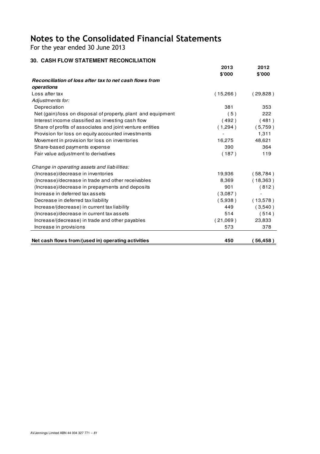For the year ended 30 June 2013

## **30. CASH FLOW STATEMENT RECONCILIATION**

|                                                              | 2013<br>\$'000 | 2012<br>\$'000 |
|--------------------------------------------------------------|----------------|----------------|
| Reconciliation of loss after tax to net cash flows from      |                |                |
| operations                                                   |                |                |
| Loss after tax                                               | (15,266)       | (29,828)       |
| Adjustments for:                                             |                |                |
| Depreciation                                                 | 381            | 353            |
| Net (gain)/loss on disposal of property, plant and equipment | (5)            | 222            |
| Interest income classified as investing cash flow            | (492)          | (481)          |
| Share of profits of associates and joint venture entities    | (1,294)        | (5,759)        |
| Provision for loss on equity accounted investments           |                | 1,311          |
| Movement in provision for loss on inventories                | 16,275         | 48,621         |
| Share-based payments expense                                 | 390            | 364            |
| Fair value adjustment to derivatives                         | (187)          | 119            |
| Change in operating assets and liabilities:                  |                |                |
| (Increase)/decrease in inventories                           | 19,936         | (58, 784)      |
| (Increase)/decrease in trade and other receivables           | 8,369          | (18,363)       |
| (Increase)/decrease in prepayments and deposits              | 901            | (812)          |
| Increase in deferred tax assets                              | (3.087)        |                |
| Decrease in deferred tax liability                           | (5.938)        | (13,578)       |
| Increase/(decrease) in current tax liability                 | 449            | (3,540)        |
| (Increase)/decrease in current tax assets                    | 514            | (514)          |
| Increase/(decrease) in trade and other payables              | (21,069)       | 23,833         |
| Increase in provisions                                       | 573            | 378            |
| Net cash flows from/(used in) operating activities           | 450            | 56,458)        |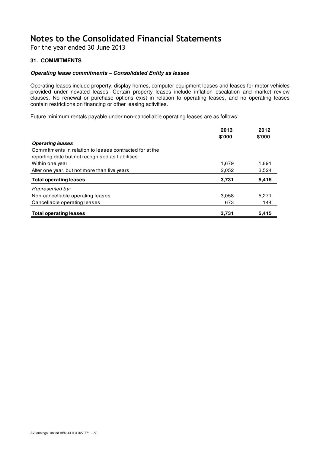For the year ended 30 June 2013

## **31. COMMITMENTS**

#### **Operating lease commitments – Consolidated Entity as lessee**

Operating leases include property, display homes, computer equipment leases and leases for motor vehicles provided under novated leases. Certain property leases include inflation escalation and market review clauses. No renewal or purchase options exist in relation to operating leases, and no operating leases contain restrictions on financing or other leasing activities.

Future minimum rentals payable under non-cancellable operating leases are as follows:

| <b>Operating leases</b>                                                                                      | 2013<br>\$'000 | 2012<br>\$'000 |
|--------------------------------------------------------------------------------------------------------------|----------------|----------------|
| Commitments in relation to leases contracted for at the<br>reporting date but not recognised as liabilities: |                |                |
| Within one year                                                                                              | 1,679          | 1,891          |
| After one year, but not more than five years                                                                 | 2,052          | 3,524          |
| <b>Total operating leases</b>                                                                                | 3,731          | 5,415          |
| Represented by:                                                                                              |                |                |
| Non-cancellable operating leases                                                                             | 3,058          | 5,271          |
| Cancellable operating leases                                                                                 | 673            | 144            |
| <b>Total operating leases</b>                                                                                | 3,731          | 5.415          |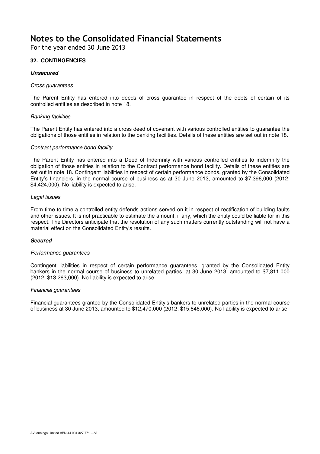For the year ended 30 June 2013

## **32. CONTINGENCIES**

#### **Unsecured**

#### Cross guarantees

The Parent Entity has entered into deeds of cross guarantee in respect of the debts of certain of its controlled entities as described in note 18.

#### Banking facilities

The Parent Entity has entered into a cross deed of covenant with various controlled entities to guarantee the obligations of those entities in relation to the banking facilities. Details of these entities are set out in note 18.

#### Contract performance bond facility

The Parent Entity has entered into a Deed of Indemnity with various controlled entities to indemnify the obligation of those entities in relation to the Contract performance bond facility. Details of these entities are set out in note 18. Contingent liabilities in respect of certain performance bonds, granted by the Consolidated Entity's financiers, in the normal course of business as at 30 June 2013, amounted to \$7,396,000 (2012: \$4,424,000). No liability is expected to arise.

#### Legal issues

From time to time a controlled entity defends actions served on it in respect of rectification of building faults and other issues. It is not practicable to estimate the amount, if any, which the entity could be liable for in this respect. The Directors anticipate that the resolution of any such matters currently outstanding will not have a material effect on the Consolidated Entity's results.

### **Secured**

#### Performance quarantees

Contingent liabilities in respect of certain performance guarantees, granted by the Consolidated Entity bankers in the normal course of business to unrelated parties, at 30 June 2013, amounted to \$7,811,000 (2012: \$13,263,000). No liability is expected to arise.

#### Financial guarantees

Financial guarantees granted by the Consolidated Entity's bankers to unrelated parties in the normal course of business at 30 June 2013, amounted to \$12,470,000 (2012: \$15,846,000). No liability is expected to arise.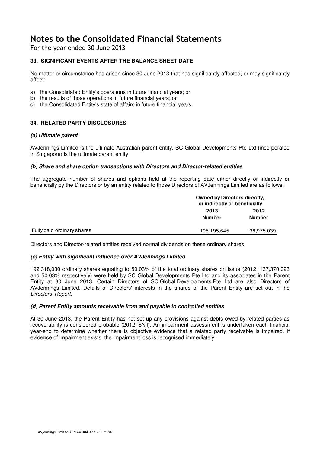For the year ended 30 June 2013

## **33. SIGNIFICANT EVENTS AFTER THE BALANCE SHEET DATE**

No matter or circumstance has arisen since 30 June 2013 that has significantly affected, or may significantly affect:

- a) the Consolidated Entity's operations in future financial years; or
- b) the results of those operations in future financial years; or
- c) the Consolidated Entity's state of affairs in future financial years.

### **34. RELATED PARTY DISCLOSURES**

#### **(a) Ultimate parent**

AVJennings Limited is the ultimate Australian parent entity. SC Global Developments Pte Ltd (incorporated in Singapore) is the ultimate parent entity.

#### **(b) Share and share option transactions with Directors and Director-related entities**

The aggregate number of shares and options held at the reporting date either directly or indirectly or beneficially by the Directors or by an entity related to those Directors of AVJennings Limited are as follows:

|                            | <b>Owned by Directors directly,</b><br>or indirectly or beneficially |               |
|----------------------------|----------------------------------------------------------------------|---------------|
|                            | 2013                                                                 | 2012          |
|                            | <b>Number</b>                                                        | <b>Number</b> |
| Fully paid ordinary shares | 195,195,645                                                          | 138,975,039   |

Directors and Director-related entities received normal dividends on these ordinary shares.

### **(c) Entity with significant influence over AVJennings Limited**

192,318,030 ordinary shares equating to 50.03% of the total ordinary shares on issue (2012: 137,370,023 and 50.03% respectively) were held by SC Global Developments Pte Ltd and its associates in the Parent Entity at 30 June 2013. Certain Directors of SC Global Developments Pte Ltd are also Directors of AVJennings Limited. Details of Directors' interests in the shares of the Parent Entity are set out in the Directors' Report.

### **(d) Parent Entity amounts receivable from and payable to controlled entities**

At 30 June 2013, the Parent Entity has not set up any provisions against debts owed by related parties as recoverability is considered probable (2012: \$Nil). An impairment assessment is undertaken each financial year-end to determine whether there is objective evidence that a related party receivable is impaired. If evidence of impairment exists, the impairment loss is recognised immediately.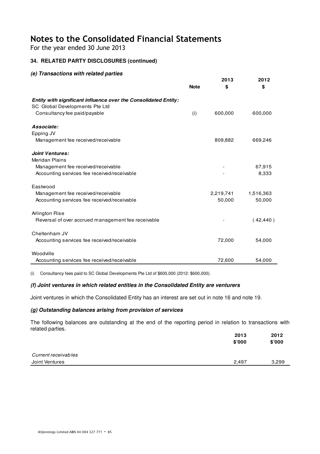For the year ended 30 June 2013

## **34. RELATED PARTY DISCLOSURES (continued)**

## **(e) Transactions with related parties**

|                                                                                                          | <b>Note</b> | 2013<br>\$ | 2012<br>\$ |
|----------------------------------------------------------------------------------------------------------|-------------|------------|------------|
| <b>Entity with significant influence over the Consolidated Entity:</b><br>SC Global Developments Pte Ltd |             |            |            |
| Consultancy fee paid/payable                                                                             | (i)         | 600,000    | 600,000    |
| Associate:                                                                                               |             |            |            |
| Epping JV                                                                                                |             |            |            |
| Management fee received/receivable                                                                       |             | 809,882    | 669,246    |
| <b>Joint Ventures:</b>                                                                                   |             |            |            |
| <b>Meridan Plains</b>                                                                                    |             |            |            |
| Management fee received/receivable                                                                       |             |            | 67,915     |
| Accounting services fee received/receivable                                                              |             |            | 8,333      |
| Eastwood                                                                                                 |             |            |            |
| Management fee received/receivable                                                                       |             | 2,219,741  | 1,516,363  |
| Accounting services fee received/receivable                                                              |             | 50,000     | 50,000     |
| Arlington Rise                                                                                           |             |            |            |
| Reversal of over accrued management fee receivable                                                       |             |            | (42, 440)  |
| Cheltenham JV                                                                                            |             |            |            |
| Accounting services fee received/receivable                                                              |             | 72,000     | 54,000     |
| Woodville                                                                                                |             |            |            |
| Accounting services fee received/receivable                                                              |             | 72,600     | 54,000     |

(i) Consultancy fees paid to SC Global Developments Pte Ltd of \$600,000 (2012: \$600,000).

### **(f) Joint ventures in which related entities in the Consolidated Entity are venturers**

Joint ventures in which the Consolidated Entity has an interest are set out in note 16 and note 19.

### **(g) Outstanding balances arising from provision of services**

The following balances are outstanding at the end of the reporting period in relation to transactions with related parties.

|                     | 2013   | 2012   |
|---------------------|--------|--------|
|                     | \$'000 | \$'000 |
|                     |        |        |
| Current receivables |        |        |
| Joint Ventures      | 2,497  | 3,299  |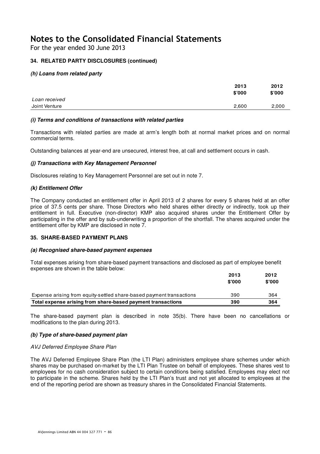For the year ended 30 June 2013

## **34. RELATED PARTY DISCLOSURES (continued)**

## **(h) Loans from related party**

|               | 2013   | 2012   |
|---------------|--------|--------|
|               | \$'000 | \$'000 |
| Loan received |        |        |
| Joint Venture | 2,600  | 2,000  |

### **(i) Terms and conditions of transactions with related parties**

Transactions with related parties are made at arm's length both at normal market prices and on normal commercial terms.

Outstanding balances at year-end are unsecured, interest free, at call and settlement occurs in cash.

## **(j) Transactions with Key Management Personnel**

Disclosures relating to Key Management Personnel are set out in note 7.

### **(k) Entitlement Offer**

The Company conducted an entitlement offer in April 2013 of 2 shares for every 5 shares held at an offer price of 37.5 cents per share. Those Directors who held shares either directly or indirectly, took up their entitlement in full. Executive (non-director) KMP also acquired shares under the Entitlement Offer by participating in the offer and by sub-underwriting a proportion of the shortfall. The shares acquired under the entitlement offer by KMP are disclosed in note 7.

### **35. SHARE-BASED PAYMENT PLANS**

### **(a) Recognised share-based payment expenses**

Total expenses arising from share-based payment transactions and disclosed as part of employee benefit expenses are shown in the table below:

|                                                                      | 2013<br>\$'000 | 2012<br>\$'000 |
|----------------------------------------------------------------------|----------------|----------------|
| Expense arising from equity-settled share-based payment transactions | 390            | 364            |
| Total expense arising from share-based payment transactions          | 390            | 364            |

The share-based payment plan is described in note 35(b). There have been no cancellations or modifications to the plan during 2013.

### **(b) Type of share-based payment plan**

### AVJ Deferred Employee Share Plan

The AVJ Deferred Employee Share Plan (the LTI Plan) administers employee share schemes under which shares may be purchased on-market by the LTI Plan Trustee on behalf of employees. These shares vest to employees for no cash consideration subject to certain conditions being satisfied. Employees may elect not to participate in the scheme. Shares held by the LTI Plan's trust and not yet allocated to employees at the end of the reporting period are shown as treasury shares in the Consolidated Financial Statements.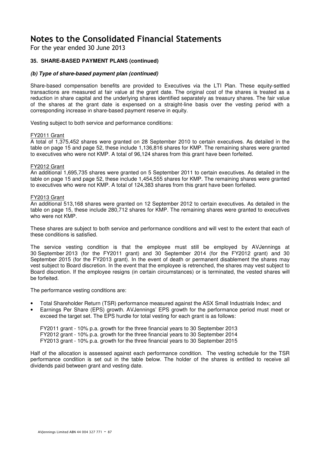For the year ended 30 June 2013

## **35. SHARE-BASED PAYMENT PLANS (continued)**

#### **(b) Type of share-based payment plan (continued)**

Share-based compensation benefits are provided to Executives via the LTI Plan. These equity-settled transactions are measured at fair value at the grant date. The original cost of the shares is treated as a reduction in share capital and the underlying shares identified separately as treasury shares. The fair value of the shares at the grant date is expensed on a straight-line basis over the vesting period with a corresponding increase in share-based payment reserve in equity.

Vesting subject to both service and performance conditions:

#### FY2011 Grant

A total of 1,375,452 shares were granted on 28 September 2010 to certain executives. As detailed in the table on page 15 and page 52, these include 1,136,816 shares for KMP. The remaining shares were granted to executives who were not KMP. A total of 96,124 shares from this grant have been forfeited.

#### FY2012 Grant

An additional 1,695,735 shares were granted on 5 September 2011 to certain executives. As detailed in the table on page 15 and page 52, these include 1,454,555 shares for KMP. The remaining shares were granted to executives who were not KMP. A total of 124,383 shares from this grant have been forfeited.

#### FY2013 Grant

An additional 513,168 shares were granted on 12 September 2012 to certain executives. As detailed in the table on page 15, these include 280,712 shares for KMP. The remaining shares were granted to executives who were not KMP.

These shares are subject to both service and performance conditions and will vest to the extent that each of these conditions is satisfied.

The service vesting condition is that the employee must still be employed by AVJennings at 30 September 2013 (for the FY2011 grant) and 30 September 2014 (for the FY2012 grant) and 30 September 2015 (for the FY2013 grant). In the event of death or permanent disablement the shares may vest subject to Board discretion. In the event that the employee is retrenched, the shares may vest subject to Board discretion. If the employee resigns (in certain circumstances) or is terminated, the vested shares will be forfeited.

The performance vesting conditions are:

- Total Shareholder Return (TSR) performance measured against the ASX Small Industrials Index; and
- Earnings Per Share (EPS) growth. AVJennings' EPS growth for the performance period must meet or exceed the target set. The EPS hurdle for total vesting for each grant is as follows:

FY2011 grant - 10% p.a. growth for the three financial years to 30 September 2013 FY2012 grant - 10% p.a. growth for the three financial years to 30 September 2014 FY2013 grant - 10% p.a. growth for the three financial years to 30 September 2015

Half of the allocation is assessed against each performance condition. The vesting schedule for the TSR performance condition is set out in the table below. The holder of the shares is entitled to receive all dividends paid between grant and vesting date.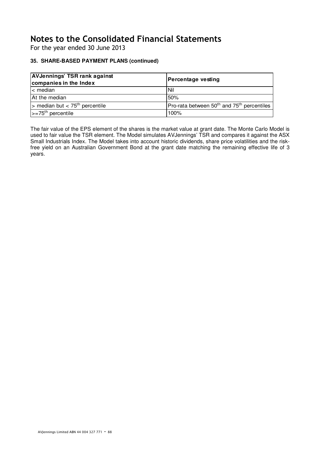For the year ended 30 June 2013

## **35. SHARE-BASED PAYMENT PLANS (continued)**

| <b>AVJennings' TSR rank against</b><br>companies in the Index | Percentage vesting<br>50%                                          |  |
|---------------------------------------------------------------|--------------------------------------------------------------------|--|
| l< median                                                     | <b>Nil</b>                                                         |  |
| At the median                                                 |                                                                    |  |
| $\geq$ median but < 75 <sup>th</sup> percentile               | Pro-rata between 50 <sup>th</sup> and 75 <sup>th</sup> percentiles |  |
| $\left  \right  > = 75$ <sup>th</sup> percentile              | 100%                                                               |  |

The fair value of the EPS element of the shares is the market value at grant date. The Monte Carlo Model is used to fair value the TSR element. The Model simulates AVJennings' TSR and compares it against the ASX Small Industrials Index. The Model takes into account historic dividends, share price volatilities and the riskfree yield on an Australian Government Bond at the grant date matching the remaining effective life of 3 years.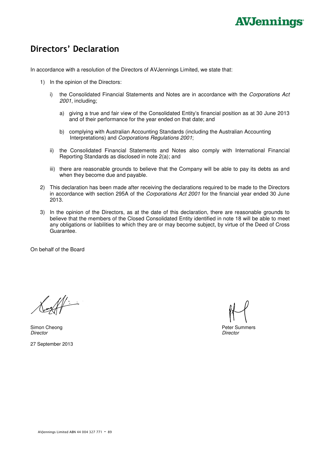# **AVJennings**

## Directors' Declaration

In accordance with a resolution of the Directors of AVJennings Limited, we state that:

- 1) In the opinion of the Directors:
	- i) the Consolidated Financial Statements and Notes are in accordance with the Corporations Act 2001, including;
		- a) giving a true and fair view of the Consolidated Entity's financial position as at 30 June 2013 and of their performance for the year ended on that date; and
		- b) complying with Australian Accounting Standards (including the Australian Accounting Interpretations) and Corporations Regulations 2001;
	- ii) the Consolidated Financial Statements and Notes also comply with International Financial Reporting Standards as disclosed in note 2(a); and
	- iii) there are reasonable grounds to believe that the Company will be able to pay its debts as and when they become due and payable.
- 2) This declaration has been made after receiving the declarations required to be made to the Directors in accordance with section 295A of the Corporations Act 2001 for the financial year ended 30 June 2013.
- 3) In the opinion of the Directors, as at the date of this declaration, there are reasonable grounds to believe that the members of the Closed Consolidated Entity identified in note 18 will be able to meet any obligations or liabilities to which they are or may become subject, by virtue of the Deed of Cross Guarantee.

On behalf of the Board

Simon Cheong **Peter Summers** Peter Summers **Peter Summers** Peter Summers **Peter Summers** Director Director

27 September 2013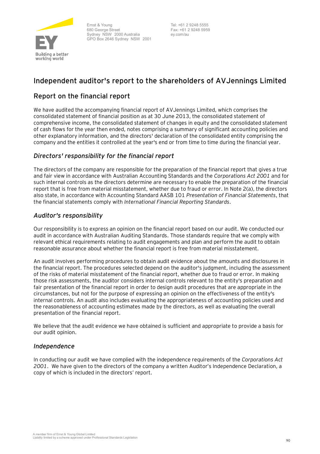

Ernst & Young 680 George Street Sydney NSW 2000 Australia GPO Box 2646 Sydney NSW 2001 Tel: +61 2 9248 5555 Fax: +61 2 9248 5959 ey.com/au

## **Independent auditor's report to the shareholders of AVJennings Limited**

## Report on the financial report

We have audited the accompanying financial report of AVJennings Limited, which comprises the consolidated statement of financial position as at 30 June 2013, the consolidated statement of comprehensive income, the consolidated statement of changes in equity and the consolidated statement of cash flows for the year then ended, notes comprising a summary of significant accounting policies and other explanatory information, and the directors' declaration of the consolidated entity comprising the company and the entities it controlled at the year's end or from time to time during the financial year.

## *Directors' responsibility for the financial report*

The directors of the company are responsible for the preparation of the financial report that gives a true and fair view in accordance with Australian Accounting Standards and the *Corporations Act 2001* and for such internal controls as the directors determine are necessary to enable the preparation of the financial report that is free from material misstatement, whether due to fraud or error. In Note 2(a), the directors also state, in accordance with Accounting Standard AASB 101 *Presentation of Financial Statements*, that the financial statements comply with *International Financial Reporting Standards*.

## *Auditor's responsibility*

Our responsibility is to express an opinion on the financial report based on our audit. We conducted our audit in accordance with Australian Auditing Standards. Those standards require that we comply with relevant ethical requirements relating to audit engagements and plan and perform the audit to obtain reasonable assurance about whether the financial report is free from material misstatement.

An audit involves performing procedures to obtain audit evidence about the amounts and disclosures in the financial report. The procedures selected depend on the auditor's judgment, including the assessment of the risks of material misstatement of the financial report, whether due to fraud or error. In making those risk assessments, the auditor considers internal controls relevant to the entity's preparation and fair presentation of the financial report in order to design audit procedures that are appropriate in the circumstances, but not for the purpose of expressing an opinion on the effectiveness of the entity's internal controls. An audit also includes evaluating the appropriateness of accounting policies used and the reasonableness of accounting estimates made by the directors, as well as evaluating the overall presentation of the financial report.

We believe that the audit evidence we have obtained is sufficient and appropriate to provide a basis for our audit opinion.

## *Independence*

In conducting our audit we have complied with the independence requirements of the *Corporations Act 2001*. We have given to the directors of the company a written Auditor's Independence Declaration, a copy of which is included in the directors' report.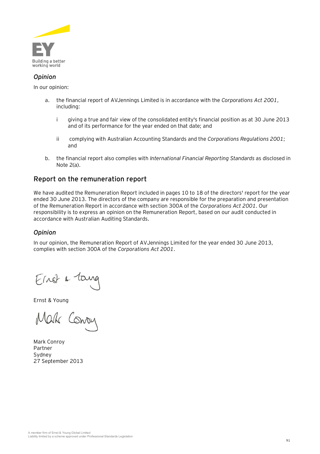

## *Opinion*

In our opinion:

- a. the financial report of AVJennings Limited is in accordance with the *Corporations Act 2001*, including:
	- i giving a true and fair view of the consolidated entity's financial position as at 30 June 2013 and of its performance for the year ended on that date; and
	- ii complying with Australian Accounting Standards and the *Corporations Regulations 2001*; and
- b. the financial report also complies with *International Financial Reporting Standards* as disclosed in Note 2(a).

## Report on the remuneration report

We have audited the Remuneration Report included in pages 10 to 18 of the directors' report for the year ended 30 June 2013. The directors of the company are responsible for the preparation and presentation of the Remuneration Report in accordance with section 300A of the *Corporations Act 2001*. Our responsibility is to express an opinion on the Remuneration Report, based on our audit conducted in accordance with Australian Auditing Standards.

## *Opinion*

In our opinion, the Remuneration Report of AVJennings Limited for the year ended 30 June 2013, complies with section 300A of the *Corporations Act 2001*.

Ernst & Young

Mak Conon

Mark Conroy Partner Sydney 27 September 2013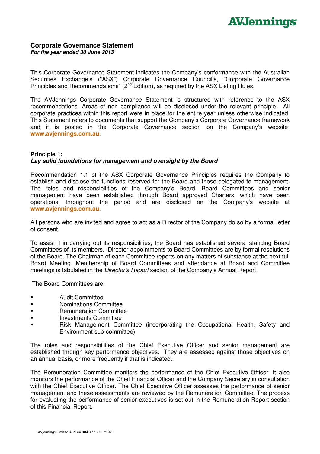

#### **Corporate Governance Statement For the year ended 30 June 2013**

This Corporate Governance Statement indicates the Company's conformance with the Australian Securities Exchange's ("ASX") Corporate Governance Council's, "Corporate Governance Principles and Recommendations" (2<sup>nd</sup> Edition), as required by the ASX Listing Rules.

The AVJennings Corporate Governance Statement is structured with reference to the ASX recommendations. Areas of non compliance will be disclosed under the relevant principle. All corporate practices within this report were in place for the entire year unless otherwise indicated. This Statement refers to documents that support the Company's Corporate Governance framework and it is posted in the Corporate Governance section on the Company's website: **www.avjennings.com.au**.

## **Principle 1: Lay solid foundations for management and oversight by the Board**

Recommendation 1.1 of the ASX Corporate Governance Principles requires the Company to establish and disclose the functions reserved for the Board and those delegated to management. The roles and responsibilities of the Company's Board, Board Committees and senior management have been established through Board approved Charters, which have been operational throughout the period and are disclosed on the Company's website at **www.avjennings.com.au**.

All persons who are invited and agree to act as a Director of the Company do so by a formal letter of consent.

To assist it in carrying out its responsibilities, the Board has established several standing Board Committees of its members. Director appointments to Board Committees are by formal resolutions of the Board. The Chairman of each Committee reports on any matters of substance at the next full Board Meeting. Membership of Board Committees and attendance at Board and Committee meetings is tabulated in the Director's Report section of the Company's Annual Report.

The Board Committees are:

- **Audit Committee**
- Nominations Committee
- **Example 20 Remuneration Committee**
- **Investments Committee**
- Risk Management Committee (incorporating the Occupational Health, Safety and Environment sub-committee)

The roles and responsibilities of the Chief Executive Officer and senior management are established through key performance objectives. They are assessed against those objectives on an annual basis, or more frequently if that is indicated.

The Remuneration Committee monitors the performance of the Chief Executive Officer. It also monitors the performance of the Chief Financial Officer and the Company Secretary in consultation with the Chief Executive Officer. The Chief Executive Officer assesses the performance of senior management and these assessments are reviewed by the Remuneration Committee. The process for evaluating the performance of senior executives is set out in the Remuneration Report section of this Financial Report.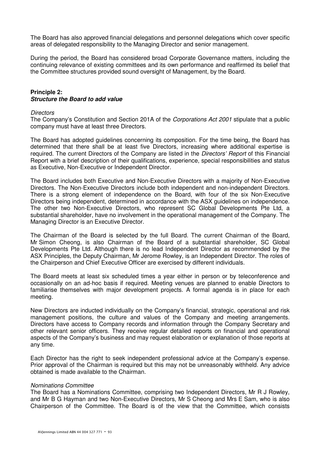The Board has also approved financial delegations and personnel delegations which cover specific areas of delegated responsibility to the Managing Director and senior management.

During the period, the Board has considered broad Corporate Governance matters, including the continuing relevance of existing committees and its own performance and reaffirmed its belief that the Committee structures provided sound oversight of Management, by the Board.

## **Principle 2: Structure the Board to add value**

#### **Directors**

The Company's Constitution and Section 201A of the *Corporations Act 2001* stipulate that a public company must have at least three Directors.

The Board has adopted guidelines concerning its composition. For the time being, the Board has determined that there shall be at least five Directors, increasing where additional expertise is required. The current Directors of the Company are listed in the Directors' Report of this Financial Report with a brief description of their qualifications, experience, special responsibilities and status as Executive, Non-Executive or Independent Director.

The Board includes both Executive and Non-Executive Directors with a majority of Non-Executive Directors. The Non-Executive Directors include both independent and non-independent Directors. There is a strong element of independence on the Board, with four of the six Non-Executive Directors being independent, determined in accordance with the ASX guidelines on independence. The other two Non-Executive Directors, who represent SC Global Developments Pte Ltd, a substantial shareholder, have no involvement in the operational management of the Company. The Managing Director is an Executive Director.

The Chairman of the Board is selected by the full Board. The current Chairman of the Board, Mr Simon Cheong, is also Chairman of the Board of a substantial shareholder, SC Global Developments Pte Ltd. Although there is no lead Independent Director as recommended by the ASX Principles, the Deputy Chairman, Mr Jerome Rowley, is an Independent Director. The roles of the Chairperson and Chief Executive Officer are exercised by different individuals.

The Board meets at least six scheduled times a year either in person or by teleconference and occasionally on an ad-hoc basis if required. Meeting venues are planned to enable Directors to familiarise themselves with major development projects. A formal agenda is in place for each meeting.

New Directors are inducted individually on the Company's financial, strategic, operational and risk management positions, the culture and values of the Company and meeting arrangements. Directors have access to Company records and information through the Company Secretary and other relevant senior officers. They receive regular detailed reports on financial and operational aspects of the Company's business and may request elaboration or explanation of those reports at any time.

Each Director has the right to seek independent professional advice at the Company's expense. Prior approval of the Chairman is required but this may not be unreasonably withheld. Any advice obtained is made available to the Chairman.

### Nominations Committee

The Board has a Nominations Committee, comprising two Independent Directors, Mr R J Rowley, and Mr B G Hayman and two Non-Executive Directors, Mr S Cheong and Mrs E Sam, who is also Chairperson of the Committee. The Board is of the view that the Committee, which consists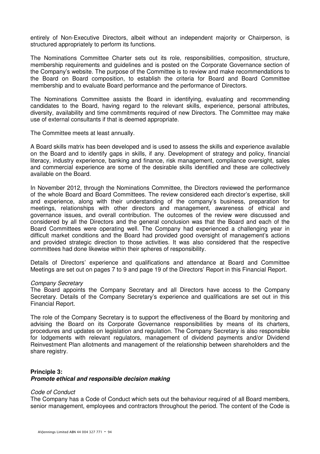entirely of Non-Executive Directors, albeit without an independent majority or Chairperson, is structured appropriately to perform its functions.

The Nominations Committee Charter sets out its role, responsibilities, composition, structure, membership requirements and guidelines and is posted on the Corporate Governance section of the Company's website. The purpose of the Committee is to review and make recommendations to the Board on Board composition, to establish the criteria for Board and Board Committee membership and to evaluate Board performance and the performance of Directors.

The Nominations Committee assists the Board in identifying, evaluating and recommending candidates to the Board, having regard to the relevant skills, experience, personal attributes, diversity, availability and time commitments required of new Directors. The Committee may make use of external consultants if that is deemed appropriate.

The Committee meets at least annually.

A Board skills matrix has been developed and is used to assess the skills and experience available on the Board and to identify gaps in skills, if any. Development of strategy and policy, financial literacy, industry experience, banking and finance, risk management, compliance oversight, sales and commercial experience are some of the desirable skills identified and these are collectively available on the Board.

In November 2012, through the Nominations Committee, the Directors reviewed the performance of the whole Board and Board Committees. The review considered each director's expertise, skill and experience, along with their understanding of the company's business, preparation for meetings, relationships with other directors and management, awareness of ethical and governance issues, and overall contribution. The outcomes of the review were discussed and considered by all the Directors and the general conclusion was that the Board and each of the Board Committees were operating well. The Company had experienced a challenging year in difficult market conditions and the Board had provided good oversight of management's actions and provided strategic direction to those activities. It was also considered that the respective committees had done likewise within their spheres of responsibility.

Details of Directors' experience and qualifications and attendance at Board and Committee Meetings are set out on pages 7 to 9 and page 19 of the Directors' Report in this Financial Report.

### Company Secretary

The Board appoints the Company Secretary and all Directors have access to the Company Secretary. Details of the Company Secretary's experience and qualifications are set out in this Financial Report.

The role of the Company Secretary is to support the effectiveness of the Board by monitoring and advising the Board on its Corporate Governance responsibilities by means of its charters, procedures and updates on legislation and regulation. The Company Secretary is also responsible for lodgements with relevant regulators, management of dividend payments and/or Dividend Reinvestment Plan allotments and management of the relationship between shareholders and the share registry.

### **Principle 3:**

### **Promote ethical and responsible decision making**

### Code of Conduct

The Company has a Code of Conduct which sets out the behaviour required of all Board members, senior management, employees and contractors throughout the period. The content of the Code is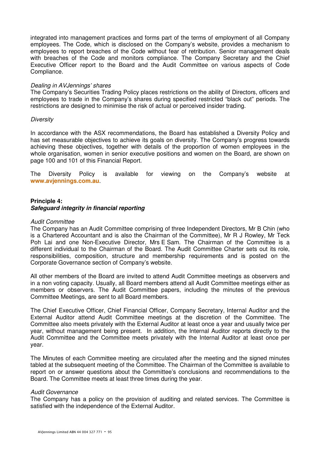integrated into management practices and forms part of the terms of employment of all Company employees. The Code, which is disclosed on the Company's website, provides a mechanism to employees to report breaches of the Code without fear of retribution. Senior management deals with breaches of the Code and monitors compliance. The Company Secretary and the Chief Executive Officer report to the Board and the Audit Committee on various aspects of Code Compliance.

### Dealing in AVJennings' shares

The Company's Securities Trading Policy places restrictions on the ability of Directors, officers and employees to trade in the Company's shares during specified restricted "black out" periods. The restrictions are designed to minimise the risk of actual or perceived insider trading.

#### **Diversity**

In accordance with the ASX recommendations, the Board has established a Diversity Policy and has set measurable objectives to achieve its goals on diversity. The Company's progress towards achieving these objectives, together with details of the proportion of women employees in the whole organisation, women in senior executive positions and women on the Board, are shown on page 100 and 101 of this Financial Report.

The Diversity Policy is available for viewing on the Company's website at **www.avjennings.com.au**.

## **Principle 4: Safeguard integrity in financial reporting**

#### Audit Committee

The Company has an Audit Committee comprising of three Independent Directors, Mr B Chin (who is a Chartered Accountant and is also the Chairman of the Committee), Mr R J Rowley, Mr Teck Poh Lai and one Non-Executive Director, Mrs E Sam. The Chairman of the Committee is a different individual to the Chairman of the Board. The Audit Committee Charter sets out its role, responsibilities, composition, structure and membership requirements and is posted on the Corporate Governance section of Company's website.

All other members of the Board are invited to attend Audit Committee meetings as observers and in a non voting capacity. Usually, all Board members attend all Audit Committee meetings either as members or observers. The Audit Committee papers, including the minutes of the previous Committee Meetings, are sent to all Board members.

The Chief Executive Officer, Chief Financial Officer, Company Secretary, Internal Auditor and the External Auditor attend Audit Committee meetings at the discretion of the Committee. The Committee also meets privately with the External Auditor at least once a year and usually twice per year, without management being present. In addition, the Internal Auditor reports directly to the Audit Committee and the Committee meets privately with the Internal Auditor at least once per year.

The Minutes of each Committee meeting are circulated after the meeting and the signed minutes tabled at the subsequent meeting of the Committee. The Chairman of the Committee is available to report on or answer questions about the Committee's conclusions and recommendations to the Board. The Committee meets at least three times during the year.

### Audit Governance

The Company has a policy on the provision of auditing and related services. The Committee is satisfied with the independence of the External Auditor.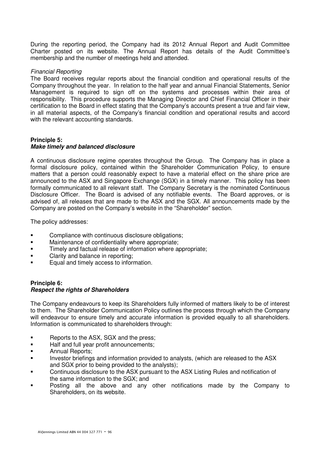During the reporting period, the Company had its 2012 Annual Report and Audit Committee Charter posted on its website. The Annual Report has details of the Audit Committee's membership and the number of meetings held and attended.

## Financial Reporting

The Board receives regular reports about the financial condition and operational results of the Company throughout the year. In relation to the half year and annual Financial Statements, Senior Management is required to sign off on the systems and processes within their area of responsibility. This procedure supports the Managing Director and Chief Financial Officer in their certification to the Board in effect stating that the Company's accounts present a true and fair view, in all material aspects, of the Company's financial condition and operational results and accord with the relevant accounting standards.

## **Principle 5:**

## **Make timely and balanced disclosure**

A continuous disclosure regime operates throughout the Group. The Company has in place a formal disclosure policy, contained within the Shareholder Communication Policy, to ensure matters that a person could reasonably expect to have a material effect on the share price are announced to the ASX and Singapore Exchange (SGX) in a timely manner. This policy has been formally communicated to all relevant staff. The Company Secretary is the nominated Continuous Disclosure Officer. The Board is advised of any notifiable events. The Board approves, or is advised of, all releases that are made to the ASX and the SGX. All announcements made by the Company are posted on the Company's website in the "Shareholder" section.

The policy addresses:

- **EXECOMPLE COMPLIANCE WITH CONTINUOUS DESCASSIVE OPTICALLY**
- **EXECUTE:** Maintenance of confidentiality where appropriate;
- **Timely and factual release of information where appropriate;**
- Clarity and balance in reporting;
- Equal and timely access to information.

## **Principle 6: Respect the rights of Shareholders**

The Company endeavours to keep its Shareholders fully informed of matters likely to be of interest to them. The Shareholder Communication Policy outlines the process through which the Company will endeavour to ensure timely and accurate information is provided equally to all shareholders. Information is communicated to shareholders through:

- **Reports to the ASX, SGX and the press;**
- **Half and full year profit announcements;**
- Annual Reports;
- Investor briefings and information provided to analysts, (which are released to the ASX and SGX prior to being provided to the analysts);
- **EXECONTERVIER INCO CONTINUOUS** Continuous disclosure to the ASX use and notification of the ASX Listing Rules and notification of the same information to the SGX; and
- Posting all the above and any other notifications made by the Company to Shareholders, on its website.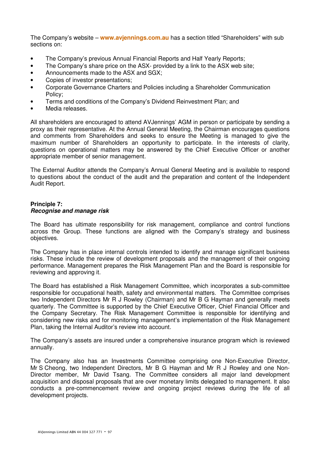The Company's website – **www.avjennings.com.au** has a section titled "Shareholders" with sub sections on:

- The Company's previous Annual Financial Reports and Half Yearly Reports;
- The Company's share price on the ASX- provided by a link to the ASX web site;
- Announcements made to the ASX and SGX;
- Copies of investor presentations:
- Corporate Governance Charters and Policies including a Shareholder Communication Policy;
- Terms and conditions of the Company's Dividend Reinvestment Plan; and
- Media releases.

All shareholders are encouraged to attend AVJennings' AGM in person or participate by sending a proxy as their representative. At the Annual General Meeting, the Chairman encourages questions and comments from Shareholders and seeks to ensure the Meeting is managed to give the maximum number of Shareholders an opportunity to participate. In the interests of clarity, questions on operational matters may be answered by the Chief Executive Officer or another appropriate member of senior management.

The External Auditor attends the Company's Annual General Meeting and is available to respond to questions about the conduct of the audit and the preparation and content of the Independent Audit Report.

## **Principle 7: Recognise and manage risk**

The Board has ultimate responsibility for risk management, compliance and control functions across the Group. These functions are aligned with the Company's strategy and business objectives.

The Company has in place internal controls intended to identify and manage significant business risks. These include the review of development proposals and the management of their ongoing performance. Management prepares the Risk Management Plan and the Board is responsible for reviewing and approving it.

The Board has established a Risk Management Committee, which incorporates a sub-committee responsible for occupational health, safety and environmental matters. The Committee comprises two Independent Directors Mr R J Rowley (Chairman) and Mr B G Hayman and generally meets quarterly. The Committee is supported by the Chief Executive Officer, Chief Financial Officer and the Company Secretary. The Risk Management Committee is responsible for identifying and considering new risks and for monitoring management's implementation of the Risk Management Plan, taking the Internal Auditor's review into account.

The Company's assets are insured under a comprehensive insurance program which is reviewed annually.

The Company also has an Investments Committee comprising one Non-Executive Director, Mr S Cheong, two Independent Directors, Mr B G Hayman and Mr R J Rowley and one Non-Director member, Mr David Tsang. The Committee considers all major land development acquisition and disposal proposals that are over monetary limits delegated to management. It also conducts a pre-commencement review and ongoing project reviews during the life of all development projects.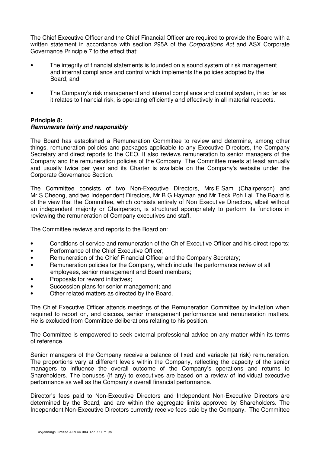The Chief Executive Officer and the Chief Financial Officer are required to provide the Board with a written statement in accordance with section 295A of the Corporations Act and ASX Corporate Governance Principle 7 to the effect that:

- The integrity of financial statements is founded on a sound system of risk management and internal compliance and control which implements the policies adopted by the Board; and
- The Company's risk management and internal compliance and control system, in so far as it relates to financial risk, is operating efficiently and effectively in all material respects.

## **Principle 8: Remunerate fairly and responsibly**

The Board has established a Remuneration Committee to review and determine, among other things, remuneration policies and packages applicable to any Executive Directors, the Company Secretary and direct reports to the CEO. It also reviews remuneration to senior managers of the Company and the remuneration policies of the Company. The Committee meets at least annually and usually twice per year and its Charter is available on the Company's website under the Corporate Governance Section.

The Committee consists of two Non-Executive Directors, Mrs E Sam (Chairperson) and Mr S Cheong, and two Independent Directors, Mr B G Hayman and Mr Teck Poh Lai. The Board is of the view that the Committee, which consists entirely of Non Executive Directors, albeit without an independent majority or Chairperson, is structured appropriately to perform its functions in reviewing the remuneration of Company executives and staff.

The Committee reviews and reports to the Board on:

- Conditions of service and remuneration of the Chief Executive Officer and his direct reports;
- Performance of the Chief Executive Officer;
- Remuneration of the Chief Financial Officer and the Company Secretary;
- Remuneration policies for the Company, which include the performance review of all employees, senior management and Board members;
- Proposals for reward initiatives;
- Succession plans for senior management; and
- Other related matters as directed by the Board.

The Chief Executive Officer attends meetings of the Remuneration Committee by invitation when required to report on, and discuss, senior management performance and remuneration matters. He is excluded from Committee deliberations relating to his position.

The Committee is empowered to seek external professional advice on any matter within its terms of reference.

Senior managers of the Company receive a balance of fixed and variable (at risk) remuneration. The proportions vary at different levels within the Company, reflecting the capacity of the senior managers to influence the overall outcome of the Company's operations and returns to Shareholders. The bonuses (if any) to executives are based on a review of individual executive performance as well as the Company's overall financial performance.

Director's fees paid to Non-Executive Directors and Independent Non-Executive Directors are determined by the Board, and are within the aggregate limits approved by Shareholders. The Independent Non-Executive Directors currently receive fees paid by the Company. The Committee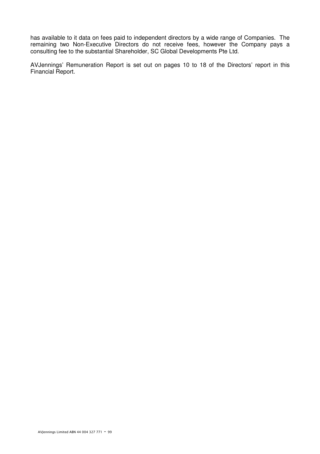has available to it data on fees paid to independent directors by a wide range of Companies. The remaining two Non-Executive Directors do not receive fees, however the Company pays a consulting fee to the substantial Shareholder, SC Global Developments Pte Ltd.

AVJennings' Remuneration Report is set out on pages 10 to 18 of the Directors' report in this Financial Report.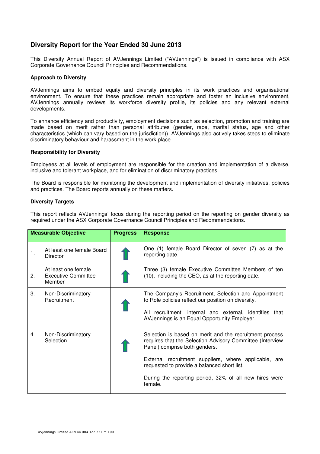## **Diversity Report for the Year Ended 30 June 2013**

This Diversity Annual Report of AVJennings Limited ("AVJennings") is issued in compliance with ASX Corporate Governance Council Principles and Recommendations.

#### **Approach to Diversity**

AVJennings aims to embed equity and diversity principles in its work practices and organisational environment. To ensure that these practices remain appropriate and foster an inclusive environment, AVJennings annually reviews its workforce diversity profile, its policies and any relevant external developments.

To enhance efficiency and productivity, employment decisions such as selection, promotion and training are made based on merit rather than personal attributes (gender, race, marital status, age and other characteristics (which can vary based on the jurisdiction)). AVJennings also actively takes steps to eliminate discriminatory behaviour and harassment in the work place.

#### **Responsibility for Diversity**

Employees at all levels of employment are responsible for the creation and implementation of a diverse, inclusive and tolerant workplace, and for elimination of discriminatory practices.

The Board is responsible for monitoring the development and implementation of diversity initiatives, policies and practices. The Board reports annually on these matters.

#### **Diversity Targets**

This report reflects AVJennings' focus during the reporting period on the reporting on gender diversity as required under the ASX Corporate Governance Council Principles and Recommendations.

|    | <b>Measurable Objective</b>                          | <b>Progress</b> | <b>Response</b>                                                                                                                                                                                                                                                                                                                    |
|----|------------------------------------------------------|-----------------|------------------------------------------------------------------------------------------------------------------------------------------------------------------------------------------------------------------------------------------------------------------------------------------------------------------------------------|
| 1. | At least one female Board<br><b>Director</b>         |                 | One (1) female Board Director of seven (7) as at the<br>reporting date.                                                                                                                                                                                                                                                            |
| 2. | At least one female<br>Executive Committee<br>Member |                 | Three (3) female Executive Committee Members of ten<br>(10), including the CEO, as at the reporting date.                                                                                                                                                                                                                          |
| 3. | Non-Discriminatory<br>Recruitment                    |                 | The Company's Recruitment, Selection and Appointment<br>to Role policies reflect our position on diversity.<br>All recruitment, internal and external, identifies that<br>AVJennings is an Equal Opportunity Employer.                                                                                                             |
| 4. | Non-Discriminatory<br>Selection                      |                 | Selection is based on merit and the recruitment process<br>requires that the Selection Advisory Committee (Interview<br>Panel) comprise both genders.<br>External recruitment suppliers, where applicable, are<br>requested to provide a balanced short list.<br>During the reporting period, 32% of all new hires were<br>female. |